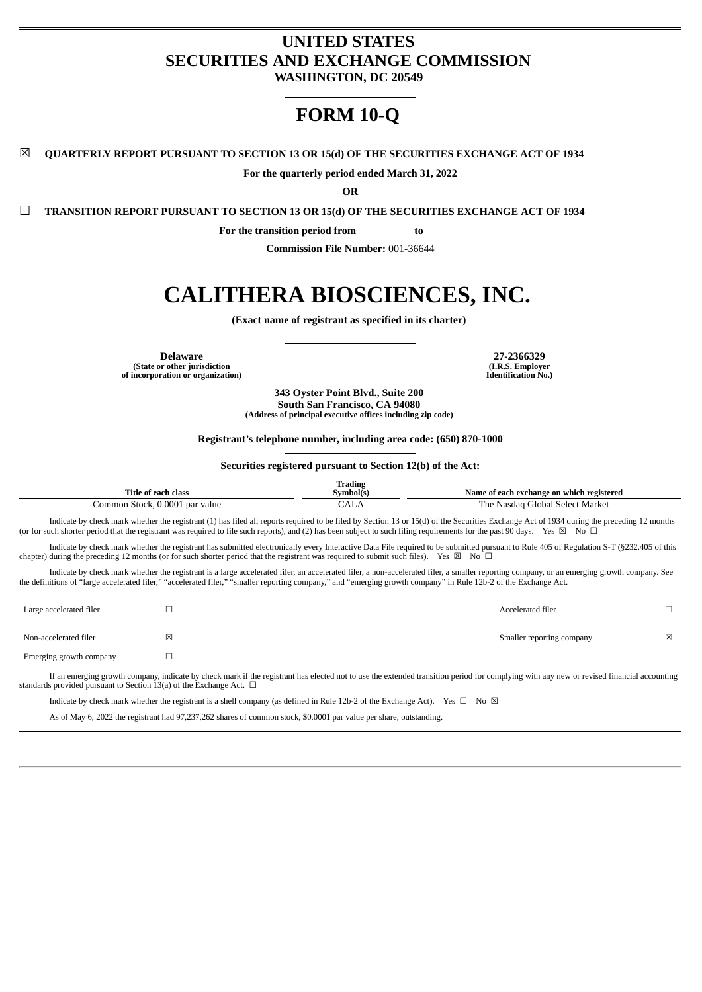# **UNITED STATES SECURITIES AND EXCHANGE COMMISSION**

**WASHINGTON, DC 20549**

# **FORM 10-Q**

☒ **QUARTERLY REPORT PURSUANT TO SECTION 13 OR 15(d) OF THE SECURITIES EXCHANGE ACT OF 1934**

**For the quarterly period ended March 31, 2022**

**OR**

☐ **TRANSITION REPORT PURSUANT TO SECTION 13 OR 15(d) OF THE SECURITIES EXCHANGE ACT OF 1934**

**For the transition period from to**

**Commission File Number:** 001-36644

# **CALITHERA BIOSCIENCES, INC.**

**(Exact name of registrant as specified in its charter)**

**Delaware 27-2366329 (State or other jurisdiction of incorporation or organization)**

**(I.R.S. Employer Identification No.)**

**343 Oyster Point Blvd., Suite 200 South San Francisco, CA 94080 (Address of principal executive offices including zip code)**

**Registrant's telephone number, including area code: (650) 870-1000**

**Securities registered pursuant to Section 12(b) of the Act:**

| Title of each class            | Trading<br>Svmbol(s) | Name of each exchange on which registered                                                                                                                                                 |
|--------------------------------|----------------------|-------------------------------------------------------------------------------------------------------------------------------------------------------------------------------------------|
|                                |                      |                                                                                                                                                                                           |
| Common Stock, 0.0001 par value | CALA                 | The Nasdag Global Select Market                                                                                                                                                           |
|                                |                      | Indicate by check mark whether the registrant (1) has filed all reports required to be filed by Section 13 or 15(d) of the Securities Exchange Act of 1934 during the preceding 12 months |

(or for such shorter period that the registrant was required to file such reports), and (2) has been subject to such filing requirements for the past 90 days. Yes  $\boxtimes$  No  $\Box$ 

Indicate by check mark whether the registrant has submitted electronically every Interactive Data File required to be submitted pursuant to Rule 405 of Regulation S-T (§232.405 of this chapter) during the preceding 12 months (or for such shorter period that the registrant was required to submit such files). Yes  $\boxtimes$  No  $\Box$ 

Indicate by check mark whether the registrant is a large accelerated filer, an accelerated filer, a non-accelerated filer, a smaller reporting company, or an emerging growth company. See the definitions of "large accelerated filer," "accelerated filer," "smaller reporting company," and "emerging growth company" in Rule 12b-2 of the Exchange Act.

| Large accelerated filer |   | Accelerated filer         |             |
|-------------------------|---|---------------------------|-------------|
| Non-accelerated filer   | 区 | Smaller reporting company | $\boxtimes$ |
| Emerging growth company | ⊔ |                           |             |

If an emerging growth company, indicate by check mark if the registrant has elected not to use the extended transition period for complying with any new or revised financial accounting standards provided pursuant to Section 13(a) of the Exchange Act.  $\Box$ 

Indicate by check mark whether the registrant is a shell company (as defined in Rule 12b-2 of the Exchange Act). Yes  $\Box$  No  $\boxtimes$ 

As of May 6, 2022 the registrant had 97,237,262 shares of common stock, \$0.0001 par value per share, outstanding.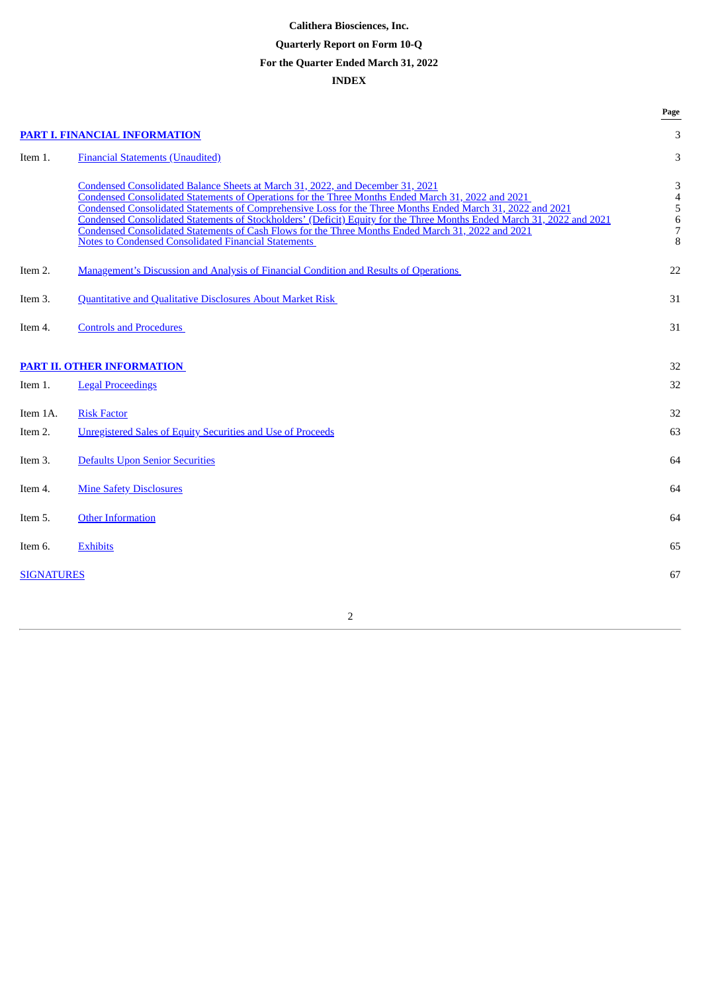# **Calithera Biosciences, Inc. Quarterly Report on Form 10-Q For the Quarter Ended March 31, 2022 INDEX**

**Page**

# **PART I. FINANCIAL [INFORMATION](#page-2-0)** 3

| Item 1.           | <b>Financial Statements (Unaudited)</b>                                                                                                                                                                                                                                                                                                                                                                                                                                                                                                                                                           | 3                                |
|-------------------|---------------------------------------------------------------------------------------------------------------------------------------------------------------------------------------------------------------------------------------------------------------------------------------------------------------------------------------------------------------------------------------------------------------------------------------------------------------------------------------------------------------------------------------------------------------------------------------------------|----------------------------------|
|                   | Condensed Consolidated Balance Sheets at March 31, 2022, and December 31, 2021<br>Condensed Consolidated Statements of Operations for the Three Months Ended March 31, 2022 and 2021<br>Condensed Consolidated Statements of Comprehensive Loss for the Three Months Ended March 31, 2022 and 2021<br>Condensed Consolidated Statements of Stockholders' (Deficit) Equity for the Three Months Ended March 31, 2022 and 2021<br>Condensed Consolidated Statements of Cash Flows for the Three Months Ended March 31, 2022 and 2021<br><b>Notes to Condensed Consolidated Financial Statements</b> | 3<br>4<br>5<br>$\,6\,$<br>7<br>8 |
| Item 2.           | Management's Discussion and Analysis of Financial Condition and Results of Operations                                                                                                                                                                                                                                                                                                                                                                                                                                                                                                             | 22                               |
| Item 3.           | <b>Quantitative and Qualitative Disclosures About Market Risk</b>                                                                                                                                                                                                                                                                                                                                                                                                                                                                                                                                 | 31                               |
| Item 4.           | <b>Controls and Procedures</b>                                                                                                                                                                                                                                                                                                                                                                                                                                                                                                                                                                    | 31                               |
|                   | <b>PART II. OTHER INFORMATION</b>                                                                                                                                                                                                                                                                                                                                                                                                                                                                                                                                                                 | 32                               |
| Item 1.           | <b>Legal Proceedings</b>                                                                                                                                                                                                                                                                                                                                                                                                                                                                                                                                                                          | 32                               |
| Item 1A.          | <b>Risk Factor</b>                                                                                                                                                                                                                                                                                                                                                                                                                                                                                                                                                                                | 32                               |
| Item 2.           | <b>Unregistered Sales of Equity Securities and Use of Proceeds</b>                                                                                                                                                                                                                                                                                                                                                                                                                                                                                                                                | 63                               |
| Item 3.           | <b>Defaults Upon Senior Securities</b>                                                                                                                                                                                                                                                                                                                                                                                                                                                                                                                                                            | 64                               |
| Item 4.           | <b>Mine Safety Disclosures</b>                                                                                                                                                                                                                                                                                                                                                                                                                                                                                                                                                                    | 64                               |
| Item 5.           | <b>Other Information</b>                                                                                                                                                                                                                                                                                                                                                                                                                                                                                                                                                                          | 64                               |
| Item 6.           | <b>Exhibits</b>                                                                                                                                                                                                                                                                                                                                                                                                                                                                                                                                                                                   | 65                               |
| <b>SIGNATURES</b> |                                                                                                                                                                                                                                                                                                                                                                                                                                                                                                                                                                                                   | 67                               |
|                   |                                                                                                                                                                                                                                                                                                                                                                                                                                                                                                                                                                                                   |                                  |

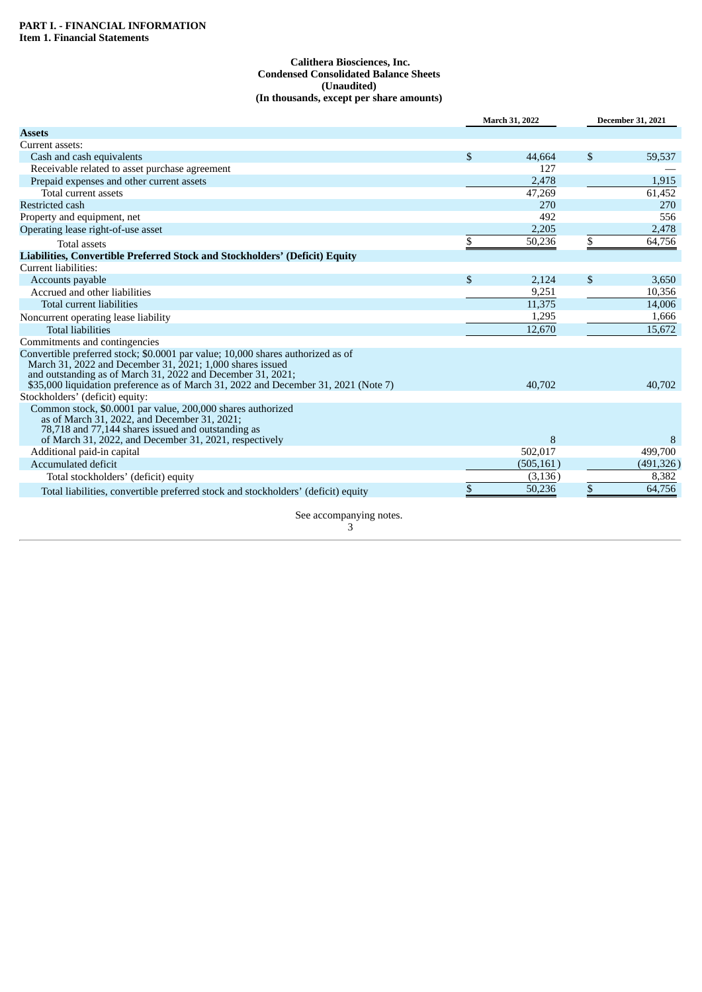# **Calithera Biosciences, Inc. Condensed Consolidated Balance Sheets (Unaudited) (In thousands, except per share amounts)**

<span id="page-2-2"></span><span id="page-2-1"></span><span id="page-2-0"></span>

|                                                                                                                                                                                                                                                                                                    | March 31, 2022 | <b>December 31, 2021</b> |           |  |
|----------------------------------------------------------------------------------------------------------------------------------------------------------------------------------------------------------------------------------------------------------------------------------------------------|----------------|--------------------------|-----------|--|
| <b>Assets</b>                                                                                                                                                                                                                                                                                      |                |                          |           |  |
| Current assets:                                                                                                                                                                                                                                                                                    |                |                          |           |  |
| Cash and cash equivalents                                                                                                                                                                                                                                                                          | \$<br>44,664   | \$                       | 59,537    |  |
| Receivable related to asset purchase agreement                                                                                                                                                                                                                                                     | 127            |                          |           |  |
| Prepaid expenses and other current assets                                                                                                                                                                                                                                                          | 2,478          |                          | 1,915     |  |
| Total current assets                                                                                                                                                                                                                                                                               | 47,269         |                          | 61,452    |  |
| <b>Restricted cash</b>                                                                                                                                                                                                                                                                             | 270            |                          | 270       |  |
| Property and equipment, net                                                                                                                                                                                                                                                                        | 492            |                          | 556       |  |
| Operating lease right-of-use asset                                                                                                                                                                                                                                                                 | 2,205          |                          | 2,478     |  |
| <b>Total assets</b>                                                                                                                                                                                                                                                                                | \$<br>50,236   | \$                       | 64,756    |  |
| Liabilities, Convertible Preferred Stock and Stockholders' (Deficit) Equity                                                                                                                                                                                                                        |                |                          |           |  |
| Current liabilities:                                                                                                                                                                                                                                                                               |                |                          |           |  |
| Accounts payable                                                                                                                                                                                                                                                                                   | \$<br>2,124    | \$                       | 3,650     |  |
| Accrued and other liabilities                                                                                                                                                                                                                                                                      | 9,251          |                          | 10,356    |  |
| Total current liabilities                                                                                                                                                                                                                                                                          | 11,375         |                          | 14,006    |  |
| Noncurrent operating lease liability                                                                                                                                                                                                                                                               | 1,295          |                          | 1,666     |  |
| <b>Total liabilities</b>                                                                                                                                                                                                                                                                           | 12,670         |                          | 15,672    |  |
| Commitments and contingencies                                                                                                                                                                                                                                                                      |                |                          |           |  |
| Convertible preferred stock; \$0.0001 par value; 10,000 shares authorized as of<br>March 31, 2022 and December 31, 2021; 1,000 shares issued<br>and outstanding as of March 31, 2022 and December 31, 2021;<br>\$35,000 liquidation preference as of March 31, 2022 and December 31, 2021 (Note 7) | 40,702         |                          | 40,702    |  |
| Stockholders' (deficit) equity:                                                                                                                                                                                                                                                                    |                |                          |           |  |
| Common stock, \$0.0001 par value, 200,000 shares authorized<br>as of March 31, 2022, and December 31, 2021;<br>78,718 and 77,144 shares issued and outstanding as<br>of March 31, 2022, and December 31, 2021, respectively                                                                        | 8              |                          | 8         |  |
| Additional paid-in capital                                                                                                                                                                                                                                                                         | 502.017        |                          | 499,700   |  |
| Accumulated deficit                                                                                                                                                                                                                                                                                | (505, 161)     |                          | (491,326) |  |
| Total stockholders' (deficit) equity                                                                                                                                                                                                                                                               | (3, 136)       |                          | 8,382     |  |
|                                                                                                                                                                                                                                                                                                    | \$<br>50,236   | \$                       | 64,756    |  |
| Total liabilities, convertible preferred stock and stockholders' (deficit) equity                                                                                                                                                                                                                  |                |                          |           |  |

See accompanying notes.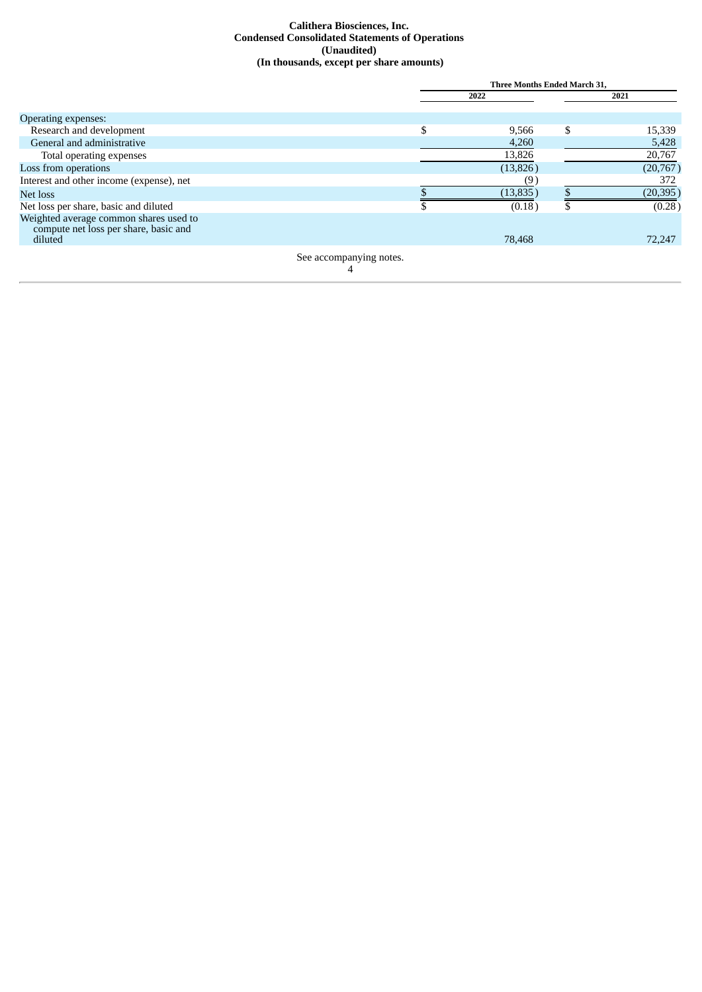#### **Calithera Biosciences, Inc. Condensed Consolidated Statements of Operations (Unaudited) (In thousands, except per share amounts)**

<span id="page-3-0"></span>

|                                                                                 |                         | Three Months Ended March 31, |           |    |           |  |  |
|---------------------------------------------------------------------------------|-------------------------|------------------------------|-----------|----|-----------|--|--|
|                                                                                 |                         | 2022                         |           |    | 2021      |  |  |
| <b>Operating expenses:</b>                                                      |                         |                              |           |    |           |  |  |
| Research and development                                                        | \$                      |                              | 9,566     | \$ | 15,339    |  |  |
| General and administrative                                                      |                         |                              | 4,260     |    | 5,428     |  |  |
| Total operating expenses                                                        |                         |                              | 13,826    |    | 20,767    |  |  |
| Loss from operations                                                            |                         |                              | (13, 826) |    | (20, 767) |  |  |
| Interest and other income (expense), net                                        |                         |                              | (9        |    | 372       |  |  |
| Net loss                                                                        |                         |                              | (13, 835) |    | (20, 395) |  |  |
| Net loss per share, basic and diluted                                           |                         |                              | (0.18)    |    | (0.28)    |  |  |
| Weighted average common shares used to<br>compute net loss per share, basic and |                         |                              |           |    |           |  |  |
| diluted                                                                         |                         |                              | 78,468    |    | 72,247    |  |  |
|                                                                                 | See accompanying notes. |                              |           |    |           |  |  |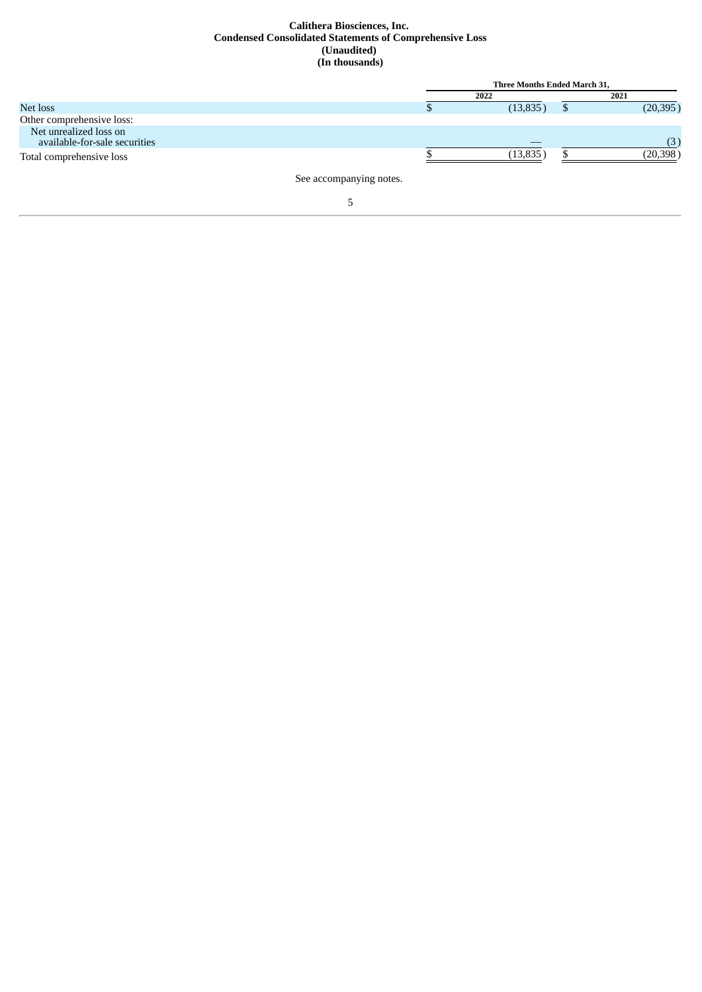#### **Calithera Biosciences, Inc. Condensed Consolidated Statements of Comprehensive Loss (Unaudited) (In thousands)**

<span id="page-4-0"></span>

|                                                         |                         | Three Months Ended March 31, |  |           |  |  |  |  |
|---------------------------------------------------------|-------------------------|------------------------------|--|-----------|--|--|--|--|
|                                                         |                         | 2022                         |  | 2021      |  |  |  |  |
| Net loss                                                |                         | (13, 835)                    |  | (20, 395) |  |  |  |  |
| Other comprehensive loss:                               |                         |                              |  |           |  |  |  |  |
| Net unrealized loss on<br>available-for-sale securities |                         |                              |  | (3)       |  |  |  |  |
| Total comprehensive loss                                |                         | (13, 835)                    |  | (20, 398) |  |  |  |  |
|                                                         | See accompanying notes. |                              |  |           |  |  |  |  |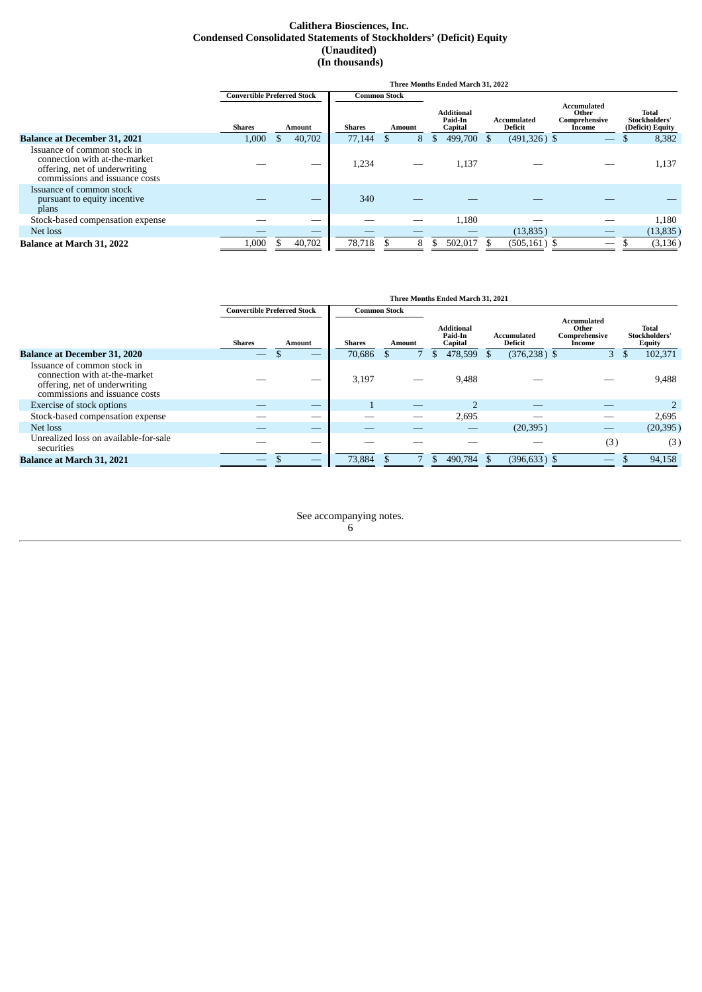#### **Calithera Biosciences, Inc. Condensed Consolidated Statements of Stockholders' (Deficit) Equity (Unaudited) (In thousands)**

<span id="page-5-0"></span>

|                                                                                                                                 | Three Months Ended March 31, 2022  |  |               |                     |  |                                         |    |                        |   |                                                 |    |                                            |           |
|---------------------------------------------------------------------------------------------------------------------------------|------------------------------------|--|---------------|---------------------|--|-----------------------------------------|----|------------------------|---|-------------------------------------------------|----|--------------------------------------------|-----------|
|                                                                                                                                 | <b>Convertible Preferred Stock</b> |  |               | <b>Common Stock</b> |  |                                         |    |                        |   |                                                 |    |                                            |           |
|                                                                                                                                 | <b>Shares</b><br>Amount            |  | <b>Shares</b> | Amount              |  | <b>Additional</b><br>Paid-In<br>Capital |    | Accumulated<br>Deficit |   | Accumulated<br>Other<br>Comprehensive<br>Income |    | Total<br>Stockholders'<br>(Deficit) Equity |           |
| <b>Balance at December 31, 2021</b>                                                                                             | 1,000                              |  | 40,702        | 77,144              |  | 8                                       | S. | 499,700                | S | $(491,326)$ \$                                  |    |                                            | 8,382     |
| Issuance of common stock in<br>connection with at-the-market<br>offering, net of underwriting<br>commissions and issuance costs |                                    |  | –             | 1,234               |  |                                         |    | 1,137                  |   |                                                 |    |                                            | 1,137     |
| Issuance of common stock<br>pursuant to equity incentive<br>plans                                                               |                                    |  | __            | 340                 |  |                                         |    |                        |   |                                                 |    |                                            |           |
| Stock-based compensation expense                                                                                                |                                    |  | __            |                     |  |                                         |    | 1,180                  |   |                                                 |    |                                            | 1,180     |
| Net loss                                                                                                                        |                                    |  |               |                     |  |                                         |    |                        |   | (13, 835)                                       |    |                                            | (13, 835) |
| <b>Balance at March 31, 2022</b>                                                                                                | 1,000                              |  | 40,702        | 78,718              |  | 8                                       |    | 502,017                |   | $(505, 161)$ \$                                 | __ |                                            | (3, 136)  |

|                                                                                                                                 | Three Months Ended March 31, 2021  |        |        |                     |                                         |                        |                                                 |                                         |  |  |  |
|---------------------------------------------------------------------------------------------------------------------------------|------------------------------------|--------|--------|---------------------|-----------------------------------------|------------------------|-------------------------------------------------|-----------------------------------------|--|--|--|
|                                                                                                                                 | <b>Convertible Preferred Stock</b> |        |        | <b>Common Stock</b> |                                         |                        |                                                 |                                         |  |  |  |
|                                                                                                                                 | <b>Shares</b>                      | Amount |        | Amount              | <b>Additional</b><br>Paid-In<br>Capital | Accumulated<br>Deficit | Accumulated<br>Other<br>Comprehensive<br>Income | Total<br>Stockholders'<br><b>Equity</b> |  |  |  |
| <b>Balance at December 31, 2020</b>                                                                                             |                                    |        | 70.686 |                     | 478,599<br>\$                           | $(376, 238)$ \$        | 3                                               | 102,371<br><sup>\$</sup>                |  |  |  |
| Issuance of common stock in<br>connection with at-the-market<br>offering, net of underwriting<br>commissions and issuance costs |                                    |        | 3,197  |                     | 9,488                                   |                        |                                                 | 9,488                                   |  |  |  |
| Exercise of stock options                                                                                                       |                                    | __     |        |                     | $\overline{z}$                          |                        |                                                 | $\overline{2}$                          |  |  |  |
| Stock-based compensation expense                                                                                                |                                    |        |        |                     | 2,695                                   |                        |                                                 | 2,695                                   |  |  |  |
| Net loss                                                                                                                        |                                    | __     |        |                     |                                         | (20, 395)              | __                                              | (20, 395)                               |  |  |  |
| Unrealized loss on available-for-sale<br>securities                                                                             |                                    | __     |        |                     |                                         |                        | (3)                                             | (3)                                     |  |  |  |
| <b>Balance at March 31, 2021</b>                                                                                                | _                                  | __     | 73,884 |                     | $\mathbf{s}$<br>490,784                 | $(396, 633)$ \$        |                                                 | 94,158                                  |  |  |  |

See accompanying notes. 6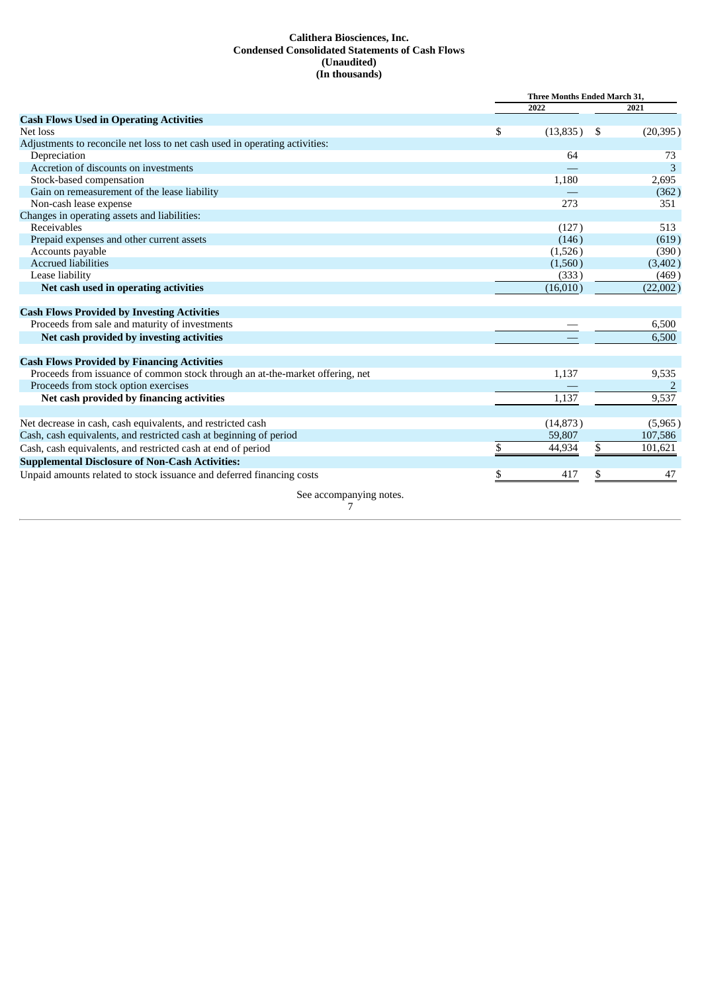## **Calithera Biosciences, Inc. Condensed Consolidated Statements of Cash Flows (Unaudited) (In thousands)**

<span id="page-6-0"></span>

|                                                                               | Three Months Ended March 31, |           |    |           |  |
|-------------------------------------------------------------------------------|------------------------------|-----------|----|-----------|--|
|                                                                               |                              | 2022      |    | 2021      |  |
| <b>Cash Flows Used in Operating Activities</b>                                |                              |           |    |           |  |
| Net loss                                                                      | \$                           | (13, 835) | -S | (20, 395) |  |
| Adjustments to reconcile net loss to net cash used in operating activities:   |                              |           |    |           |  |
| Depreciation                                                                  |                              | 64        |    | 73        |  |
| Accretion of discounts on investments                                         |                              |           |    | 3         |  |
| Stock-based compensation                                                      |                              | 1,180     |    | 2,695     |  |
| Gain on remeasurement of the lease liability                                  |                              |           |    | (362)     |  |
| Non-cash lease expense                                                        |                              | 273       |    | 351       |  |
| Changes in operating assets and liabilities:                                  |                              |           |    |           |  |
| Receivables                                                                   |                              | (127)     |    | 513       |  |
| Prepaid expenses and other current assets                                     |                              | (146)     |    | (619)     |  |
| Accounts payable                                                              |                              | (1,526)   |    | (390)     |  |
| <b>Accrued liabilities</b>                                                    |                              | (1,560)   |    | (3,402)   |  |
| Lease liability                                                               |                              | (333)     |    | (469)     |  |
| Net cash used in operating activities                                         |                              | (16,010)  |    | (22,002)  |  |
| <b>Cash Flows Provided by Investing Activities</b>                            |                              |           |    |           |  |
| Proceeds from sale and maturity of investments                                |                              |           |    | 6,500     |  |
| Net cash provided by investing activities                                     |                              |           |    | 6,500     |  |
| <b>Cash Flows Provided by Financing Activities</b>                            |                              |           |    |           |  |
| Proceeds from issuance of common stock through an at-the-market offering, net |                              | 1,137     |    | 9,535     |  |
| Proceeds from stock option exercises                                          |                              |           |    |           |  |
| Net cash provided by financing activities                                     |                              | 1,137     |    | 9,537     |  |
| Net decrease in cash, cash equivalents, and restricted cash                   |                              | (14, 873) |    | (5,965)   |  |
| Cash, cash equivalents, and restricted cash at beginning of period            |                              | 59,807    |    | 107,586   |  |
| Cash, cash equivalents, and restricted cash at end of period                  | \$                           | 44,934    | \$ | 101,621   |  |
|                                                                               |                              |           |    |           |  |
| <b>Supplemental Disclosure of Non-Cash Activities:</b>                        |                              |           |    |           |  |
| Unpaid amounts related to stock issuance and deferred financing costs         | \$                           | 417       |    | 47        |  |

See accompanying notes.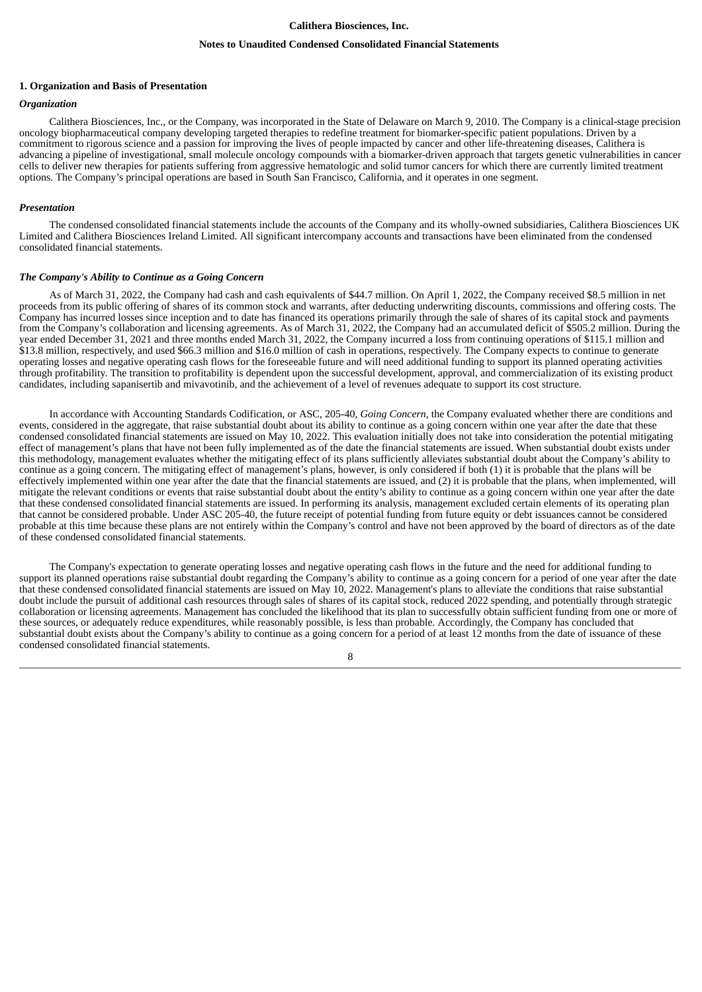# **Calithera Biosciences, Inc. Notes to Unaudited Condensed Consolidated Financial Statements**

#### <span id="page-7-0"></span>**1. Organization and Basis of Presentation**

#### *Organization*

Calithera Biosciences, Inc., or the Company, was incorporated in the State of Delaware on March 9, 2010. The Company is a clinical-stage precision oncology biopharmaceutical company developing targeted therapies to redefine treatment for biomarker-specific patient populations. Driven by a commitment to rigorous science and a passion for improving the lives of people impacted by cancer and other life-threatening diseases, Calithera is advancing a pipeline of investigational, small molecule oncology compounds with a biomarker-driven approach that targets genetic vulnerabilities in cancer cells to deliver new therapies for patients suffering from aggressive hematologic and solid tumor cancers for which there are currently limited treatment options. The Company's principal operations are based in South San Francisco, California, and it operates in one segment.

#### *Presentation*

The condensed consolidated financial statements include the accounts of the Company and its wholly-owned subsidiaries, Calithera Biosciences UK Limited and Calithera Biosciences Ireland Limited. All significant intercompany accounts and transactions have been eliminated from the condensed consolidated financial statements.

## *The Company's Ability to Continue as a Going Concern*

As of March 31, 2022, the Company had cash and cash equivalents of \$44.7 million. On April 1, 2022, the Company received \$8.5 million in net proceeds from its public offering of shares of its common stock and warrants, after deducting underwriting discounts, commissions and offering costs. The Company has incurred losses since inception and to date has financed its operations primarily through the sale of shares of its capital stock and payments from the Company's collaboration and licensing agreements. As of March 31, 2022, the Company had an accumulated deficit of \$505.2 million. During the year ended December 31, 2021 and three months ended March 31, 2022, the Company incurred a loss from continuing operations of \$115.1 million and \$13.8 million, respectively, and used \$66.3 million and \$16.0 million of cash in operations, respectively. The Company expects to continue to generate operating losses and negative operating cash flows for the foreseeable future and will need additional funding to support its planned operating activities through profitability. The transition to profitability is dependent upon the successful development, approval, and commercialization of its existing product candidates, including sapanisertib and mivavotinib, and the achievement of a level of revenues adequate to support its cost structure.

In accordance with Accounting Standards Codification, or ASC, 205-40, *Going Concern*, the Company evaluated whether there are conditions and events, considered in the aggregate, that raise substantial doubt about its ability to continue as a going concern within one year after the date that these condensed consolidated financial statements are issued on May 10, 2022. This evaluation initially does not take into consideration the potential mitigating effect of management's plans that have not been fully implemented as of the date the financial statements are issued. When substantial doubt exists under this methodology, management evaluates whether the mitigating effect of its plans sufficiently alleviates substantial doubt about the Company's ability to continue as a going concern. The mitigating effect of management's plans, however, is only considered if both (1) it is probable that the plans will be effectively implemented within one year after the date that the financial statements are issued, and (2) it is probable that the plans, when implemented, will mitigate the relevant conditions or events that raise substantial doubt about the entity's ability to continue as a going concern within one year after the date that these condensed consolidated financial statements are issued. In performing its analysis, management excluded certain elements of its operating plan that cannot be considered probable. Under ASC 205-40, the future receipt of potential funding from future equity or debt issuances cannot be considered probable at this time because these plans are not entirely within the Company's control and have not been approved by the board of directors as of the date of these condensed consolidated financial statements.

The Company's expectation to generate operating losses and negative operating cash flows in the future and the need for additional funding to support its planned operations raise substantial doubt regarding the Company's ability to continue as a going concern for a period of one year after the date that these condensed consolidated financial statements are issued on May 10, 2022. Management's plans to alleviate the conditions that raise substantial doubt include the pursuit of additional cash resources through sales of shares of its capital stock, reduced 2022 spending, and potentially through strategic collaboration or licensing agreements. Management has concluded the likelihood that its plan to successfully obtain sufficient funding from one or more of these sources, or adequately reduce expenditures, while reasonably possible, is less than probable. Accordingly, the Company has concluded that substantial doubt exists about the Company's ability to continue as a going concern for a period of at least 12 months from the date of issuance of these condensed consolidated financial statements.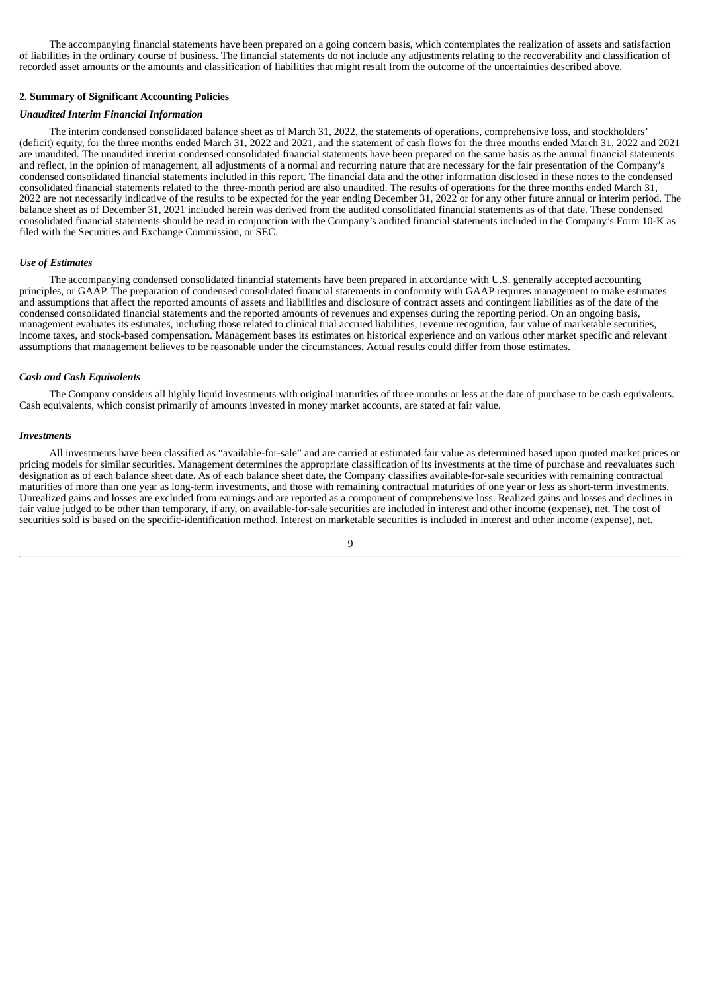The accompanying financial statements have been prepared on a going concern basis, which contemplates the realization of assets and satisfaction of liabilities in the ordinary course of business. The financial statements do not include any adjustments relating to the recoverability and classification of recorded asset amounts or the amounts and classification of liabilities that might result from the outcome of the uncertainties described above.

#### **2. Summary of Significant Accounting Policies**

#### *Unaudited Interim Financial Information*

The interim condensed consolidated balance sheet as of March 31, 2022, the statements of operations, comprehensive loss, and stockholders' (deficit) equity, for the three months ended March 31, 2022 and 2021, and the statement of cash flows for the three months ended March 31, 2022 and 2021 are unaudited. The unaudited interim condensed consolidated financial statements have been prepared on the same basis as the annual financial statements and reflect, in the opinion of management, all adjustments of a normal and recurring nature that are necessary for the fair presentation of the Company's condensed consolidated financial statements included in this report. The financial data and the other information disclosed in these notes to the condensed consolidated financial statements related to the three-month period are also unaudited. The results of operations for the three months ended March 31, 2022 are not necessarily indicative of the results to be expected for the year ending December 31, 2022 or for any other future annual or interim period. The balance sheet as of December 31, 2021 included herein was derived from the audited consolidated financial statements as of that date. These condensed consolidated financial statements should be read in conjunction with the Company's audited financial statements included in the Company's Form 10-K as filed with the Securities and Exchange Commission, or SEC.

#### *Use of Estimates*

The accompanying condensed consolidated financial statements have been prepared in accordance with U.S. generally accepted accounting principles, or GAAP. The preparation of condensed consolidated financial statements in conformity with GAAP requires management to make estimates and assumptions that affect the reported amounts of assets and liabilities and disclosure of contract assets and contingent liabilities as of the date of the condensed consolidated financial statements and the reported amounts of revenues and expenses during the reporting period. On an ongoing basis, management evaluates its estimates, including those related to clinical trial accrued liabilities, revenue recognition, fair value of marketable securities, income taxes, and stock-based compensation. Management bases its estimates on historical experience and on various other market specific and relevant assumptions that management believes to be reasonable under the circumstances. Actual results could differ from those estimates.

#### *Cash and Cash Equivalents*

The Company considers all highly liquid investments with original maturities of three months or less at the date of purchase to be cash equivalents. Cash equivalents, which consist primarily of amounts invested in money market accounts, are stated at fair value.

#### *Investments*

All investments have been classified as "available-for-sale" and are carried at estimated fair value as determined based upon quoted market prices or pricing models for similar securities. Management determines the appropriate classification of its investments at the time of purchase and reevaluates such designation as of each balance sheet date. As of each balance sheet date, the Company classifies available-for-sale securities with remaining contractual maturities of more than one year as long-term investments, and those with remaining contractual maturities of one year or less as short-term investments. Unrealized gains and losses are excluded from earnings and are reported as a component of comprehensive loss. Realized gains and losses and declines in fair value judged to be other than temporary, if any, on available-for-sale securities are included in interest and other income (expense), net. The cost of securities sold is based on the specific-identification method. Interest on marketable securities is included in interest and other income (expense), net.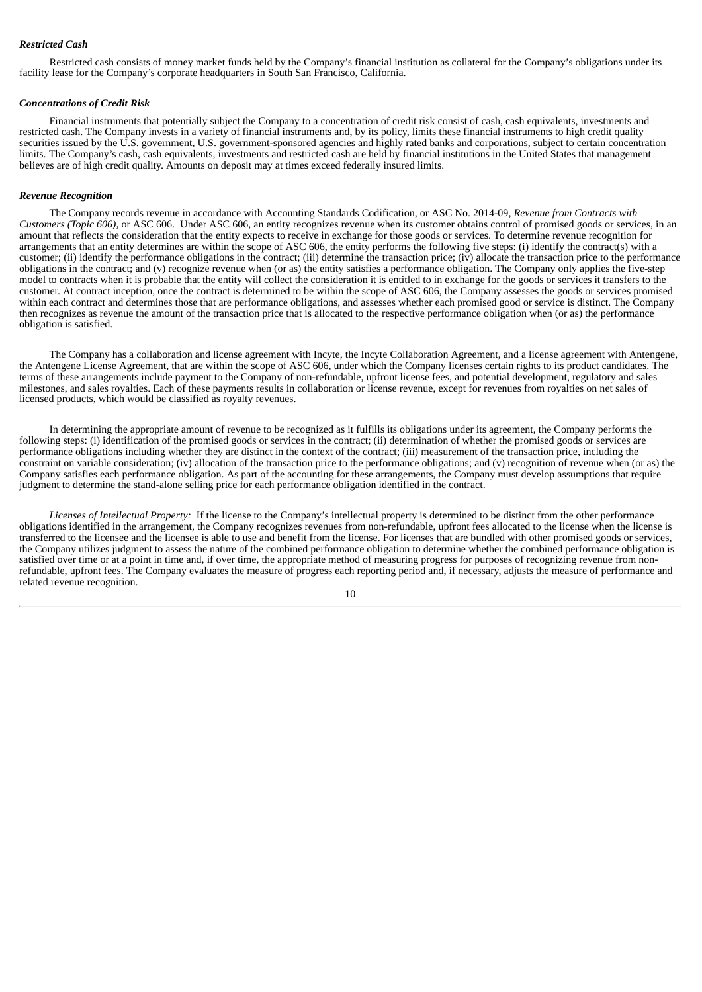# *Restricted Cash*

Restricted cash consists of money market funds held by the Company's financial institution as collateral for the Company's obligations under its facility lease for the Company's corporate headquarters in South San Francisco, California.

#### *Concentrations of Credit Risk*

Financial instruments that potentially subject the Company to a concentration of credit risk consist of cash, cash equivalents, investments and restricted cash. The Company invests in a variety of financial instruments and, by its policy, limits these financial instruments to high credit quality securities issued by the U.S. government, U.S. government-sponsored agencies and highly rated banks and corporations, subject to certain concentration limits. The Company's cash, cash equivalents, investments and restricted cash are held by financial institutions in the United States that management believes are of high credit quality. Amounts on deposit may at times exceed federally insured limits.

#### *Revenue Recognition*

The Company records revenue in accordance with Accounting Standards Codification, or ASC No. 2014-09, *Revenue from Contracts with Customers (Topic 606),* or ASC 606. Under ASC 606, an entity recognizes revenue when its customer obtains control of promised goods or services, in an amount that reflects the consideration that the entity expects to receive in exchange for those goods or services. To determine revenue recognition for arrangements that an entity determines are within the scope of ASC 606, the entity performs the following five steps: (i) identify the contract(s) with a customer; (ii) identify the performance obligations in the contract; (iii) determine the transaction price; (iv) allocate the transaction price to the performance obligations in the contract; and (v) recognize revenue when (or as) the entity satisfies a performance obligation. The Company only applies the five-step model to contracts when it is probable that the entity will collect the consideration it is entitled to in exchange for the goods or services it transfers to the customer. At contract inception, once the contract is determined to be within the scope of ASC 606, the Company assesses the goods or services promised within each contract and determines those that are performance obligations, and assesses whether each promised good or service is distinct. The Company then recognizes as revenue the amount of the transaction price that is allocated to the respective performance obligation when (or as) the performance obligation is satisfied.

The Company has a collaboration and license agreement with Incyte, the Incyte Collaboration Agreement, and a license agreement with Antengene, the Antengene License Agreement, that are within the scope of ASC 606, under which the Company licenses certain rights to its product candidates. The terms of these arrangements include payment to the Company of non-refundable, upfront license fees, and potential development, regulatory and sales milestones, and sales royalties. Each of these payments results in collaboration or license revenue, except for revenues from royalties on net sales of licensed products, which would be classified as royalty revenues.

In determining the appropriate amount of revenue to be recognized as it fulfills its obligations under its agreement, the Company performs the following steps: (i) identification of the promised goods or services in the contract; (ii) determination of whether the promised goods or services are performance obligations including whether they are distinct in the context of the contract; (iii) measurement of the transaction price, including the constraint on variable consideration; (iv) allocation of the transaction price to the performance obligations; and (v) recognition of revenue when (or as) the Company satisfies each performance obligation. As part of the accounting for these arrangements, the Company must develop assumptions that require judgment to determine the stand-alone selling price for each performance obligation identified in the contract.

*Licenses of Intellectual Property:* If the license to the Company's intellectual property is determined to be distinct from the other performance obligations identified in the arrangement, the Company recognizes revenues from non-refundable, upfront fees allocated to the license when the license is transferred to the licensee and the licensee is able to use and benefit from the license. For licenses that are bundled with other promised goods or services, the Company utilizes judgment to assess the nature of the combined performance obligation to determine whether the combined performance obligation is satisfied over time or at a point in time and, if over time, the appropriate method of measuring progress for purposes of recognizing revenue from nonrefundable, upfront fees. The Company evaluates the measure of progress each reporting period and, if necessary, adjusts the measure of performance and related revenue recognition.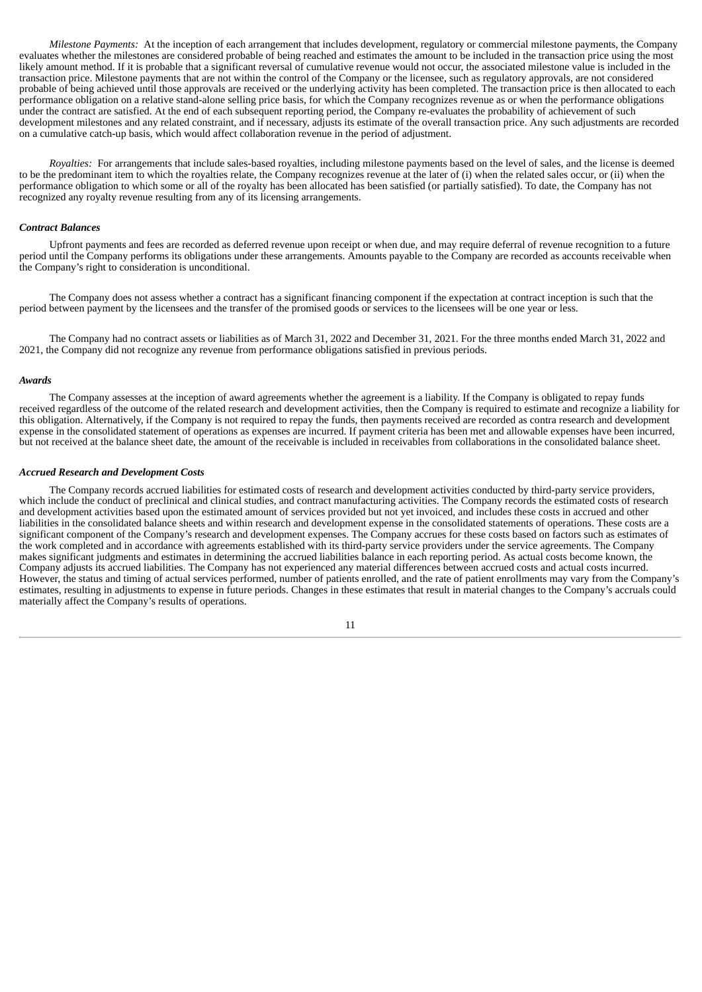*Milestone Payments:* At the inception of each arrangement that includes development, regulatory or commercial milestone payments, the Company evaluates whether the milestones are considered probable of being reached and estimates the amount to be included in the transaction price using the most likely amount method. If it is probable that a significant reversal of cumulative revenue would not occur, the associated milestone value is included in the transaction price. Milestone payments that are not within the control of the Company or the licensee, such as regulatory approvals, are not considered probable of being achieved until those approvals are received or the underlying activity has been completed. The transaction price is then allocated to each performance obligation on a relative stand-alone selling price basis, for which the Company recognizes revenue as or when the performance obligations under the contract are satisfied. At the end of each subsequent reporting period, the Company re-evaluates the probability of achievement of such development milestones and any related constraint, and if necessary, adjusts its estimate of the overall transaction price. Any such adjustments are recorded on a cumulative catch-up basis, which would affect collaboration revenue in the period of adjustment.

*Royalties:* For arrangements that include sales-based royalties, including milestone payments based on the level of sales, and the license is deemed to be the predominant item to which the royalties relate, the Company recognizes revenue at the later of (i) when the related sales occur, or (ii) when the performance obligation to which some or all of the royalty has been allocated has been satisfied (or partially satisfied). To date, the Company has not recognized any royalty revenue resulting from any of its licensing arrangements.

#### *Contract Balances*

Upfront payments and fees are recorded as deferred revenue upon receipt or when due, and may require deferral of revenue recognition to a future period until the Company performs its obligations under these arrangements. Amounts payable to the Company are recorded as accounts receivable when the Company's right to consideration is unconditional.

The Company does not assess whether a contract has a significant financing component if the expectation at contract inception is such that the period between payment by the licensees and the transfer of the promised goods or services to the licensees will be one year or less.

The Company had no contract assets or liabilities as of March 31, 2022 and December 31, 2021. For the three months ended March 31, 2022 and 2021, the Company did not recognize any revenue from performance obligations satisfied in previous periods.

#### *Awards*

The Company assesses at the inception of award agreements whether the agreement is a liability. If the Company is obligated to repay funds received regardless of the outcome of the related research and development activities, then the Company is required to estimate and recognize a liability for this obligation. Alternatively, if the Company is not required to repay the funds, then payments received are recorded as contra research and development expense in the consolidated statement of operations as expenses are incurred. If payment criteria has been met and allowable expenses have been incurred, but not received at the balance sheet date, the amount of the receivable is included in receivables from collaborations in the consolidated balance sheet.

#### *Accrued Research and Development Costs*

The Company records accrued liabilities for estimated costs of research and development activities conducted by third-party service providers, which include the conduct of preclinical and clinical studies, and contract manufacturing activities. The Company records the estimated costs of research and development activities based upon the estimated amount of services provided but not yet invoiced, and includes these costs in accrued and other liabilities in the consolidated balance sheets and within research and development expense in the consolidated statements of operations. These costs are a significant component of the Company's research and development expenses. The Company accrues for these costs based on factors such as estimates of the work completed and in accordance with agreements established with its third-party service providers under the service agreements. The Company makes significant judgments and estimates in determining the accrued liabilities balance in each reporting period. As actual costs become known, the Company adjusts its accrued liabilities. The Company has not experienced any material differences between accrued costs and actual costs incurred. However, the status and timing of actual services performed, number of patients enrolled, and the rate of patient enrollments may vary from the Company's estimates, resulting in adjustments to expense in future periods. Changes in these estimates that result in material changes to the Company's accruals could materially affect the Company's results of operations.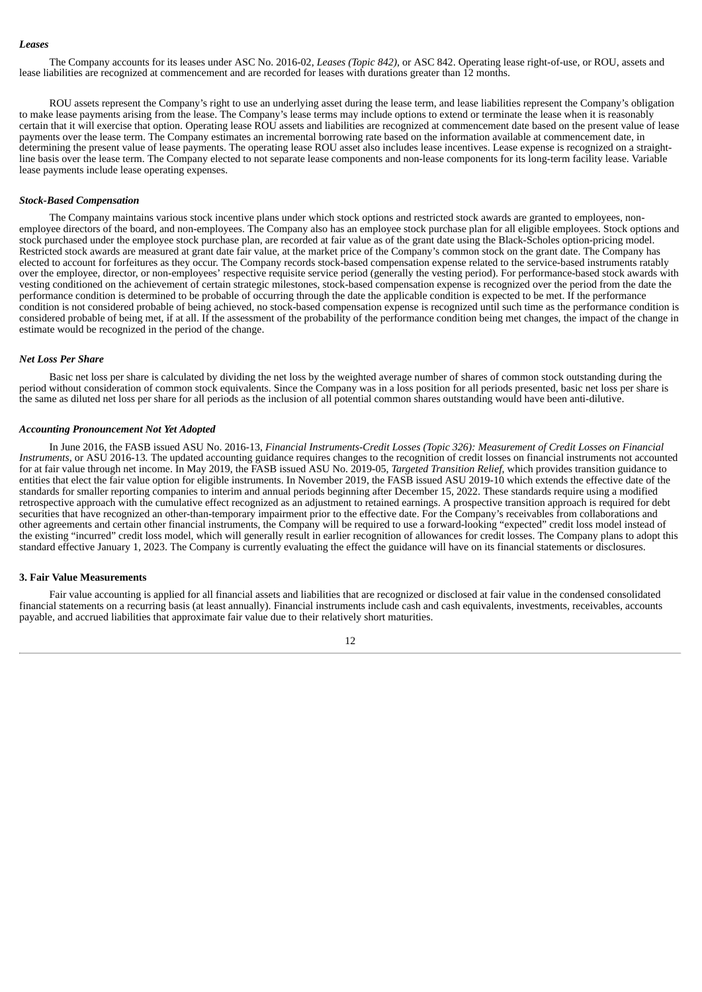#### *Leases*

The Company accounts for its leases under ASC No. 2016-02, *Leases (Topic 842),* or ASC 842. Operating lease right-of-use, or ROU, assets and lease liabilities are recognized at commencement and are recorded for leases with durations greater than 12 months.

ROU assets represent the Company's right to use an underlying asset during the lease term, and lease liabilities represent the Company's obligation to make lease payments arising from the lease. The Company's lease terms may include options to extend or terminate the lease when it is reasonably certain that it will exercise that option. Operating lease ROU assets and liabilities are recognized at commencement date based on the present value of lease payments over the lease term. The Company estimates an incremental borrowing rate based on the information available at commencement date, in determining the present value of lease payments. The operating lease ROU asset also includes lease incentives. Lease expense is recognized on a straightline basis over the lease term. The Company elected to not separate lease components and non-lease components for its long-term facility lease. Variable lease payments include lease operating expenses.

#### *Stock-Based Compensation*

The Company maintains various stock incentive plans under which stock options and restricted stock awards are granted to employees, nonemployee directors of the board, and non-employees. The Company also has an employee stock purchase plan for all eligible employees. Stock options and stock purchased under the employee stock purchase plan, are recorded at fair value as of the grant date using the Black-Scholes option-pricing model. Restricted stock awards are measured at grant date fair value, at the market price of the Company's common stock on the grant date. The Company has elected to account for forfeitures as they occur. The Company records stock-based compensation expense related to the service-based instruments ratably over the employee, director, or non-employees' respective requisite service period (generally the vesting period). For performance-based stock awards with vesting conditioned on the achievement of certain strategic milestones, stock-based compensation expense is recognized over the period from the date the performance condition is determined to be probable of occurring through the date the applicable condition is expected to be met. If the performance condition is not considered probable of being achieved, no stock-based compensation expense is recognized until such time as the performance condition is considered probable of being met, if at all. If the assessment of the probability of the performance condition being met changes, the impact of the change in estimate would be recognized in the period of the change.

#### *Net Loss Per Share*

Basic net loss per share is calculated by dividing the net loss by the weighted average number of shares of common stock outstanding during the period without consideration of common stock equivalents. Since the Company was in a loss position for all periods presented, basic net loss per share is the same as diluted net loss per share for all periods as the inclusion of all potential common shares outstanding would have been anti-dilutive.

#### *Accounting Pronouncement Not Yet Adopted*

In June 2016, the FASB issued ASU No. 2016-13, *Financial Instruments-Credit Losses (Topic 326): Measurement of Credit Losses on Financial Instruments,* or ASU 2016-13*.* The updated accounting guidance requires changes to the recognition of credit losses on financial instruments not accounted for at fair value through net income. In May 2019, the FASB issued ASU No. 2019-05, *Targeted Transition Relief*, which provides transition guidance to entities that elect the fair value option for eligible instruments. In November 2019, the FASB issued ASU 2019-10 which extends the effective date of the standards for smaller reporting companies to interim and annual periods beginning after December 15, 2022. These standards require using a modified retrospective approach with the cumulative effect recognized as an adjustment to retained earnings. A prospective transition approach is required for debt securities that have recognized an other-than-temporary impairment prior to the effective date. For the Company's receivables from collaborations and other agreements and certain other financial instruments, the Company will be required to use a forward-looking "expected" credit loss model instead of the existing "incurred" credit loss model, which will generally result in earlier recognition of allowances for credit losses. The Company plans to adopt this standard effective January 1, 2023. The Company is currently evaluating the effect the guidance will have on its financial statements or disclosures.

#### **3. Fair Value Measurements**

Fair value accounting is applied for all financial assets and liabilities that are recognized or disclosed at fair value in the condensed consolidated financial statements on a recurring basis (at least annually). Financial instruments include cash and cash equivalents, investments, receivables, accounts payable, and accrued liabilities that approximate fair value due to their relatively short maturities.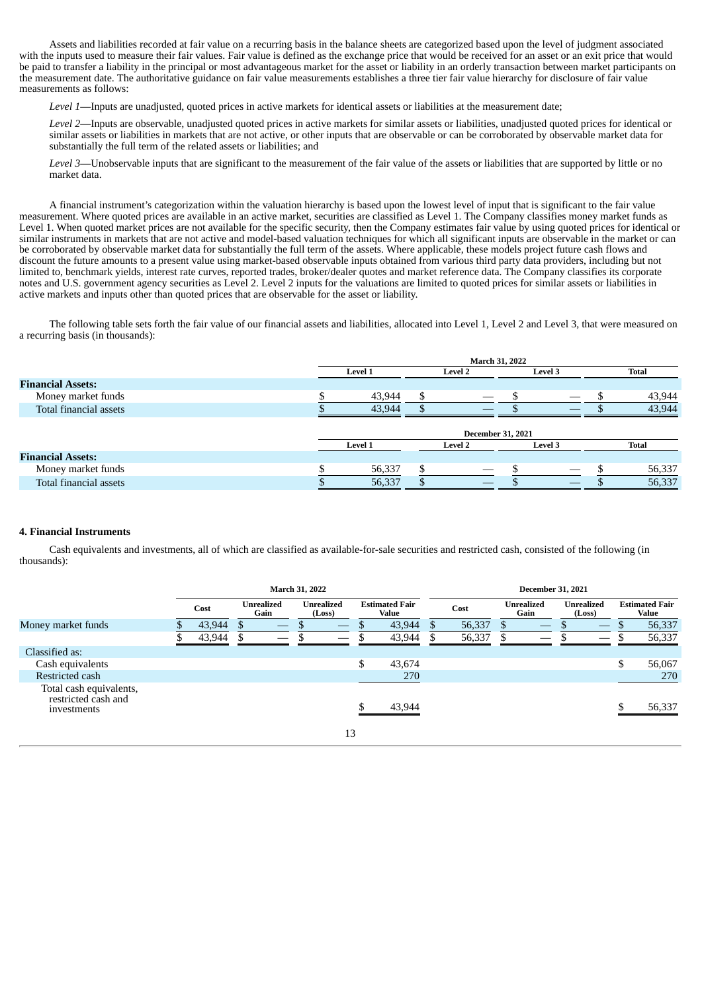Assets and liabilities recorded at fair value on a recurring basis in the balance sheets are categorized based upon the level of judgment associated with the inputs used to measure their fair values. Fair value is defined as the exchange price that would be received for an asset or an exit price that would be paid to transfer a liability in the principal or most advantageous market for the asset or liability in an orderly transaction between market participants on the measurement date. The authoritative guidance on fair value measurements establishes a three tier fair value hierarchy for disclosure of fair value measurements as follows:

*Level 1*—Inputs are unadjusted, quoted prices in active markets for identical assets or liabilities at the measurement date;

*Level 2*—Inputs are observable, unadjusted quoted prices in active markets for similar assets or liabilities, unadjusted quoted prices for identical or similar assets or liabilities in markets that are not active, or other inputs that are observable or can be corroborated by observable market data for substantially the full term of the related assets or liabilities; and

*Level 3*—Unobservable inputs that are significant to the measurement of the fair value of the assets or liabilities that are supported by little or no market data.

A financial instrument's categorization within the valuation hierarchy is based upon the lowest level of input that is significant to the fair value measurement. Where quoted prices are available in an active market, securities are classified as Level 1. The Company classifies money market funds as Level 1. When quoted market prices are not available for the specific security, then the Company estimates fair value by using quoted prices for identical or similar instruments in markets that are not active and model-based valuation techniques for which all significant inputs are observable in the market or can be corroborated by observable market data for substantially the full term of the assets. Where applicable, these models project future cash flows and discount the future amounts to a present value using market-based observable inputs obtained from various third party data providers, including but not limited to, benchmark yields, interest rate curves, reported trades, broker/dealer quotes and market reference data. The Company classifies its corporate notes and U.S. government agency securities as Level 2. Level 2 inputs for the valuations are limited to quoted prices for similar assets or liabilities in active markets and inputs other than quoted prices that are observable for the asset or liability.

The following table sets forth the fair value of our financial assets and liabilities, allocated into Level 1, Level 2 and Level 3, that were measured on a recurring basis (in thousands):

|                          | <b>March 31, 2022</b> |         |  |                          |  |         |              |              |  |  |
|--------------------------|-----------------------|---------|--|--------------------------|--|---------|--------------|--------------|--|--|
|                          |                       | Level 1 |  | <b>Level 2</b>           |  | Level 3 | <b>Total</b> |              |  |  |
| <b>Financial Assets:</b> |                       |         |  |                          |  |         |              |              |  |  |
| Money market funds       |                       | 43,944  |  |                          |  |         |              | 43,944       |  |  |
| Total financial assets   |                       | 43.944  |  |                          |  |         |              | 43,944       |  |  |
|                          |                       |         |  | <b>December 31, 2021</b> |  |         |              |              |  |  |
|                          |                       | Level 1 |  | <b>Level 2</b>           |  | Level 3 |              | <b>Total</b> |  |  |
| <b>Financial Assets:</b> |                       |         |  |                          |  |         |              |              |  |  |
| Money market funds       |                       | 56,337  |  |                          |  |         |              | 56,337       |  |  |
| Total financial assets   |                       | 56,337  |  |                          |  |         |              | 56,337       |  |  |

#### **4. Financial Instruments**

Cash equivalents and investments, all of which are classified as available-for-sale securities and restricted cash, consisted of the following (in thousands):

|                                                               | <b>March 31, 2022</b> |  |                    |  |                             |    |                                | <b>December 31, 2021</b> |        |  |                           |  |                                |  |                                |
|---------------------------------------------------------------|-----------------------|--|--------------------|--|-----------------------------|----|--------------------------------|--------------------------|--------|--|---------------------------|--|--------------------------------|--|--------------------------------|
|                                                               | Cost                  |  | Unrealized<br>Gain |  | <b>Unrealized</b><br>(Loss) |    | <b>Estimated Fair</b><br>Value |                          | Cost   |  | <b>Unrealized</b><br>Gain |  | Unrealized<br>(Loss)           |  | <b>Estimated Fair</b><br>Value |
| Money market funds                                            | 43,944                |  |                    |  |                             |    | 43,944                         |                          | 56,337 |  |                           |  | $\overbrace{\hspace{25mm}}^{}$ |  | 56,337                         |
|                                                               | 43,944                |  |                    |  |                             |    | 43,944                         |                          | 56,337 |  |                           |  |                                |  | 56,337                         |
| Classified as:                                                |                       |  |                    |  |                             |    |                                |                          |        |  |                           |  |                                |  |                                |
| Cash equivalents                                              |                       |  |                    |  |                             | \$ | 43,674                         |                          |        |  |                           |  |                                |  | 56,067                         |
| Restricted cash                                               |                       |  |                    |  |                             |    | 270                            |                          |        |  |                           |  |                                |  | 270                            |
| Total cash equivalents,<br>restricted cash and<br>investments |                       |  |                    |  |                             |    | 43.944                         |                          |        |  |                           |  |                                |  | 56,337                         |
|                                                               |                       |  |                    |  | 13                          |    |                                |                          |        |  |                           |  |                                |  |                                |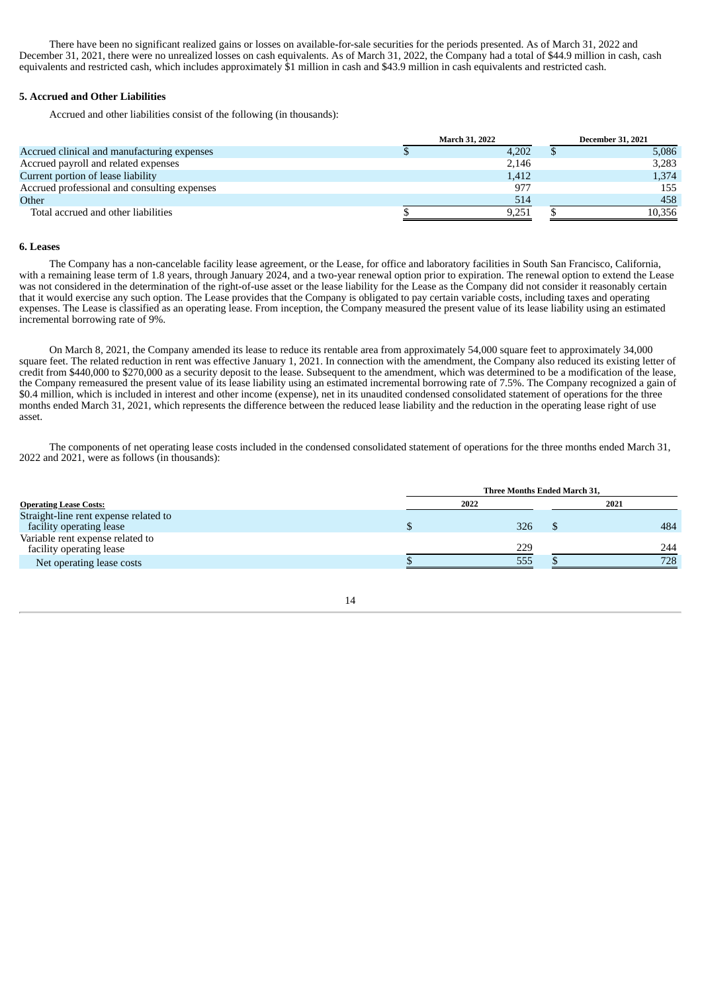There have been no significant realized gains or losses on available-for-sale securities for the periods presented. As of March 31, 2022 and December 31, 2021, there were no unrealized losses on cash equivalents. As of March 31, 2022, the Company had a total of \$44.9 million in cash, cash equivalents and restricted cash, which includes approximately \$1 million in cash and \$43.9 million in cash equivalents and restricted cash.

#### **5. Accrued and Other Liabilities**

Accrued and other liabilities consist of the following (in thousands):

|                                              | <b>March 31, 2022</b> | <b>December 31, 2021</b> |  |        |
|----------------------------------------------|-----------------------|--------------------------|--|--------|
| Accrued clinical and manufacturing expenses  |                       | 4,202                    |  | 5,086  |
| Accrued payroll and related expenses         |                       | 2.146                    |  | 3,283  |
| Current portion of lease liability           |                       | 1,412                    |  | 1,374  |
| Accrued professional and consulting expenses |                       | 977                      |  | 155    |
| Other                                        |                       | 514                      |  | 458    |
| Total accrued and other liabilities          |                       | 9,251                    |  | 10,356 |

#### **6. Leases**

The Company has a non-cancelable facility lease agreement, or the Lease, for office and laboratory facilities in South San Francisco, California, with a remaining lease term of 1.8 years, through January 2024, and a two-year renewal option prior to expiration. The renewal option to extend the Lease was not considered in the determination of the right-of-use asset or the lease liability for the Lease as the Company did not consider it reasonably certain that it would exercise any such option. The Lease provides that the Company is obligated to pay certain variable costs, including taxes and operating expenses. The Lease is classified as an operating lease. From inception, the Company measured the present value of its lease liability using an estimated incremental borrowing rate of 9%.

On March 8, 2021, the Company amended its lease to reduce its rentable area from approximately 54,000 square feet to approximately 34,000 square feet. The related reduction in rent was effective January 1, 2021. In connection with the amendment, the Company also reduced its existing letter of credit from \$440,000 to \$270,000 as a security deposit to the lease. Subsequent to the amendment, which was determined to be a modification of the lease, the Company remeasured the present value of its lease liability using an estimated incremental borrowing rate of 7.5%. The Company recognized a gain of \$0.4 million, which is included in interest and other income (expense), net in its unaudited condensed consolidated statement of operations for the three months ended March 31, 2021, which represents the difference between the reduced lease liability and the reduction in the operating lease right of use asset.

The components of net operating lease costs included in the condensed consolidated statement of operations for the three months ended March 31, 2022 and 2021, were as follows (in thousands):

|                                                                   | <b>Three Months Ended March 31.</b> |     |      |  |  |  |  |
|-------------------------------------------------------------------|-------------------------------------|-----|------|--|--|--|--|
| <b>Operating Lease Costs:</b>                                     | 2022                                |     | 2021 |  |  |  |  |
| Straight-line rent expense related to<br>facility operating lease |                                     | 326 | 484  |  |  |  |  |
| Variable rent expense related to<br>facility operating lease      |                                     | 229 | 244  |  |  |  |  |
| Net operating lease costs                                         |                                     | 555 | 728  |  |  |  |  |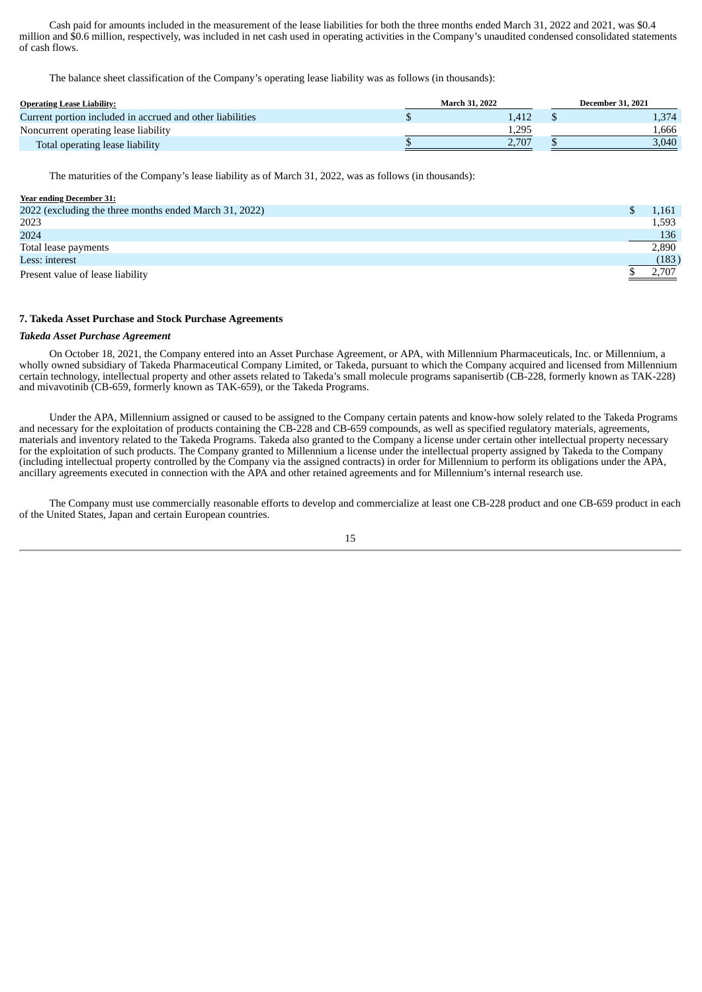Cash paid for amounts included in the measurement of the lease liabilities for both the three months ended March 31, 2022 and 2021, was \$0.4 million and \$0.6 million, respectively, was included in net cash used in operating activities in the Company's unaudited condensed consolidated statements of cash flows.

The balance sheet classification of the Company's operating lease liability was as follows (in thousands):

| <b>Operating Lease Liability:</b>                         | March 31, 2022 |       | <b>December 31, 2021</b> |       |
|-----------------------------------------------------------|----------------|-------|--------------------------|-------|
| Current portion included in accrued and other liabilities |                | L.412 |                          | 1,374 |
| Noncurrent operating lease liability                      |                | 1,295 |                          | .666  |
| Total operating lease liability                           |                | 2.707 |                          | 3,040 |

The maturities of the Company's lease liability as of March 31, 2022, was as follows (in thousands):

#### **Year ending December 31:**

| 2022 (excluding the three months ended March 31, 2022) | $\ldots$ 161        |
|--------------------------------------------------------|---------------------|
| 2023                                                   | 1,593               |
| 2024                                                   | 136                 |
| Total lease payments                                   | 2,890               |
| Less: interest                                         | (183)               |
| Present value of lease liability                       | $\frac{1}{2}$ 2,707 |

#### **7. Takeda Asset Purchase and Stock Purchase Agreements**

#### *Takeda Asset Purchase Agreement*

On October 18, 2021, the Company entered into an Asset Purchase Agreement, or APA, with Millennium Pharmaceuticals, Inc. or Millennium, a wholly owned subsidiary of Takeda Pharmaceutical Company Limited, or Takeda, pursuant to which the Company acquired and licensed from Millennium certain technology, intellectual property and other assets related to Takeda's small molecule programs sapanisertib (CB-228, formerly known as TAK-228) and mivavotinib (CB-659, formerly known as TAK-659), or the Takeda Programs.

Under the APA, Millennium assigned or caused to be assigned to the Company certain patents and know-how solely related to the Takeda Programs and necessary for the exploitation of products containing the CB-228 and CB-659 compounds, as well as specified regulatory materials, agreements, materials and inventory related to the Takeda Programs. Takeda also granted to the Company a license under certain other intellectual property necessary for the exploitation of such products. The Company granted to Millennium a license under the intellectual property assigned by Takeda to the Company (including intellectual property controlled by the Company via the assigned contracts) in order for Millennium to perform its obligations under the APA, ancillary agreements executed in connection with the APA and other retained agreements and for Millennium's internal research use.

The Company must use commercially reasonable efforts to develop and commercialize at least one CB-228 product and one CB-659 product in each of the United States, Japan and certain European countries.

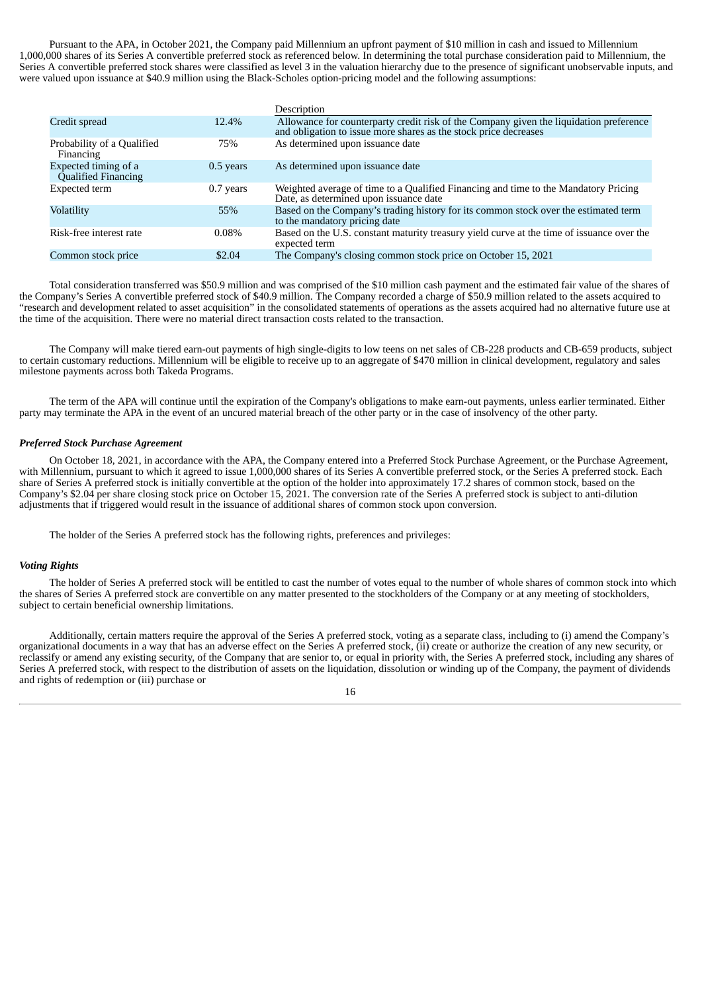Pursuant to the APA, in October 2021, the Company paid Millennium an upfront payment of \$10 million in cash and issued to Millennium 1,000,000 shares of its Series A convertible preferred stock as referenced below. In determining the total purchase consideration paid to Millennium, the Series A convertible preferred stock shares were classified as level 3 in the valuation hierarchy due to the presence of significant unobservable inputs, and were valued upon issuance at \$40.9 million using the Black-Scholes option-pricing model and the following assumptions:

|                                             |             | Description                                                                                                                                                |
|---------------------------------------------|-------------|------------------------------------------------------------------------------------------------------------------------------------------------------------|
| Credit spread                               | 12.4%       | Allowance for counterparty credit risk of the Company given the liquidation preference<br>and obligation to issue more shares as the stock price decreases |
| Probability of a Qualified<br>Financing     | 75%         | As determined upon issuance date                                                                                                                           |
| Expected timing of a<br>Qualified Financing | $0.5$ years | As determined upon issuance date                                                                                                                           |
| Expected term                               | $0.7$ years | Weighted average of time to a Qualified Financing and time to the Mandatory Pricing<br>Date, as determined upon issuance date                              |
| <b>Volatility</b>                           | 55%         | Based on the Company's trading history for its common stock over the estimated term<br>to the mandatory pricing date                                       |
| Risk-free interest rate                     | 0.08%       | Based on the U.S. constant maturity treasury yield curve at the time of issuance over the<br>expected term                                                 |
| Common stock price                          | \$2.04      | The Company's closing common stock price on October 15, 2021                                                                                               |

Total consideration transferred was \$50.9 million and was comprised of the \$10 million cash payment and the estimated fair value of the shares of the Company's Series A convertible preferred stock of \$40.9 million. The Company recorded a charge of \$50.9 million related to the assets acquired to "research and development related to asset acquisition" in the consolidated statements of operations as the assets acquired had no alternative future use at the time of the acquisition. There were no material direct transaction costs related to the transaction.

The Company will make tiered earn-out payments of high single-digits to low teens on net sales of CB-228 products and CB-659 products, subject to certain customary reductions. Millennium will be eligible to receive up to an aggregate of \$470 million in clinical development, regulatory and sales milestone payments across both Takeda Programs.

The term of the APA will continue until the expiration of the Company's obligations to make earn-out payments, unless earlier terminated. Either party may terminate the APA in the event of an uncured material breach of the other party or in the case of insolvency of the other party.

#### *Preferred Stock Purchase Agreement*

On October 18, 2021, in accordance with the APA, the Company entered into a Preferred Stock Purchase Agreement, or the Purchase Agreement, with Millennium, pursuant to which it agreed to issue 1,000,000 shares of its Series A convertible preferred stock, or the Series A preferred stock. Each share of Series A preferred stock is initially convertible at the option of the holder into approximately 17.2 shares of common stock, based on the Company's \$2.04 per share closing stock price on October 15, 2021. The conversion rate of the Series A preferred stock is subject to anti-dilution adjustments that if triggered would result in the issuance of additional shares of common stock upon conversion.

The holder of the Series A preferred stock has the following rights, preferences and privileges:

## *Voting Rights*

The holder of Series A preferred stock will be entitled to cast the number of votes equal to the number of whole shares of common stock into which the shares of Series A preferred stock are convertible on any matter presented to the stockholders of the Company or at any meeting of stockholders, subject to certain beneficial ownership limitations.

Additionally, certain matters require the approval of the Series A preferred stock, voting as a separate class, including to (i) amend the Company's organizational documents in a way that has an adverse effect on the Series A preferred stock, (ii) create or authorize the creation of any new security, or reclassify or amend any existing security, of the Company that are senior to, or equal in priority with, the Series A preferred stock, including any shares of Series A preferred stock, with respect to the distribution of assets on the liquidation, dissolution or winding up of the Company, the payment of dividends and rights of redemption or (iii) purchase or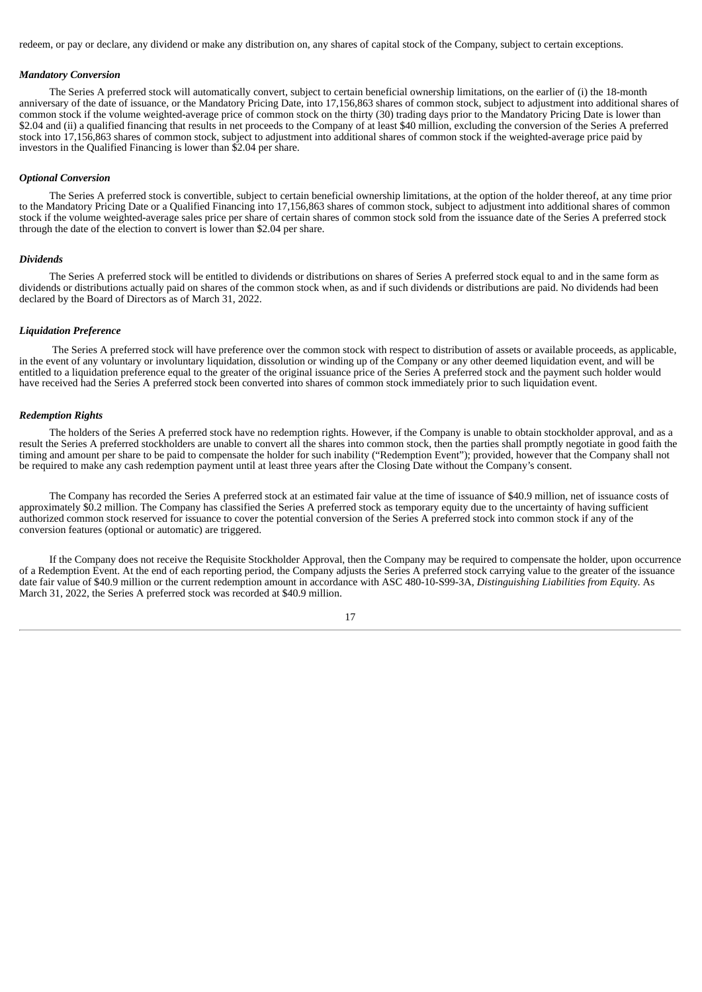redeem, or pay or declare, any dividend or make any distribution on, any shares of capital stock of the Company, subject to certain exceptions.

#### *Mandatory Conversion*

The Series A preferred stock will automatically convert, subject to certain beneficial ownership limitations, on the earlier of (i) the 18-month anniversary of the date of issuance, or the Mandatory Pricing Date, into 17,156,863 shares of common stock, subject to adjustment into additional shares of common stock if the volume weighted-average price of common stock on the thirty (30) trading days prior to the Mandatory Pricing Date is lower than \$2.04 and (ii) a qualified financing that results in net proceeds to the Company of at least \$40 million, excluding the conversion of the Series A preferred stock into 17,156,863 shares of common stock, subject to adjustment into additional shares of common stock if the weighted-average price paid by investors in the Qualified Financing is lower than \$2.04 per share.

#### *Optional Conversion*

The Series A preferred stock is convertible, subject to certain beneficial ownership limitations, at the option of the holder thereof, at any time prior to the Mandatory Pricing Date or a Qualified Financing into 17,156,863 shares of common stock, subject to adjustment into additional shares of common stock if the volume weighted-average sales price per share of certain shares of common stock sold from the issuance date of the Series A preferred stock through the date of the election to convert is lower than \$2.04 per share.

#### *Dividends*

The Series A preferred stock will be entitled to dividends or distributions on shares of Series A preferred stock equal to and in the same form as dividends or distributions actually paid on shares of the common stock when, as and if such dividends or distributions are paid. No dividends had been declared by the Board of Directors as of March 31, 2022.

#### *Liquidation Preference*

The Series A preferred stock will have preference over the common stock with respect to distribution of assets or available proceeds, as applicable, in the event of any voluntary or involuntary liquidation, dissolution or winding up of the Company or any other deemed liquidation event, and will be entitled to a liquidation preference equal to the greater of the original issuance price of the Series A preferred stock and the payment such holder would have received had the Series A preferred stock been converted into shares of common stock immediately prior to such liquidation event.

#### *Redemption Rights*

The holders of the Series A preferred stock have no redemption rights. However, if the Company is unable to obtain stockholder approval, and as a result the Series A preferred stockholders are unable to convert all the shares into common stock, then the parties shall promptly negotiate in good faith the timing and amount per share to be paid to compensate the holder for such inability ("Redemption Event"); provided, however that the Company shall not be required to make any cash redemption payment until at least three years after the Closing Date without the Company's consent.

The Company has recorded the Series A preferred stock at an estimated fair value at the time of issuance of \$40.9 million, net of issuance costs of approximately \$0.2 million. The Company has classified the Series A preferred stock as temporary equity due to the uncertainty of having sufficient authorized common stock reserved for issuance to cover the potential conversion of the Series A preferred stock into common stock if any of the conversion features (optional or automatic) are triggered.

If the Company does not receive the Requisite Stockholder Approval, then the Company may be required to compensate the holder, upon occurrence of a Redemption Event. At the end of each reporting period, the Company adjusts the Series A preferred stock carrying value to the greater of the issuance date fair value of \$40.9 million or the current redemption amount in accordance with ASC 480-10-S99-3A, *Distinguishing Liabilities from Equit*y. As March 31, 2022, the Series A preferred stock was recorded at \$40.9 million.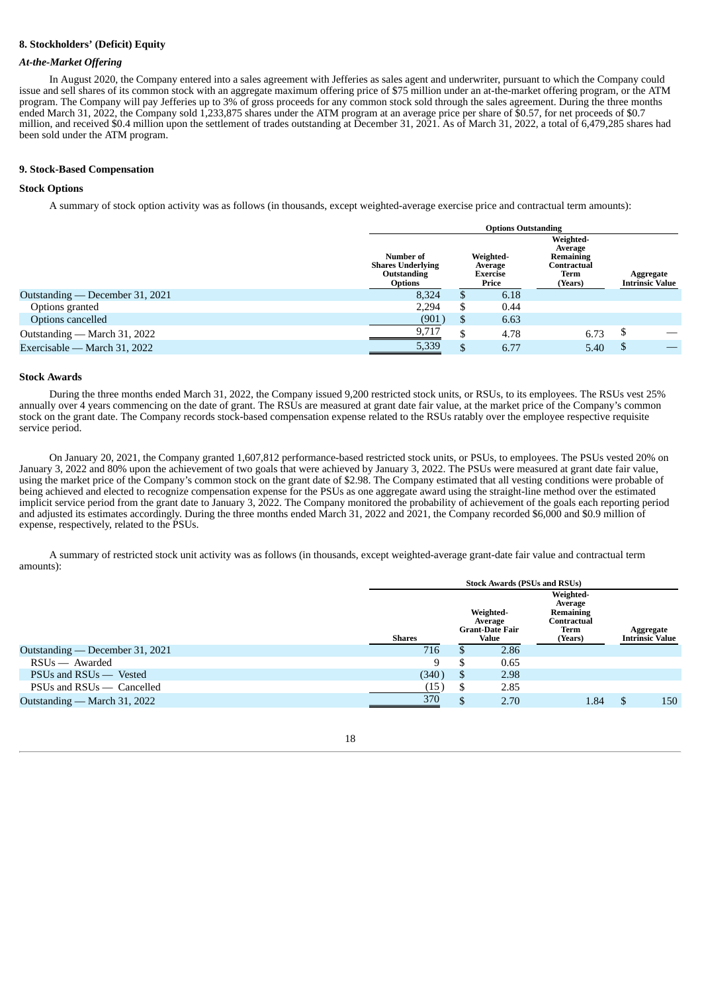# **8. Stockholders' (Deficit) Equity**

#### *At-the-Market Offering*

In August 2020, the Company entered into a sales agreement with Jefferies as sales agent and underwriter, pursuant to which the Company could issue and sell shares of its common stock with an aggregate maximum offering price of \$75 million under an at-the-market offering program, or the ATM program. The Company will pay Jefferies up to 3% of gross proceeds for any common stock sold through the sales agreement. During the three months ended March 31, 2022, the Company sold 1,233,875 shares under the ATM program at an average price per share of \$0.57, for net proceeds of \$0.7 million, and received \$0.4 million upon the settlement of trades outstanding at December 31, 2021. As of March 31, 2022, a total of 6,479,285 shares had been sold under the ATM program.

#### **9. Stock-Based Compensation**

# **Stock Options**

A summary of stock option activity was as follows (in thousands, except weighted-average exercise price and contractual term amounts):

|                                 |                                                                        | <b>Options Outstanding</b> |                                                  |                                                                     |      |                                     |
|---------------------------------|------------------------------------------------------------------------|----------------------------|--------------------------------------------------|---------------------------------------------------------------------|------|-------------------------------------|
|                                 | Number of<br><b>Shares Underlying</b><br>Outstanding<br><b>Options</b> |                            | Weighted-<br>Average<br><b>Exercise</b><br>Price | Weighted-<br>Average<br>Remaining<br>Contractual<br>Term<br>(Years) |      | Aggregate<br><b>Intrinsic Value</b> |
| Outstanding — December 31, 2021 | 8,324                                                                  | ъ                          | 6.18                                             |                                                                     |      |                                     |
| Options granted                 | 2,294                                                                  | S                          | 0.44                                             |                                                                     |      |                                     |
| Options cancelled               | (901)                                                                  | \$                         | 6.63                                             |                                                                     |      |                                     |
| Outstanding — March 31, 2022    | 9,717                                                                  | S                          | 4.78                                             | 6.73                                                                | - \$ |                                     |
| Exercisable — March 31, 2022    | 5,339                                                                  |                            | 6.77                                             | 5.40                                                                | -S   |                                     |

#### **Stock Awards**

During the three months ended March 31, 2022, the Company issued 9,200 restricted stock units, or RSUs, to its employees. The RSUs vest 25% annually over 4 years commencing on the date of grant. The RSUs are measured at grant date fair value, at the market price of the Company's common stock on the grant date. The Company records stock-based compensation expense related to the RSUs ratably over the employee respective requisite service period.

On January 20, 2021, the Company granted 1,607,812 performance-based restricted stock units, or PSUs, to employees. The PSUs vested 20% on January 3, 2022 and 80% upon the achievement of two goals that were achieved by January 3, 2022. The PSUs were measured at grant date fair value, using the market price of the Company's common stock on the grant date of \$2.98. The Company estimated that all vesting conditions were probable of being achieved and elected to recognize compensation expense for the PSUs as one aggregate award using the straight-line method over the estimated implicit service period from the grant date to January 3, 2022. The Company monitored the probability of achievement of the goals each reporting period and adjusted its estimates accordingly. During the three months ended March 31, 2022 and 2021, the Company recorded \$6,000 and \$0.9 million of expense, respectively, related to the PSUs.

A summary of restricted stock unit activity was as follows (in thousands, except weighted-average grant-date fair value and contractual term amounts):

| <b>Stock Awards (PSUs and RSUs)</b> |     |       |                                                                     |      |                                     |  |
|-------------------------------------|-----|-------|---------------------------------------------------------------------|------|-------------------------------------|--|
| Shares                              |     | Value | Weighted-<br>Average<br>Remaining<br>Contractual<br>Term<br>(Years) |      | Aggregate<br><b>Intrinsic Value</b> |  |
| 716                                 | \$. | 2.86  |                                                                     |      |                                     |  |
|                                     | S   | 0.65  |                                                                     |      |                                     |  |
| (340)                               | \$. | 2.98  |                                                                     |      |                                     |  |
| (15)                                | \$  | 2.85  |                                                                     |      |                                     |  |
| 370                                 | \$  | 2.70  | 1.84                                                                | - \$ | 150                                 |  |
|                                     |     |       | Weighted-<br>Average<br><b>Grant-Date Fair</b>                      |      |                                     |  |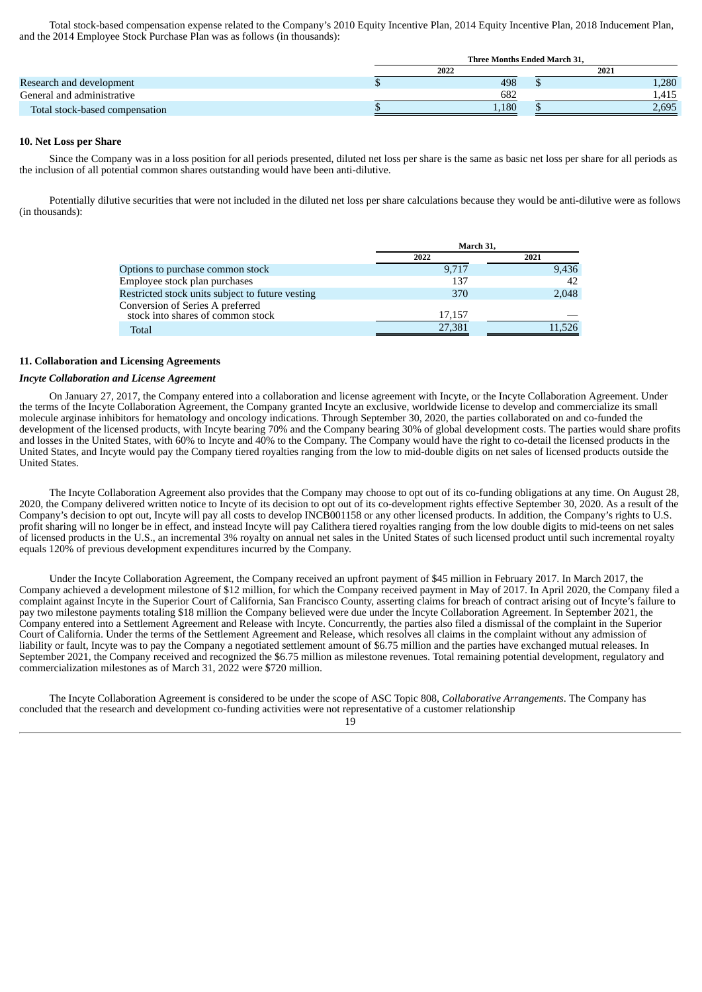Total stock-based compensation expense related to the Company's 2010 Equity Incentive Plan, 2014 Equity Incentive Plan, 2018 Inducement Plan, and the 2014 Employee Stock Purchase Plan was as follows (in thousands):

|                                | <b>Three Months Ended March 31.</b> |      |       |  |  |  |
|--------------------------------|-------------------------------------|------|-------|--|--|--|
|                                | 2022                                | 2021 |       |  |  |  |
| Research and development       | 498                                 |      | 1,280 |  |  |  |
| General and administrative     | 682                                 |      | 1,415 |  |  |  |
| Total stock-based compensation | 1,180                               |      | 2,695 |  |  |  |

#### **10. Net Loss per Share**

Since the Company was in a loss position for all periods presented, diluted net loss per share is the same as basic net loss per share for all periods as the inclusion of all potential common shares outstanding would have been anti-dilutive.

Potentially dilutive securities that were not included in the diluted net loss per share calculations because they would be anti-dilutive were as follows (in thousands):

|                                                                       | March 31, |        |  |  |  |
|-----------------------------------------------------------------------|-----------|--------|--|--|--|
|                                                                       | 2022      | 2021   |  |  |  |
| Options to purchase common stock                                      | 9,717     | 9,436  |  |  |  |
| Employee stock plan purchases                                         | 137       | 42     |  |  |  |
| Restricted stock units subject to future vesting                      | 370       | 2,048  |  |  |  |
| Conversion of Series A preferred<br>stock into shares of common stock | 17,157    |        |  |  |  |
| Total                                                                 | 27,381    | 11.526 |  |  |  |

#### **11. Collaboration and Licensing Agreements**

#### *Incyte Collaboration and License Agreement*

On January 27, 2017, the Company entered into a collaboration and license agreement with Incyte, or the Incyte Collaboration Agreement. Under the terms of the Incyte Collaboration Agreement, the Company granted Incyte an exclusive, worldwide license to develop and commercialize its small molecule arginase inhibitors for hematology and oncology indications. Through September 30, 2020, the parties collaborated on and co-funded the development of the licensed products, with Incyte bearing 70% and the Company bearing 30% of global development costs. The parties would share profits and losses in the United States, with 60% to Incyte and 40% to the Company. The Company would have the right to co-detail the licensed products in the United States, and Incyte would pay the Company tiered royalties ranging from the low to mid-double digits on net sales of licensed products outside the United States.

The Incyte Collaboration Agreement also provides that the Company may choose to opt out of its co-funding obligations at any time. On August 28, 2020, the Company delivered written notice to Incyte of its decision to opt out of its co-development rights effective September 30, 2020. As a result of the Company's decision to opt out, Incyte will pay all costs to develop INCB001158 or any other licensed products. In addition, the Company's rights to U.S. profit sharing will no longer be in effect, and instead Incyte will pay Calithera tiered royalties ranging from the low double digits to mid-teens on net sales of licensed products in the U.S., an incremental 3% royalty on annual net sales in the United States of such licensed product until such incremental royalty equals 120% of previous development expenditures incurred by the Company.

Under the Incyte Collaboration Agreement, the Company received an upfront payment of \$45 million in February 2017. In March 2017, the Company achieved a development milestone of \$12 million, for which the Company received payment in May of 2017. In April 2020, the Company filed a complaint against Incyte in the Superior Court of California, San Francisco County, asserting claims for breach of contract arising out of Incyte's failure to pay two milestone payments totaling \$18 million the Company believed were due under the Incyte Collaboration Agreement. In September 2021, the Company entered into a Settlement Agreement and Release with Incyte. Concurrently, the parties also filed a dismissal of the complaint in the Superior Court of California. Under the terms of the Settlement Agreement and Release, which resolves all claims in the complaint without any admission of liability or fault, Incyte was to pay the Company a negotiated settlement amount of \$6.75 million and the parties have exchanged mutual releases. In September 2021, the Company received and recognized the \$6.75 million as milestone revenues. Total remaining potential development, regulatory and commercialization milestones as of March 31, 2022 were \$720 million.

The Incyte Collaboration Agreement is considered to be under the scope of ASC Topic 808, *Collaborative Arrangements*. The Company has concluded that the research and development co-funding activities were not representative of a customer relationship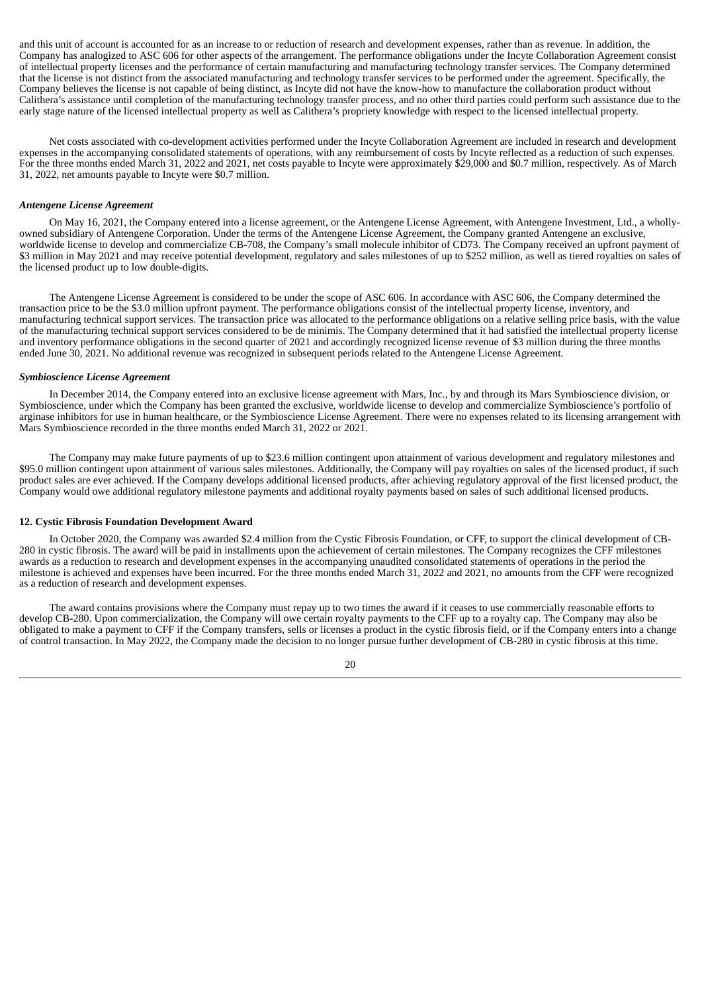and this unit of account is accounted for as an increase to or reduction of research and development expenses, rather than as revenue. In addition, the Company has analogized to ASC 606 for other aspects of the arrangement. The performance obligations under the Incyte Collaboration Agreement consist of intellectual property licenses and the performance of certain manufacturing and manufacturing technology transfer services. The Company determined that the license is not distinct from the associated manufacturing and technology transfer services to be performed under the agreement. Specifically, the Company believes the license is not capable of being distinct, as Incyte did not have the know-how to manufacture the collaboration product without Calithera's assistance until completion of the manufacturing technology transfer process, and no other third parties could perform such assistance due to the early stage nature of the licensed intellectual property as well as Calithera's propriety knowledge with respect to the licensed intellectual property.

Net costs associated with co-development activities performed under the Incyte Collaboration Agreement are included in research and development expenses in the accompanying consolidated statements of operations, with any reimbursement of costs by Incyte reflected as a reduction of such expenses. For the three months ended March 31, 2022 and 2021, net costs payable to Incyte were approximately \$29,000 and \$0.7 million, respectively. As of March 31, 2022, net amounts payable to Incyte were \$0.7 million.

#### *Antengene License Agreement*

On May 16, 2021, the Company entered into a license agreement, or the Antengene License Agreement, with Antengene Investment, Ltd., a whollyowned subsidiary of Antengene Corporation. Under the terms of the Antengene License Agreement, the Company granted Antengene an exclusive, worldwide license to develop and commercialize CB-708, the Company's small molecule inhibitor of CD73. The Company received an upfront payment of \$3 million in May 2021 and may receive potential development, regulatory and sales milestones of up to \$252 million, as well as tiered royalties on sales of the licensed product up to low double-digits.

The Antengene License Agreement is considered to be under the scope of ASC 606. In accordance with ASC 606, the Company determined the transaction price to be the \$3.0 million upfront payment. The performance obligations consist of the intellectual property license, inventory, and manufacturing technical support services. The transaction price was allocated to the performance obligations on a relative selling price basis, with the value of the manufacturing technical support services considered to be de minimis. The Company determined that it had satisfied the intellectual property license and inventory performance obligations in the second quarter of 2021 and accordingly recognized license revenue of \$3 million during the three months ended June 30, 2021. No additional revenue was recognized in subsequent periods related to the Antengene License Agreement.

#### *Symbioscience License Agreement*

In December 2014, the Company entered into an exclusive license agreement with Mars, Inc., by and through its Mars Symbioscience division, or Symbioscience, under which the Company has been granted the exclusive, worldwide license to develop and commercialize Symbioscience's portfolio of arginase inhibitors for use in human healthcare, or the Symbioscience License Agreement. There were no expenses related to its licensing arrangement with Mars Symbioscience recorded in the three months ended March 31, 2022 or 2021.

The Company may make future payments of up to \$23.6 million contingent upon attainment of various development and regulatory milestones and \$95.0 million contingent upon attainment of various sales milestones. Additionally, the Company will pay royalties on sales of the licensed product, if such product sales are ever achieved. If the Company develops additional licensed products, after achieving regulatory approval of the first licensed product, the Company would owe additional regulatory milestone payments and additional royalty payments based on sales of such additional licensed products.

#### **12. Cystic Fibrosis Foundation Development Award**

In October 2020, the Company was awarded \$2.4 million from the Cystic Fibrosis Foundation, or CFF, to support the clinical development of CB-280 in cystic fibrosis. The award will be paid in installments upon the achievement of certain milestones. The Company recognizes the CFF milestones awards as a reduction to research and development expenses in the accompanying unaudited consolidated statements of operations in the period the milestone is achieved and expenses have been incurred. For the three months ended March 31, 2022 and 2021, no amounts from the CFF were recognized as a reduction of research and development expenses.

The award contains provisions where the Company must repay up to two times the award if it ceases to use commercially reasonable efforts to develop CB-280. Upon commercialization, the Company will owe certain royalty payments to the CFF up to a royalty cap. The Company may also be obligated to make a payment to CFF if the Company transfers, sells or licenses a product in the cystic fibrosis field, or if the Company enters into a change of control transaction. In May 2022, the Company made the decision to no longer pursue further development of CB-280 in cystic fibrosis at this time.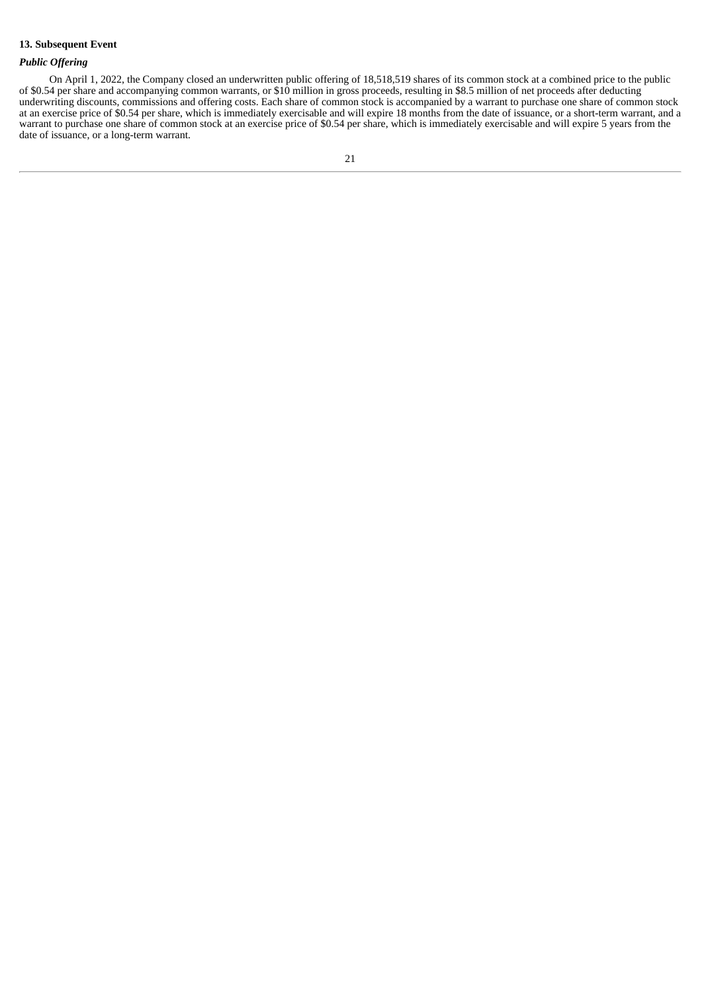# **13. Subsequent Event**

#### *Public Offering*

On April 1, 2022, the Company closed an underwritten public offering of 18,518,519 shares of its common stock at a combined price to the public of \$0.54 per share and accompanying common warrants, or \$10 million in gross proceeds, resulting in \$8.5 million of net proceeds after deducting underwriting discounts, commissions and offering costs. Each share of common stock is accompanied by a warrant to purchase one share of common stock at an exercise price of \$0.54 per share, which is immediately exercisable and will expire 18 months from the date of issuance, or a short-term warrant, and a warrant to purchase one share of common stock at an exercise price of \$0.54 per share, which is immediately exercisable and will expire 5 years from the date of issuance, or a long-term warrant.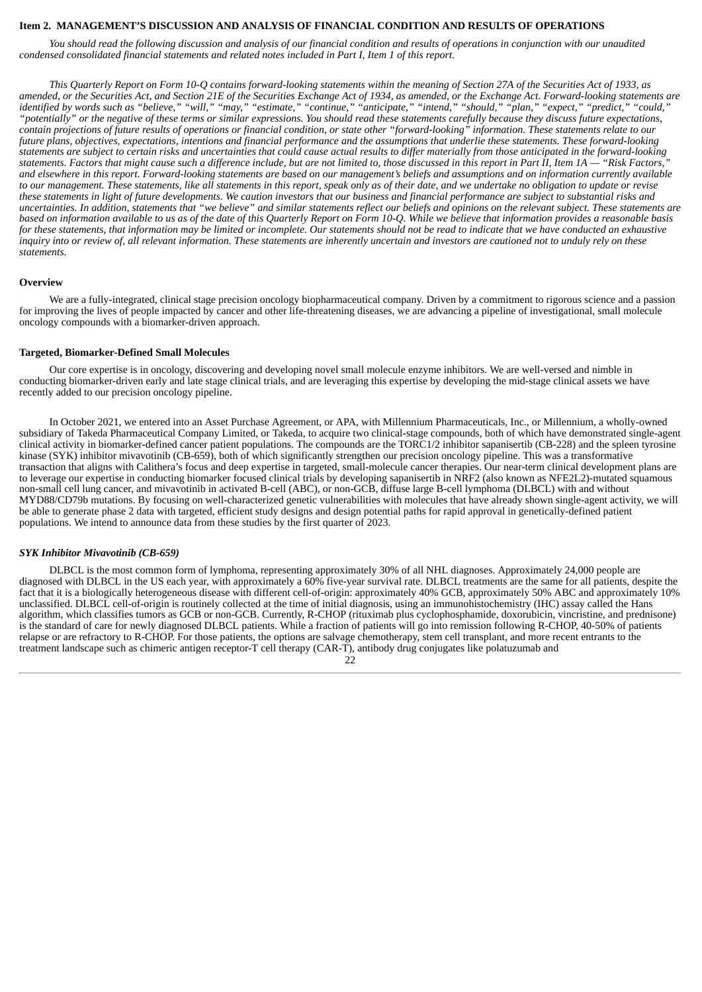#### <span id="page-21-0"></span>**Item 2. MANAGEMENT'S DISCUSSION AND ANALYSIS OF FINANCIAL CONDITION AND RESULTS OF OPERATIONS**

You should read the following discussion and analysis of our financial condition and results of operations in conjunction with our unaudited *condensed consolidated financial statements and related notes included in Part I, Item 1 of this report.*

This Quarterly Report on Form 10-Q contains forward-looking statements within the meaning of Section 27A of the Securities Act of 1933, as amended, or the Securities Act, and Section 21E of the Securities Exchange Act of 1934, as amended, or the Exchange Act. Forward-looking statements are identified by words such as "believe," "will," "may," "estimate," "continue," "anticipate," "intend," "should," "plan," "expect," "predict," "could," "potentially" or the negative of these terms or similar expressions. You should read these statements carefully because they discuss future expectations, contain projections of future results of operations or financial condition, or state other "forward-looking" information. These statements relate to our future plans, objectives, expectations, intentions and financial performance and the assumptions that underlie these statements. These forward-looking statements are subject to certain risks and uncertainties that could cause actual results to differ materially from those anticipated in the forward-looking statements. Factors that might cause such a difference include, but are not limited to, those discussed in this report in Part II, Item 1A - "Risk Factors, and elsewhere in this report. Forward-looking statements are based on our management's beliefs and assumptions and on information currently available to our management. These statements, like all statements in this report, speak only as of their date, and we undertake no obligation to update or revise these statements in light of future developments. We caution investors that our business and financial performance are subject to substantial risks and uncertainties. In addition, statements that "we believe" and similar statements reflect our beliefs and opinions on the relevant subject. These statements are based on information available to us as of the date of this Quarterly Report on Form 10-Q. While we believe that information provides a reasonable basis for these statements, that information may be limited or incomplete. Our statements should not be read to indicate that we have conducted an exhaustive inquiry into or review of, all relevant information. These statements are inherently uncertain and investors are cautioned not to unduly rely on these *statements.*

#### **Overview**

We are a fully-integrated, clinical stage precision oncology biopharmaceutical company. Driven by a commitment to rigorous science and a passion for improving the lives of people impacted by cancer and other life-threatening diseases, we are advancing a pipeline of investigational, small molecule oncology compounds with a biomarker-driven approach.

#### **Targeted, Biomarker-Defined Small Molecules**

Our core expertise is in oncology, discovering and developing novel small molecule enzyme inhibitors. We are well-versed and nimble in conducting biomarker-driven early and late stage clinical trials, and are leveraging this expertise by developing the mid-stage clinical assets we have recently added to our precision oncology pipeline.

In October 2021, we entered into an Asset Purchase Agreement, or APA, with Millennium Pharmaceuticals, Inc., or Millennium, a wholly-owned subsidiary of Takeda Pharmaceutical Company Limited, or Takeda, to acquire two clinical-stage compounds, both of which have demonstrated single-agent clinical activity in biomarker-defined cancer patient populations. The compounds are the TORC1/2 inhibitor sapanisertib (CB-228) and the spleen tyrosine kinase (SYK) inhibitor mivavotinib (CB-659), both of which significantly strengthen our precision oncology pipeline. This was a transformative transaction that aligns with Calithera's focus and deep expertise in targeted, small-molecule cancer therapies. Our near-term clinical development plans are to leverage our expertise in conducting biomarker focused clinical trials by developing sapanisertib in NRF2 (also known as NFE2L2)-mutated squamous non-small cell lung cancer, and mivavotinib in activated B-cell (ABC), or non-GCB, diffuse large B-cell lymphoma (DLBCL) with and without MYD88/CD79b mutations. By focusing on well-characterized genetic vulnerabilities with molecules that have already shown single-agent activity, we will be able to generate phase 2 data with targeted, efficient study designs and design potential paths for rapid approval in genetically-defined patient populations. We intend to announce data from these studies by the first quarter of 2023.

#### *SYK Inhibitor Mivavotinib (CB-659)*

DLBCL is the most common form of lymphoma, representing approximately 30% of all NHL diagnoses. Approximately 24,000 people are diagnosed with DLBCL in the US each year, with approximately a 60% five-year survival rate. DLBCL treatments are the same for all patients, despite the fact that it is a biologically heterogeneous disease with different cell-of-origin: approximately 40% GCB, approximately 50% ABC and approximately 10% unclassified. DLBCL cell-of-origin is routinely collected at the time of initial diagnosis, using an immunohistochemistry (IHC) assay called the Hans algorithm, which classifies tumors as GCB or non-GCB. Currently, R-CHOP (rituximab plus cyclophosphamide, doxorubicin, vincristine, and prednisone) is the standard of care for newly diagnosed DLBCL patients. While a fraction of patients will go into remission following R-CHOP, 40-50% of patients relapse or are refractory to R-CHOP. For those patients, the options are salvage chemotherapy, stem cell transplant, and more recent entrants to the treatment landscape such as chimeric antigen receptor-T cell therapy (CAR-T), antibody drug conjugates like polatuzumab and 22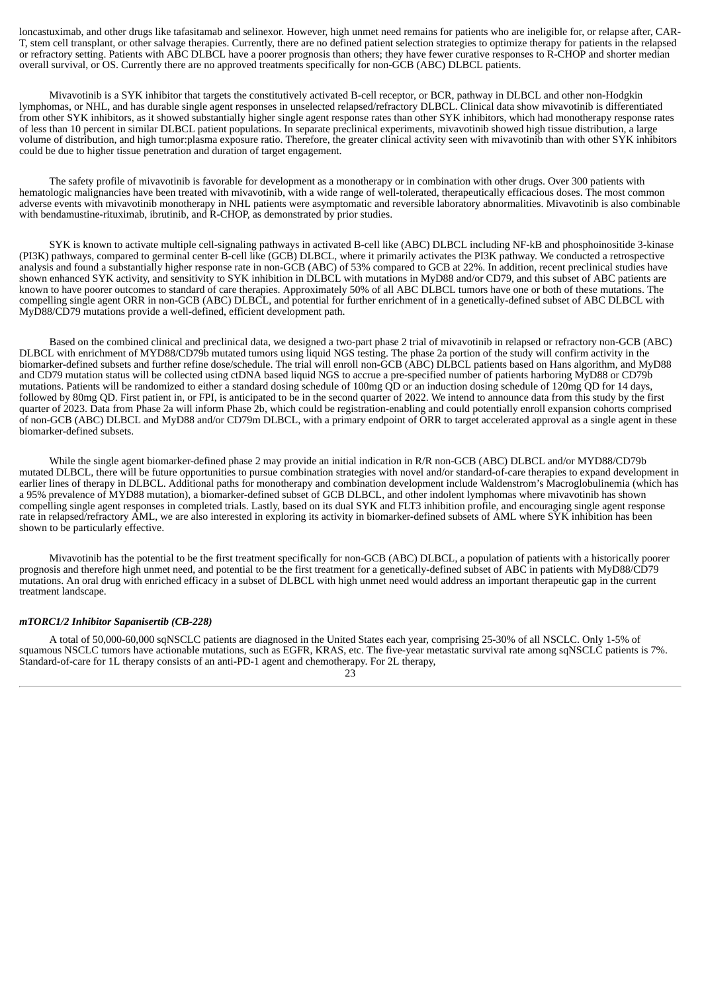loncastuximab, and other drugs like tafasitamab and selinexor. However, high unmet need remains for patients who are ineligible for, or relapse after, CAR-T, stem cell transplant, or other salvage therapies. Currently, there are no defined patient selection strategies to optimize therapy for patients in the relapsed or refractory setting. Patients with ABC DLBCL have a poorer prognosis than others; they have fewer curative responses to R-CHOP and shorter median overall survival, or OS. Currently there are no approved treatments specifically for non-GCB (ABC) DLBCL patients.

Mivavotinib is a SYK inhibitor that targets the constitutively activated B-cell receptor, or BCR, pathway in DLBCL and other non-Hodgkin lymphomas, or NHL, and has durable single agent responses in unselected relapsed/refractory DLBCL. Clinical data show mivavotinib is differentiated from other SYK inhibitors, as it showed substantially higher single agent response rates than other SYK inhibitors, which had monotherapy response rates of less than 10 percent in similar DLBCL patient populations. In separate preclinical experiments, mivavotinib showed high tissue distribution, a large volume of distribution, and high tumor:plasma exposure ratio. Therefore, the greater clinical activity seen with mivavotinib than with other SYK inhibitors could be due to higher tissue penetration and duration of target engagement.

The safety profile of mivavotinib is favorable for development as a monotherapy or in combination with other drugs. Over 300 patients with hematologic malignancies have been treated with mivavotinib, with a wide range of well-tolerated, therapeutically efficacious doses. The most common adverse events with mivavotinib monotherapy in NHL patients were asymptomatic and reversible laboratory abnormalities. Mivavotinib is also combinable with bendamustine-rituximab, ibrutinib, and R-CHOP, as demonstrated by prior studies.

SYK is known to activate multiple cell-signaling pathways in activated B-cell like (ABC) DLBCL including NF-kB and phosphoinositide 3-kinase (PI3K) pathways, compared to germinal center B-cell like (GCB) DLBCL, where it primarily activates the PI3K pathway. We conducted a retrospective analysis and found a substantially higher response rate in non-GCB (ABC) of 53% compared to GCB at 22%. In addition, recent preclinical studies have shown enhanced SYK activity, and sensitivity to SYK inhibition in DLBCL with mutations in MyD88 and/or CD79, and this subset of ABC patients are known to have poorer outcomes to standard of care therapies. Approximately 50% of all ABC DLBCL tumors have one or both of these mutations. The compelling single agent ORR in non-GCB (ABC) DLBCL, and potential for further enrichment of in a genetically-defined subset of ABC DLBCL with MyD88/CD79 mutations provide a well-defined, efficient development path.

Based on the combined clinical and preclinical data, we designed a two-part phase 2 trial of mivavotinib in relapsed or refractory non-GCB (ABC) DLBCL with enrichment of MYD88/CD79b mutated tumors using liquid NGS testing. The phase 2a portion of the study will confirm activity in the biomarker-defined subsets and further refine dose/schedule. The trial will enroll non-GCB (ABC) DLBCL patients based on Hans algorithm, and MyD88 and CD79 mutation status will be collected using ctDNA based liquid NGS to accrue a pre-specified number of patients harboring MyD88 or CD79b mutations. Patients will be randomized to either a standard dosing schedule of 100mg QD or an induction dosing schedule of 120mg QD for 14 days, followed by 80mg QD. First patient in, or FPI, is anticipated to be in the second quarter of 2022. We intend to announce data from this study by the first quarter of 2023. Data from Phase 2a will inform Phase 2b, which could be registration-enabling and could potentially enroll expansion cohorts comprised of non-GCB (ABC) DLBCL and MyD88 and/or CD79m DLBCL, with a primary endpoint of ORR to target accelerated approval as a single agent in these biomarker-defined subsets.

While the single agent biomarker-defined phase 2 may provide an initial indication in R/R non-GCB (ABC) DLBCL and/or MYD88/CD79b mutated DLBCL, there will be future opportunities to pursue combination strategies with novel and/or standard-of-care therapies to expand development in earlier lines of therapy in DLBCL. Additional paths for monotherapy and combination development include Waldenstrom's Macroglobulinemia (which has a 95% prevalence of MYD88 mutation), a biomarker-defined subset of GCB DLBCL, and other indolent lymphomas where mivavotinib has shown compelling single agent responses in completed trials. Lastly, based on its dual SYK and FLT3 inhibition profile, and encouraging single agent response rate in relapsed/refractory AML, we are also interested in exploring its activity in biomarker-defined subsets of AML where SYK inhibition has been shown to be particularly effective.

Mivavotinib has the potential to be the first treatment specifically for non-GCB (ABC) DLBCL, a population of patients with a historically poorer prognosis and therefore high unmet need, and potential to be the first treatment for a genetically-defined subset of ABC in patients with MyD88/CD79 mutations. An oral drug with enriched efficacy in a subset of DLBCL with high unmet need would address an important therapeutic gap in the current treatment landscape.

#### *mTORC1/2 Inhibitor Sapanisertib (CB-228)*

A total of 50,000-60,000 sqNSCLC patients are diagnosed in the United States each year, comprising 25-30% of all NSCLC. Only 1-5% of squamous NSCLC tumors have actionable mutations, such as EGFR, KRAS, etc. The five-year metastatic survival rate among sqNSCLC patients is 7%. Standard-of-care for 1L therapy consists of an anti-PD-1 agent and chemotherapy. For 2L therapy,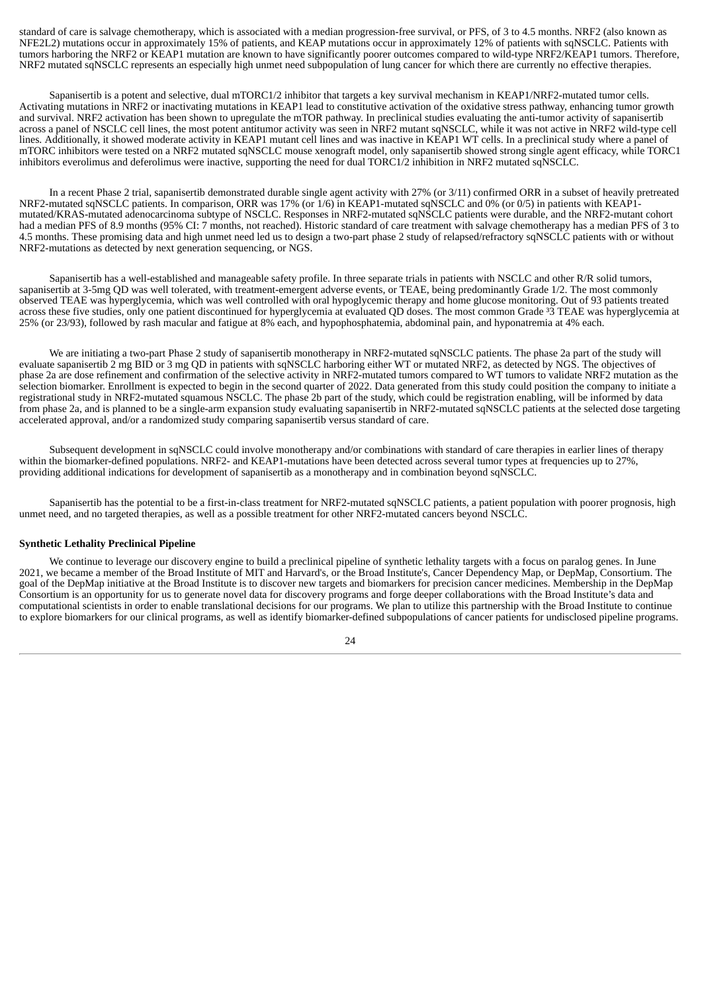standard of care is salvage chemotherapy, which is associated with a median progression-free survival, or PFS, of 3 to 4.5 months. NRF2 (also known as NFE2L2) mutations occur in approximately 15% of patients, and KEAP mutations occur in approximately 12% of patients with sqNSCLC. Patients with tumors harboring the NRF2 or KEAP1 mutation are known to have significantly poorer outcomes compared to wild-type NRF2/KEAP1 tumors. Therefore, NRF2 mutated sqNSCLC represents an especially high unmet need subpopulation of lung cancer for which there are currently no effective therapies.

Sapanisertib is a potent and selective, dual mTORC1/2 inhibitor that targets a key survival mechanism in KEAP1/NRF2-mutated tumor cells. Activating mutations in NRF2 or inactivating mutations in KEAP1 lead to constitutive activation of the oxidative stress pathway, enhancing tumor growth and survival. NRF2 activation has been shown to upregulate the mTOR pathway. In preclinical studies evaluating the anti-tumor activity of sapanisertib across a panel of NSCLC cell lines, the most potent antitumor activity was seen in NRF2 mutant sqNSCLC, while it was not active in NRF2 wild-type cell lines. Additionally, it showed moderate activity in KEAP1 mutant cell lines and was inactive in KEAP1 WT cells. In a preclinical study where a panel of mTORC inhibitors were tested on a NRF2 mutated sqNSCLC mouse xenograft model, only sapanisertib showed strong single agent efficacy, while TORC1 inhibitors everolimus and deferolimus were inactive, supporting the need for dual TORC1/2 inhibition in NRF2 mutated sqNSCLC.

In a recent Phase 2 trial, sapanisertib demonstrated durable single agent activity with 27% (or 3/11) confirmed ORR in a subset of heavily pretreated NRF2-mutated sqNSCLC patients. In comparison, ORR was 17% (or 1/6) in KEAP1-mutated sqNSCLC and 0% (or 0/5) in patients with KEAP1 mutated/KRAS-mutated adenocarcinoma subtype of NSCLC. Responses in NRF2-mutated sqNSCLC patients were durable, and the NRF2-mutant cohort had a median PFS of 8.9 months (95% CI: 7 months, not reached). Historic standard of care treatment with salvage chemotherapy has a median PFS of 3 to 4.5 months. These promising data and high unmet need led us to design a two-part phase 2 study of relapsed/refractory sqNSCLC patients with or without NRF2-mutations as detected by next generation sequencing, or NGS.

Sapanisertib has a well-established and manageable safety profile. In three separate trials in patients with NSCLC and other R/R solid tumors, sapanisertib at 3-5mg QD was well tolerated, with treatment-emergent adverse events, or TEAE, being predominantly Grade 1/2. The most commonly observed TEAE was hyperglycemia, which was well controlled with oral hypoglycemic therapy and home glucose monitoring. Out of 93 patients treated across these five studies, only one patient discontinued for hyperglycemia at evaluated QD doses. The most common Grade <sup>3</sup>3 TEAE was hyperglycemia at 25% (or 23/93), followed by rash macular and fatigue at 8% each, and hypophosphatemia, abdominal pain, and hyponatremia at 4% each.

We are initiating a two-part Phase 2 study of sapanisertib monotherapy in NRF2-mutated sqNSCLC patients. The phase 2a part of the study will evaluate sapanisertib 2 mg BID or 3 mg QD in patients with sqNSCLC harboring either WT or mutated NRF2, as detected by NGS. The objectives of phase 2a are dose refinement and confirmation of the selective activity in NRF2-mutated tumors compared to WT tumors to validate NRF2 mutation as the selection biomarker. Enrollment is expected to begin in the second quarter of 2022. Data generated from this study could position the company to initiate a registrational study in NRF2-mutated squamous NSCLC. The phase 2b part of the study, which could be registration enabling, will be informed by data from phase 2a, and is planned to be a single-arm expansion study evaluating sapanisertib in NRF2-mutated sqNSCLC patients at the selected dose targeting accelerated approval, and/or a randomized study comparing sapanisertib versus standard of care.

Subsequent development in sqNSCLC could involve monotherapy and/or combinations with standard of care therapies in earlier lines of therapy within the biomarker-defined populations. NRF2- and KEAP1-mutations have been detected across several tumor types at frequencies up to 27%, providing additional indications for development of sapanisertib as a monotherapy and in combination beyond sqNSCLC.

Sapanisertib has the potential to be a first-in-class treatment for NRF2-mutated sqNSCLC patients, a patient population with poorer prognosis, high unmet need, and no targeted therapies, as well as a possible treatment for other NRF2-mutated cancers beyond NSCLC.

#### **Synthetic Lethality Preclinical Pipeline**

We continue to leverage our discovery engine to build a preclinical pipeline of synthetic lethality targets with a focus on paralog genes. In June 2021, we became a member of the Broad Institute of MIT and Harvard's, or the Broad Institute's, Cancer Dependency Map, or DepMap, Consortium. The goal of the DepMap initiative at the Broad Institute is to discover new targets and biomarkers for precision cancer medicines. Membership in the DepMap Consortium is an opportunity for us to generate novel data for discovery programs and forge deeper collaborations with the Broad Institute's data and computational scientists in order to enable translational decisions for our programs. We plan to utilize this partnership with the Broad Institute to continue to explore biomarkers for our clinical programs, as well as identify biomarker-defined subpopulations of cancer patients for undisclosed pipeline programs.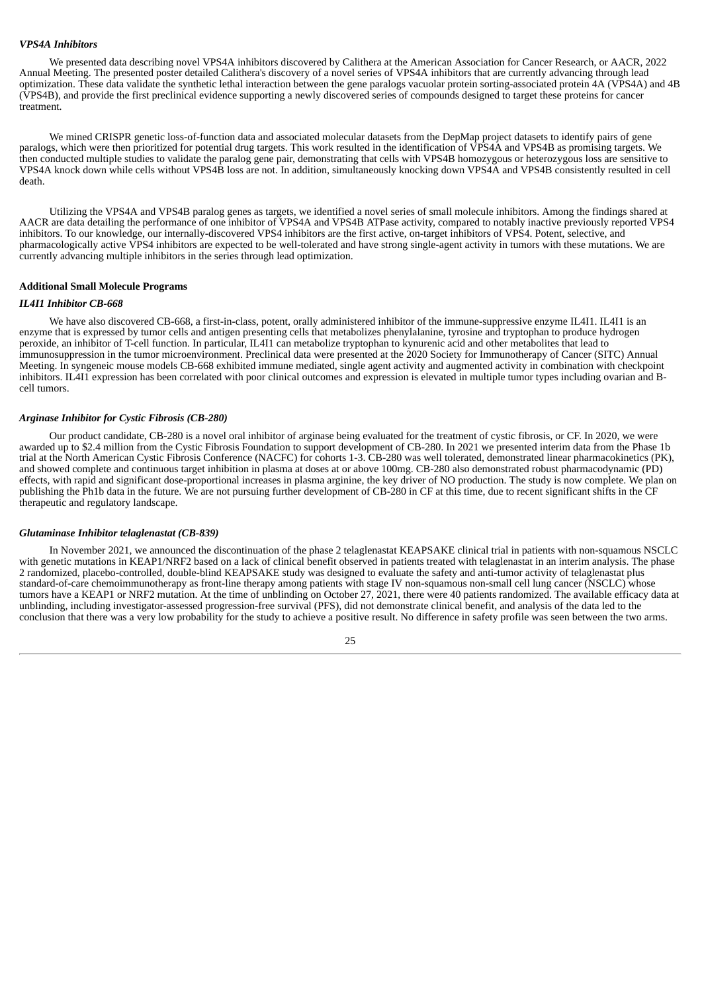#### *VPS4A Inhibitors*

We presented data describing novel VPS4A inhibitors discovered by Calithera at the American Association for Cancer Research, or AACR, 2022 Annual Meeting. The presented poster detailed Calithera's discovery of a novel series of VPS4A inhibitors that are currently advancing through lead optimization. These data validate the synthetic lethal interaction between the gene paralogs vacuolar protein sorting-associated protein 4A (VPS4A) and 4B (VPS4B), and provide the first preclinical evidence supporting a newly discovered series of compounds designed to target these proteins for cancer treatment.

We mined CRISPR genetic loss-of-function data and associated molecular datasets from the DepMap project datasets to identify pairs of gene paralogs, which were then prioritized for potential drug targets. This work resulted in the identification of VPS4A and VPS4B as promising targets. We then conducted multiple studies to validate the paralog gene pair, demonstrating that cells with VPS4B homozygous or heterozygous loss are sensitive to VPS4A knock down while cells without VPS4B loss are not. In addition, simultaneously knocking down VPS4A and VPS4B consistently resulted in cell death.

Utilizing the VPS4A and VPS4B paralog genes as targets, we identified a novel series of small molecule inhibitors. Among the findings shared at AACR are data detailing the performance of one inhibitor of VPS4A and VPS4B ATPase activity, compared to notably inactive previously reported VPS4 inhibitors. To our knowledge, our internally-discovered VPS4 inhibitors are the first active, on-target inhibitors of VPS4. Potent, selective, and pharmacologically active VPS4 inhibitors are expected to be well-tolerated and have strong single-agent activity in tumors with these mutations. We are currently advancing multiple inhibitors in the series through lead optimization.

#### **Additional Small Molecule Programs**

#### *IL4I1 Inhibitor CB-668*

We have also discovered CB-668, a first-in-class, potent, orally administered inhibitor of the immune-suppressive enzyme IL4I1. IL4I1 is an enzyme that is expressed by tumor cells and antigen presenting cells that metabolizes phenylalanine, tyrosine and tryptophan to produce hydrogen peroxide, an inhibitor of T-cell function. In particular, IL4I1 can metabolize tryptophan to kynurenic acid and other metabolites that lead to immunosuppression in the tumor microenvironment. Preclinical data were presented at the 2020 Society for Immunotherapy of Cancer (SITC) Annual Meeting. In syngeneic mouse models CB-668 exhibited immune mediated, single agent activity and augmented activity in combination with checkpoint inhibitors. IL4I1 expression has been correlated with poor clinical outcomes and expression is elevated in multiple tumor types including ovarian and Bcell tumors.

#### *Arginase Inhibitor for Cystic Fibrosis (CB-280)*

Our product candidate, CB-280 is a novel oral inhibitor of arginase being evaluated for the treatment of cystic fibrosis, or CF. In 2020, we were awarded up to \$2.4 million from the Cystic Fibrosis Foundation to support development of CB-280. In 2021 we presented interim data from the Phase 1b trial at the North American Cystic Fibrosis Conference (NACFC) for cohorts 1-3. CB-280 was well tolerated, demonstrated linear pharmacokinetics (PK), and showed complete and continuous target inhibition in plasma at doses at or above 100mg. CB-280 also demonstrated robust pharmacodynamic (PD) effects, with rapid and significant dose-proportional increases in plasma arginine, the key driver of NO production. The study is now complete. We plan on publishing the Ph1b data in the future. We are not pursuing further development of CB-280 in CF at this time, due to recent significant shifts in the CF therapeutic and regulatory landscape.

#### *Glutaminase Inhibitor telaglenastat (CB-839)*

In November 2021, we announced the discontinuation of the phase 2 telaglenastat KEAPSAKE clinical trial in patients with non-squamous NSCLC with genetic mutations in KEAP1/NRF2 based on a lack of clinical benefit observed in patients treated with telaglenastat in an interim analysis. The phase 2 randomized, placebo-controlled, double-blind KEAPSAKE study was designed to evaluate the safety and anti-tumor activity of telaglenastat plus standard-of-care chemoimmunotherapy as front-line therapy among patients with stage IV non-squamous non-small cell lung cancer (NSCLC) whose tumors have a KEAP1 or NRF2 mutation. At the time of unblinding on October 27, 2021, there were 40 patients randomized. The available efficacy data at unblinding, including investigator-assessed progression-free survival (PFS), did not demonstrate clinical benefit, and analysis of the data led to the conclusion that there was a very low probability for the study to achieve a positive result. No difference in safety profile was seen between the two arms.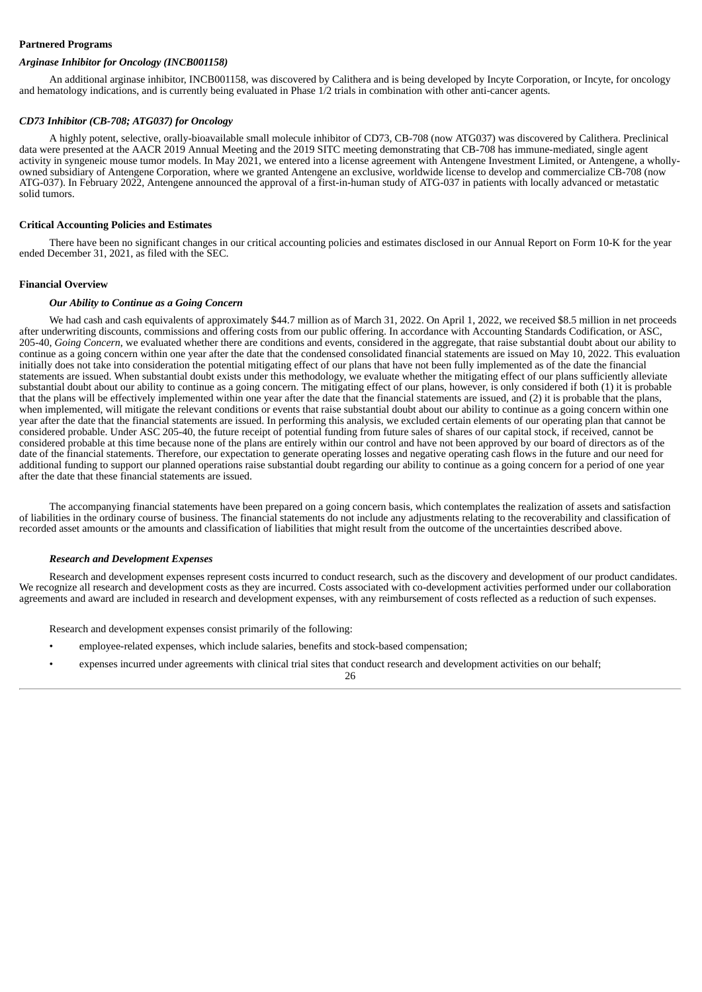#### **Partnered Programs**

#### *Arginase Inhibitor for Oncology (INCB001158)*

An additional arginase inhibitor, INCB001158, was discovered by Calithera and is being developed by Incyte Corporation, or Incyte, for oncology and hematology indications, and is currently being evaluated in Phase 1/2 trials in combination with other anti-cancer agents.

#### *CD73 Inhibitor (CB-708; ATG037) for Oncology*

A highly potent, selective, orally-bioavailable small molecule inhibitor of CD73, CB-708 (now ATG037) was discovered by Calithera. Preclinical data were presented at the AACR 2019 Annual Meeting and the 2019 SITC meeting demonstrating that CB-708 has immune-mediated, single agent activity in syngeneic mouse tumor models. In May 2021, we entered into a license agreement with Antengene Investment Limited, or Antengene, a whollyowned subsidiary of Antengene Corporation, where we granted Antengene an exclusive, worldwide license to develop and commercialize CB-708 (now ATG-037). In February 2022, Antengene announced the approval of a first-in-human study of ATG-037 in patients with locally advanced or metastatic solid tumors.

#### **Critical Accounting Policies and Estimates**

There have been no significant changes in our critical accounting policies and estimates disclosed in our Annual Report on Form 10-K for the year ended December 31, 2021, as filed with the SEC.

#### **Financial Overview**

#### *Our Ability to Continue as a Going Concern*

We had cash and cash equivalents of approximately \$44.7 million as of March 31, 2022. On April 1, 2022, we received \$8.5 million in net proceeds after underwriting discounts, commissions and offering costs from our public offering. In accordance with Accounting Standards Codification, or ASC, 205-40, *Going Concern*, we evaluated whether there are conditions and events, considered in the aggregate, that raise substantial doubt about our ability to continue as a going concern within one year after the date that the condensed consolidated financial statements are issued on May 10, 2022. This evaluation initially does not take into consideration the potential mitigating effect of our plans that have not been fully implemented as of the date the financial statements are issued. When substantial doubt exists under this methodology, we evaluate whether the mitigating effect of our plans sufficiently alleviate substantial doubt about our ability to continue as a going concern. The mitigating effect of our plans, however, is only considered if both (1) it is probable that the plans will be effectively implemented within one year after the date that the financial statements are issued, and (2) it is probable that the plans, when implemented, will mitigate the relevant conditions or events that raise substantial doubt about our ability to continue as a going concern within one year after the date that the financial statements are issued. In performing this analysis, we excluded certain elements of our operating plan that cannot be considered probable. Under ASC 205-40, the future receipt of potential funding from future sales of shares of our capital stock, if received, cannot be considered probable at this time because none of the plans are entirely within our control and have not been approved by our board of directors as of the date of the financial statements. Therefore, our expectation to generate operating losses and negative operating cash flows in the future and our need for additional funding to support our planned operations raise substantial doubt regarding our ability to continue as a going concern for a period of one year after the date that these financial statements are issued.

The accompanying financial statements have been prepared on a going concern basis, which contemplates the realization of assets and satisfaction of liabilities in the ordinary course of business. The financial statements do not include any adjustments relating to the recoverability and classification of recorded asset amounts or the amounts and classification of liabilities that might result from the outcome of the uncertainties described above.

#### *Research and Development Expenses*

Research and development expenses represent costs incurred to conduct research, such as the discovery and development of our product candidates. We recognize all research and development costs as they are incurred. Costs associated with co-development activities performed under our collaboration agreements and award are included in research and development expenses, with any reimbursement of costs reflected as a reduction of such expenses.

Research and development expenses consist primarily of the following:

- employee-related expenses, which include salaries, benefits and stock-based compensation;
- expenses incurred under agreements with clinical trial sites that conduct research and development activities on our behalf;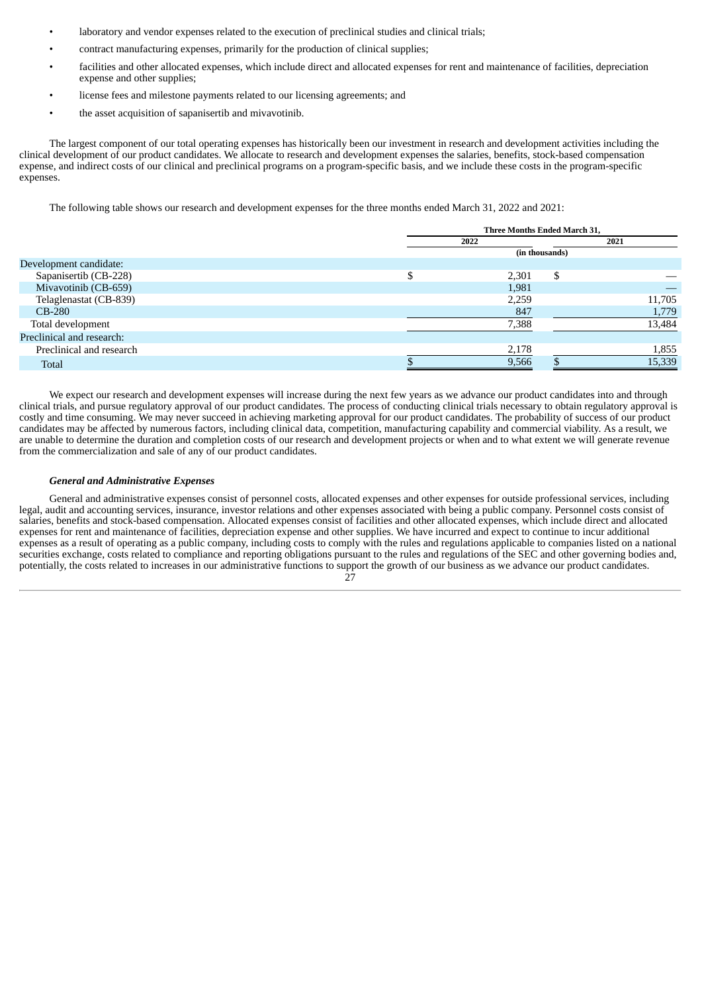- laboratory and vendor expenses related to the execution of preclinical studies and clinical trials;
- contract manufacturing expenses, primarily for the production of clinical supplies;
- facilities and other allocated expenses, which include direct and allocated expenses for rent and maintenance of facilities, depreciation expense and other supplies;
- license fees and milestone payments related to our licensing agreements; and
- the asset acquisition of sapanisertib and mivavotinib.

The largest component of our total operating expenses has historically been our investment in research and development activities including the clinical development of our product candidates. We allocate to research and development expenses the salaries, benefits, stock-based compensation expense, and indirect costs of our clinical and preclinical programs on a program-specific basis, and we include these costs in the program-specific expenses.

The following table shows our research and development expenses for the three months ended March 31, 2022 and 2021:

|                           | Three Months Ended March 31, |      |        |  |  |  |
|---------------------------|------------------------------|------|--------|--|--|--|
|                           | 2022                         | 2021 |        |  |  |  |
|                           | (in thousands)               |      |        |  |  |  |
| Development candidate:    |                              |      |        |  |  |  |
| Sapanisertib (CB-228)     | 2,301                        | \$   |        |  |  |  |
| Mivavotinib (CB-659)      | 1,981                        |      |        |  |  |  |
| Telaglenastat (CB-839)    | 2,259                        |      | 11,705 |  |  |  |
| CB-280                    | 847                          |      | 1,779  |  |  |  |
| Total development         | 7,388                        |      | 13,484 |  |  |  |
| Preclinical and research: |                              |      |        |  |  |  |
| Preclinical and research  | 2,178                        |      | 1,855  |  |  |  |
| Total                     | 9,566                        |      | 15,339 |  |  |  |

We expect our research and development expenses will increase during the next few years as we advance our product candidates into and through clinical trials, and pursue regulatory approval of our product candidates. The process of conducting clinical trials necessary to obtain regulatory approval is costly and time consuming. We may never succeed in achieving marketing approval for our product candidates. The probability of success of our product candidates may be affected by numerous factors, including clinical data, competition, manufacturing capability and commercial viability. As a result, we are unable to determine the duration and completion costs of our research and development projects or when and to what extent we will generate revenue from the commercialization and sale of any of our product candidates.

#### *General and Administrative Expenses*

General and administrative expenses consist of personnel costs, allocated expenses and other expenses for outside professional services, including legal, audit and accounting services, insurance, investor relations and other expenses associated with being a public company. Personnel costs consist of salaries, benefits and stock-based compensation. Allocated expenses consist of facilities and other allocated expenses, which include direct and allocated expenses for rent and maintenance of facilities, depreciation expense and other supplies. We have incurred and expect to continue to incur additional expenses as a result of operating as a public company, including costs to comply with the rules and regulations applicable to companies listed on a national securities exchange, costs related to compliance and reporting obligations pursuant to the rules and regulations of the SEC and other governing bodies and, potentially, the costs related to increases in our administrative functions to support the growth of our business as we advance our product candidates.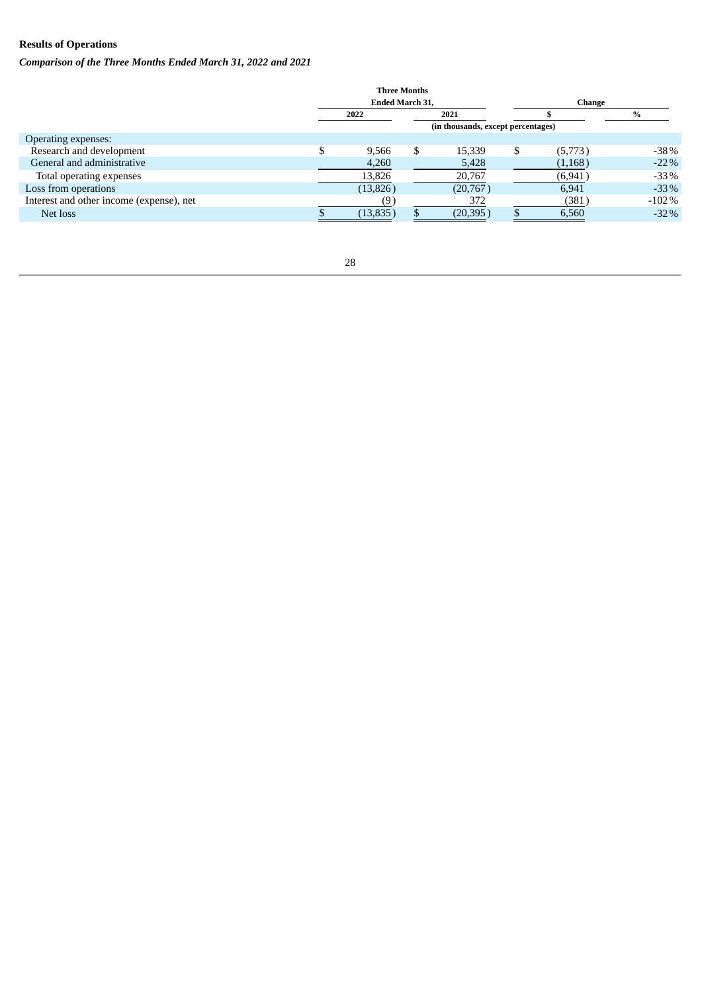# **Results of Operations**

# *Comparison of the Three Months Ended March 31, 2022 and 2021*

|                                          |                                    | <b>Three Months</b> |      |           |    |          |          |  |  |  |      |
|------------------------------------------|------------------------------------|---------------------|------|-----------|----|----------|----------|--|--|--|------|
|                                          | Ended March 31,                    |                     |      |           |    | Change   |          |  |  |  |      |
|                                          | 2022                               |                     | 2021 |           |    |          |          |  |  |  | $\%$ |
|                                          | (in thousands, except percentages) |                     |      |           |    |          |          |  |  |  |      |
| Operating expenses:                      |                                    |                     |      |           |    |          |          |  |  |  |      |
| Research and development                 |                                    | 9.566               | \$   | 15,339    | \$ | (5,773)  | $-38\%$  |  |  |  |      |
| General and administrative               |                                    | 4,260               |      | 5,428     |    | (1, 168) | $-22\%$  |  |  |  |      |
| Total operating expenses                 |                                    | 13,826              |      | 20,767    |    | (6, 941) | $-33\%$  |  |  |  |      |
| Loss from operations                     |                                    | (13, 826)           |      | (20,767)  |    | 6,941    | $-33%$   |  |  |  |      |
| Interest and other income (expense), net |                                    |                     |      | 372       |    | (381     | $-102\%$ |  |  |  |      |
| Net loss                                 |                                    | (13, 835)           |      | (20, 395) |    | 6,560    | $-32\%$  |  |  |  |      |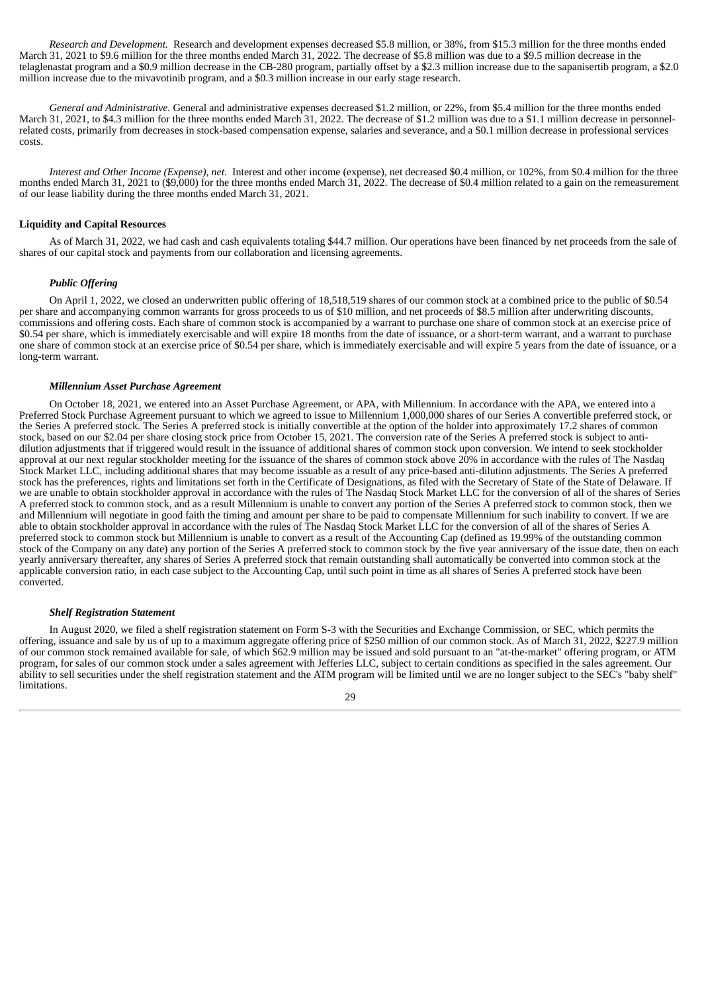*Research and Development.* Research and development expenses decreased \$5.8 million, or 38%, from \$15.3 million for the three months ended March 31, 2021 to \$9.6 million for the three months ended March 31, 2022. The decrease of \$5.8 million was due to a \$9.5 million decrease in the telaglenastat program and a \$0.9 million decrease in the CB-280 program, partially offset by a \$2.3 million increase due to the sapanisertib program, a \$2.0 million increase due to the mivavotinib program, and a \$0.3 million increase in our early stage research.

*General and Administrative.* General and administrative expenses decreased \$1.2 million, or 22%, from \$5.4 million for the three months ended March 31, 2021, to \$4.3 million for the three months ended March 31, 2022. The decrease of \$1.2 million was due to a \$1.1 million decrease in personnelrelated costs, primarily from decreases in stock-based compensation expense, salaries and severance, and a \$0.1 million decrease in professional services costs.

*Interest and Other Income (Expense), net.* Interest and other income (expense), net decreased \$0.4 million, or 102%, from \$0.4 million for the three months ended March 31, 2021 to (\$9,000) for the three months ended March 31, 2022. The decrease of \$0.4 million related to a gain on the remeasurement of our lease liability during the three months ended March 31, 2021.

#### **Liquidity and Capital Resources**

As of March 31, 2022, we had cash and cash equivalents totaling \$44.7 million. Our operations have been financed by net proceeds from the sale of shares of our capital stock and payments from our collaboration and licensing agreements.

#### *Public Offering*

On April 1, 2022, we closed an underwritten public offering of 18,518,519 shares of our common stock at a combined price to the public of \$0.54 per share and accompanying common warrants for gross proceeds to us of \$10 million, and net proceeds of \$8.5 million after underwriting discounts, commissions and offering costs. Each share of common stock is accompanied by a warrant to purchase one share of common stock at an exercise price of \$0.54 per share, which is immediately exercisable and will expire 18 months from the date of issuance, or a short-term warrant, and a warrant to purchase one share of common stock at an exercise price of \$0.54 per share, which is immediately exercisable and will expire 5 years from the date of issuance, or a long-term warrant.

#### *Millennium Asset Purchase Agreement*

On October 18, 2021, we entered into an Asset Purchase Agreement, or APA, with Millennium. In accordance with the APA, we entered into a Preferred Stock Purchase Agreement pursuant to which we agreed to issue to Millennium 1,000,000 shares of our Series A convertible preferred stock, or the Series A preferred stock. The Series A preferred stock is initially convertible at the option of the holder into approximately 17.2 shares of common stock, based on our \$2.04 per share closing stock price from October 15, 2021. The conversion rate of the Series A preferred stock is subject to antidilution adjustments that if triggered would result in the issuance of additional shares of common stock upon conversion. We intend to seek stockholder approval at our next regular stockholder meeting for the issuance of the shares of common stock above 20% in accordance with the rules of The Nasdaq Stock Market LLC, including additional shares that may become issuable as a result of any price-based anti-dilution adjustments. The Series A preferred stock has the preferences, rights and limitations set forth in the Certificate of Designations, as filed with the Secretary of State of the State of Delaware. If we are unable to obtain stockholder approval in accordance with the rules of The Nasdaq Stock Market LLC for the conversion of all of the shares of Series A preferred stock to common stock, and as a result Millennium is unable to convert any portion of the Series A preferred stock to common stock, then we and Millennium will negotiate in good faith the timing and amount per share to be paid to compensate Millennium for such inability to convert. If we are able to obtain stockholder approval in accordance with the rules of The Nasdaq Stock Market LLC for the conversion of all of the shares of Series A preferred stock to common stock but Millennium is unable to convert as a result of the Accounting Cap (defined as 19.99% of the outstanding common stock of the Company on any date) any portion of the Series A preferred stock to common stock by the five year anniversary of the issue date, then on each yearly anniversary thereafter, any shares of Series A preferred stock that remain outstanding shall automatically be converted into common stock at the applicable conversion ratio, in each case subject to the Accounting Cap, until such point in time as all shares of Series A preferred stock have been converted.

#### *Shelf Registration Statement*

In August 2020, we filed a shelf registration statement on Form S-3 with the Securities and Exchange Commission, or SEC, which permits the offering, issuance and sale by us of up to a maximum aggregate offering price of \$250 million of our common stock. As of March 31, 2022, \$227.9 million of our common stock remained available for sale, of which \$62.9 million may be issued and sold pursuant to an "at-the-market" offering program, or ATM program, for sales of our common stock under a sales agreement with Jefferies LLC, subject to certain conditions as specified in the sales agreement. Our ability to sell securities under the shelf registration statement and the ATM program will be limited until we are no longer subject to the SEC's "baby shelf" limitations.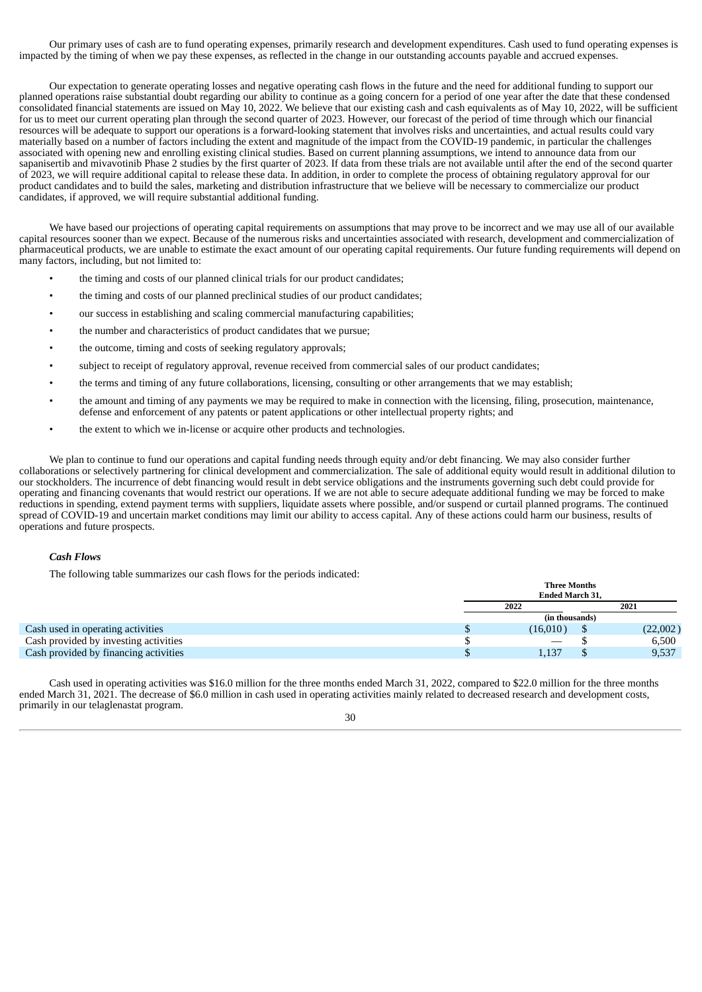Our primary uses of cash are to fund operating expenses, primarily research and development expenditures. Cash used to fund operating expenses is impacted by the timing of when we pay these expenses, as reflected in the change in our outstanding accounts payable and accrued expenses.

Our expectation to generate operating losses and negative operating cash flows in the future and the need for additional funding to support our planned operations raise substantial doubt regarding our ability to continue as a going concern for a period of one year after the date that these condensed consolidated financial statements are issued on May 10, 2022. We believe that our existing cash and cash equivalents as of May 10, 2022, will be sufficient for us to meet our current operating plan through the second quarter of 2023. However, our forecast of the period of time through which our financial resources will be adequate to support our operations is a forward-looking statement that involves risks and uncertainties, and actual results could vary materially based on a number of factors including the extent and magnitude of the impact from the COVID-19 pandemic, in particular the challenges associated with opening new and enrolling existing clinical studies. Based on current planning assumptions, we intend to announce data from our sapanisertib and mivavotinib Phase 2 studies by the first quarter of 2023. If data from these trials are not available until after the end of the second quarter of 2023, we will require additional capital to release these data. In addition, in order to complete the process of obtaining regulatory approval for our product candidates and to build the sales, marketing and distribution infrastructure that we believe will be necessary to commercialize our product candidates, if approved, we will require substantial additional funding.

We have based our projections of operating capital requirements on assumptions that may prove to be incorrect and we may use all of our available capital resources sooner than we expect. Because of the numerous risks and uncertainties associated with research, development and commercialization of pharmaceutical products, we are unable to estimate the exact amount of our operating capital requirements. Our future funding requirements will depend on many factors, including, but not limited to:

- the timing and costs of our planned clinical trials for our product candidates;
- the timing and costs of our planned preclinical studies of our product candidates;
- our success in establishing and scaling commercial manufacturing capabilities;
- the number and characteristics of product candidates that we pursue;
- the outcome, timing and costs of seeking regulatory approvals;
- subject to receipt of regulatory approval, revenue received from commercial sales of our product candidates;
- the terms and timing of any future collaborations, licensing, consulting or other arrangements that we may establish;
- the amount and timing of any payments we may be required to make in connection with the licensing, filing, prosecution, maintenance, defense and enforcement of any patents or patent applications or other intellectual property rights; and
- the extent to which we in-license or acquire other products and technologies.

We plan to continue to fund our operations and capital funding needs through equity and/or debt financing. We may also consider further collaborations or selectively partnering for clinical development and commercialization. The sale of additional equity would result in additional dilution to our stockholders. The incurrence of debt financing would result in debt service obligations and the instruments governing such debt could provide for operating and financing covenants that would restrict our operations. If we are not able to secure adequate additional funding we may be forced to make reductions in spending, extend payment terms with suppliers, liquidate assets where possible, and/or suspend or curtail planned programs. The continued spread of COVID-19 and uncertain market conditions may limit our ability to access capital. Any of these actions could harm our business, results of operations and future prospects.

#### *Cash Flows*

The following table summarizes our cash flows for the periods indicated:

|                                       | <b>Three Months</b>    |  |          |  |  |
|---------------------------------------|------------------------|--|----------|--|--|
|                                       | <b>Ended March 31.</b> |  |          |  |  |
|                                       | 2022<br>2021           |  |          |  |  |
|                                       | (in thousands)         |  |          |  |  |
| Cash used in operating activities     | (16,010)               |  | (22,002) |  |  |
| Cash provided by investing activities | $\hspace{0.05cm}$      |  | 6,500    |  |  |
| Cash provided by financing activities | 1,137                  |  | 9,537    |  |  |

Cash used in operating activities was \$16.0 million for the three months ended March 31, 2022, compared to \$22.0 million for the three months ended March 31, 2021. The decrease of \$6.0 million in cash used in operating activities mainly related to decreased research and development costs, primarily in our telaglenastat program.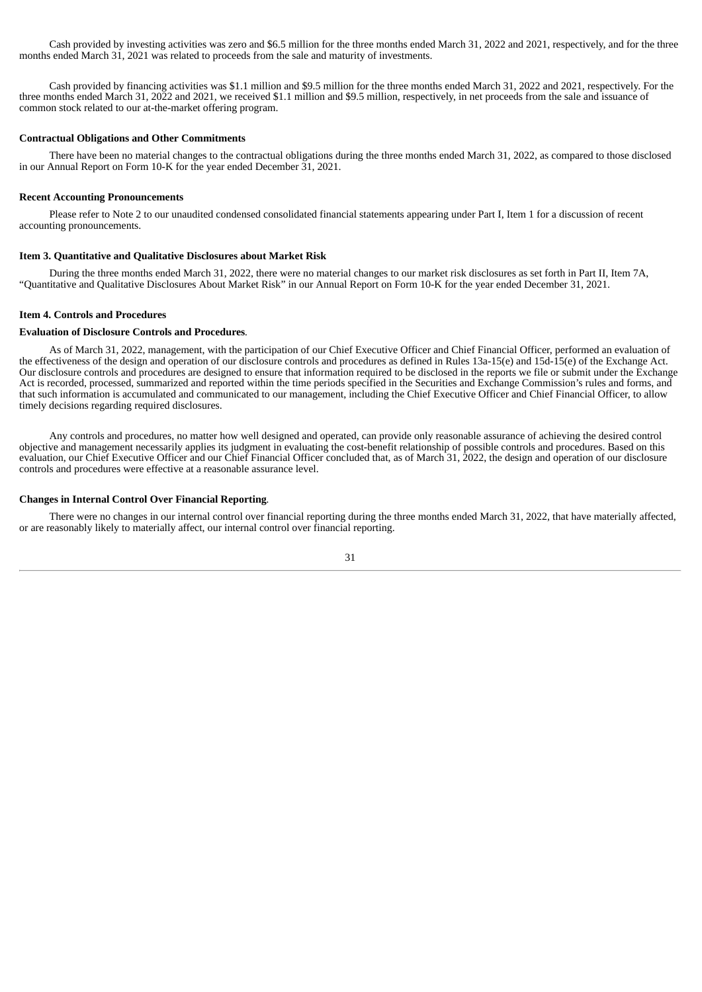Cash provided by investing activities was zero and \$6.5 million for the three months ended March 31, 2022 and 2021, respectively, and for the three months ended March 31, 2021 was related to proceeds from the sale and maturity of investments.

Cash provided by financing activities was \$1.1 million and \$9.5 million for the three months ended March 31, 2022 and 2021, respectively. For the three months ended March 31, 2022 and 2021, we received \$1.1 million and \$9.5 million, respectively, in net proceeds from the sale and issuance of common stock related to our at-the-market offering program.

#### **Contractual Obligations and Other Commitments**

There have been no material changes to the contractual obligations during the three months ended March 31, 2022, as compared to those disclosed in our Annual Report on Form 10-K for the year ended December 31, 2021.

#### **Recent Accounting Pronouncements**

Please refer to Note 2 to our unaudited condensed consolidated financial statements appearing under Part I, Item 1 for a discussion of recent accounting pronouncements.

#### <span id="page-30-0"></span>**Item 3. Quantitative and Qualitative Disclosures about Market Risk**

During the three months ended March 31, 2022, there were no material changes to our market risk disclosures as set forth in Part II, Item 7A, "Quantitative and Qualitative Disclosures About Market Risk" in our Annual Report on Form 10-K for the year ended December 31, 2021.

#### <span id="page-30-1"></span>**Item 4. Controls and Procedures**

#### **Evaluation of Disclosure Controls and Procedures***.*

As of March 31, 2022, management, with the participation of our Chief Executive Officer and Chief Financial Officer, performed an evaluation of the effectiveness of the design and operation of our disclosure controls and procedures as defined in Rules 13a-15(e) and 15d-15(e) of the Exchange Act. Our disclosure controls and procedures are designed to ensure that information required to be disclosed in the reports we file or submit under the Exchange Act is recorded, processed, summarized and reported within the time periods specified in the Securities and Exchange Commission's rules and forms, and that such information is accumulated and communicated to our management, including the Chief Executive Officer and Chief Financial Officer, to allow timely decisions regarding required disclosures.

Any controls and procedures, no matter how well designed and operated, can provide only reasonable assurance of achieving the desired control objective and management necessarily applies its judgment in evaluating the cost-benefit relationship of possible controls and procedures. Based on this evaluation, our Chief Executive Officer and our Chief Financial Officer concluded that, as of March 31, 2022, the design and operation of our disclosure controls and procedures were effective at a reasonable assurance level.

#### **Changes in Internal Control Over Financial Reporting***.*

There were no changes in our internal control over financial reporting during the three months ended March 31, 2022, that have materially affected, or are reasonably likely to materially affect, our internal control over financial reporting.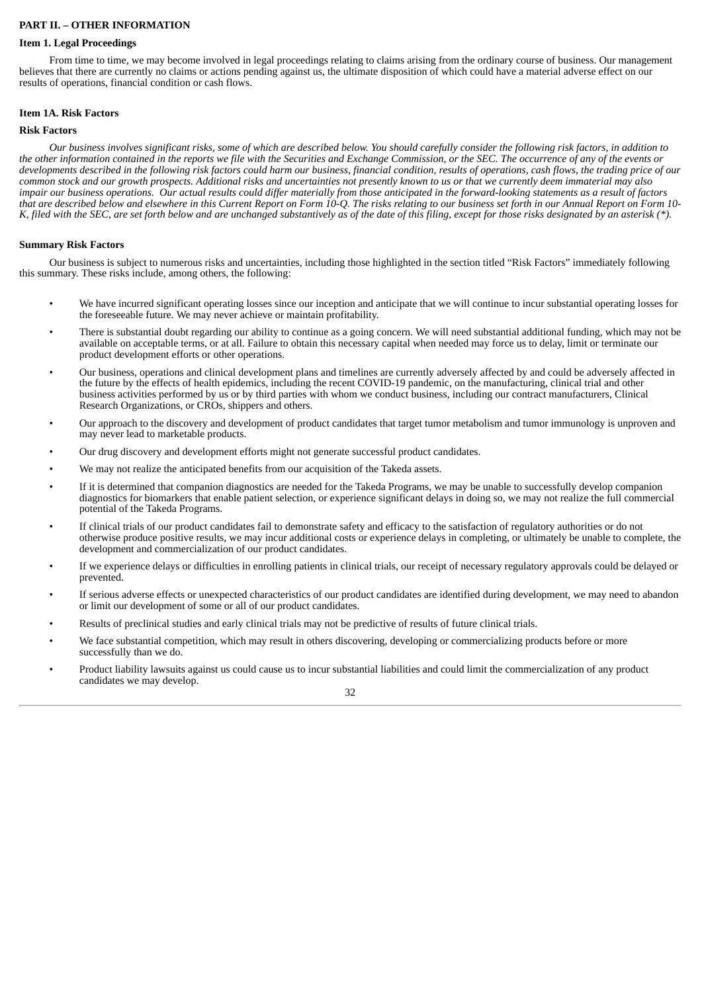#### <span id="page-31-0"></span>**PART II. – OTHER INFORMATION**

# <span id="page-31-1"></span>**Item 1. Legal Proceedings**

From time to time, we may become involved in legal proceedings relating to claims arising from the ordinary course of business. Our management believes that there are currently no claims or actions pending against us, the ultimate disposition of which could have a material adverse effect on our results of operations, financial condition or cash flows.

#### <span id="page-31-2"></span>**Item 1A. Risk Factors**

#### **Risk Factors**

Our business involves significant risks, some of which are described below. You should carefully consider the following risk factors, in addition to the other information contained in the reports we file with the Securities and Exchange Commission, or the SEC. The occurrence of any of the events or developments described in the following risk factors could harm our business, financial condition, results of operations, cash flows, the trading price of our common stock and our growth prospects. Additional risks and uncertainties not presently known to us or that we currently deem immaterial may also impair our business operations. Our actual results could differ materially from those anticipated in the forward-looking statements as a result of factors that are described below and elsewhere in this Current Report on Form 10-Q. The risks relating to our business set forth in our Annual Report on Form 10-K, filed with the SEC, are set forth below and are unchanced substantively as of the date of this filing, except for those risks designated by an asterisk (\*).

#### **Summary Risk Factors**

Our business is subject to numerous risks and uncertainties, including those highlighted in the section titled "Risk Factors" immediately following this summary. These risks include, among others, the following:

- We have incurred significant operating losses since our inception and anticipate that we will continue to incur substantial operating losses for the foreseeable future. We may never achieve or maintain profitability.
- There is substantial doubt regarding our ability to continue as a going concern. We will need substantial additional funding, which may not be available on acceptable terms, or at all. Failure to obtain this necessary capital when needed may force us to delay, limit or terminate our product development efforts or other operations.
- Our business, operations and clinical development plans and timelines are currently adversely affected by and could be adversely affected in the future by the effects of health epidemics, including the recent COVID-19 pandemic, on the manufacturing, clinical trial and other business activities performed by us or by third parties with whom we conduct business, including our contract manufacturers, Clinical Research Organizations, or CROs, shippers and others.
- Our approach to the discovery and development of product candidates that target tumor metabolism and tumor immunology is unproven and may never lead to marketable products.
- Our drug discovery and development efforts might not generate successful product candidates.
- We may not realize the anticipated benefits from our acquisition of the Takeda assets.
- If it is determined that companion diagnostics are needed for the Takeda Programs, we may be unable to successfully develop companion diagnostics for biomarkers that enable patient selection, or experience significant delays in doing so, we may not realize the full commercial potential of the Takeda Programs.
- If clinical trials of our product candidates fail to demonstrate safety and efficacy to the satisfaction of regulatory authorities or do not otherwise produce positive results, we may incur additional costs or experience delays in completing, or ultimately be unable to complete, the development and commercialization of our product candidates.
- If we experience delays or difficulties in enrolling patients in clinical trials, our receipt of necessary regulatory approvals could be delayed or prevented.
- If serious adverse effects or unexpected characteristics of our product candidates are identified during development, we may need to abandon or limit our development of some or all of our product candidates.
- Results of preclinical studies and early clinical trials may not be predictive of results of future clinical trials.
- We face substantial competition, which may result in others discovering, developing or commercializing products before or more successfully than we do.
- Product liability lawsuits against us could cause us to incur substantial liabilities and could limit the commercialization of any product candidates we may develop.

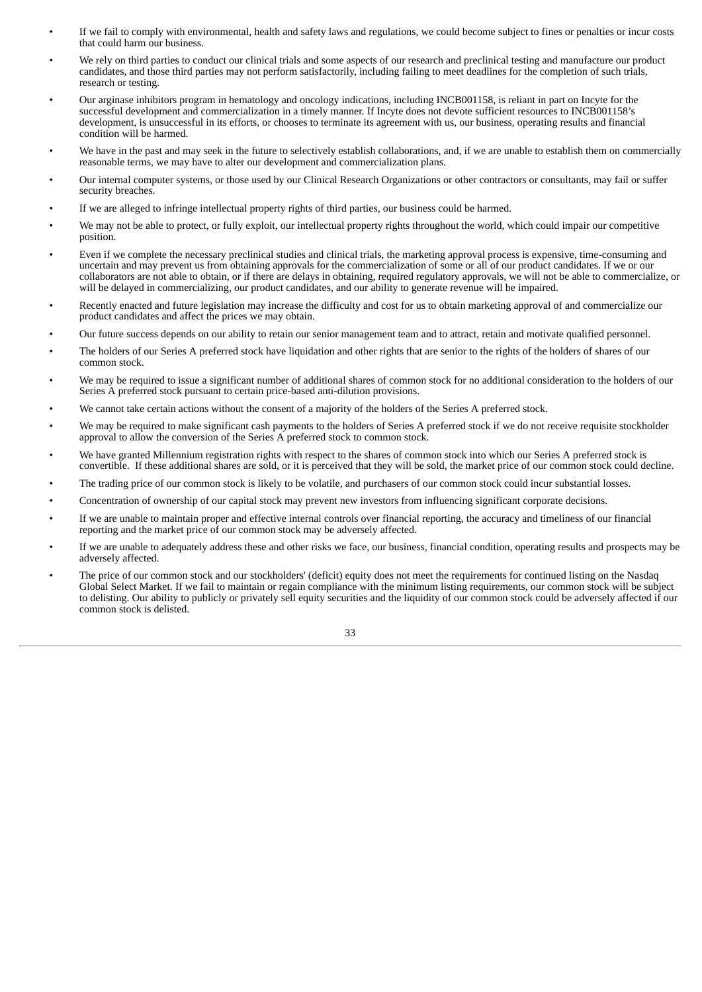- If we fail to comply with environmental, health and safety laws and regulations, we could become subject to fines or penalties or incur costs that could harm our business.
- We rely on third parties to conduct our clinical trials and some aspects of our research and preclinical testing and manufacture our product candidates, and those third parties may not perform satisfactorily, including failing to meet deadlines for the completion of such trials, research or testing.
- Our arginase inhibitors program in hematology and oncology indications, including INCB001158, is reliant in part on Incyte for the successful development and commercialization in a timely manner. If Incyte does not devote sufficient resources to INCB001158's development, is unsuccessful in its efforts, or chooses to terminate its agreement with us, our business, operating results and financial condition will be harmed.
- We have in the past and may seek in the future to selectively establish collaborations, and, if we are unable to establish them on commercially reasonable terms, we may have to alter our development and commercialization plans.
- Our internal computer systems, or those used by our Clinical Research Organizations or other contractors or consultants, may fail or suffer security breaches.
- If we are alleged to infringe intellectual property rights of third parties, our business could be harmed.
- We may not be able to protect, or fully exploit, our intellectual property rights throughout the world, which could impair our competitive position.
- Even if we complete the necessary preclinical studies and clinical trials, the marketing approval process is expensive, time-consuming and uncertain and may prevent us from obtaining approvals for the commercialization of some or all of our product candidates. If we or our collaborators are not able to obtain, or if there are delays in obtaining, required regulatory approvals, we will not be able to commercialize, or will be delayed in commercializing, our product candidates, and our ability to generate revenue will be impaired.
- Recently enacted and future legislation may increase the difficulty and cost for us to obtain marketing approval of and commercialize our product candidates and affect the prices we may obtain.
- Our future success depends on our ability to retain our senior management team and to attract, retain and motivate qualified personnel.
- The holders of our Series A preferred stock have liquidation and other rights that are senior to the rights of the holders of shares of our common stock.
- We may be required to issue a significant number of additional shares of common stock for no additional consideration to the holders of our Series A preferred stock pursuant to certain price-based anti-dilution provisions.
- We cannot take certain actions without the consent of a majority of the holders of the Series A preferred stock.
- We may be required to make significant cash payments to the holders of Series A preferred stock if we do not receive requisite stockholder approval to allow the conversion of the Series A preferred stock to common stock.
- We have granted Millennium registration rights with respect to the shares of common stock into which our Series A preferred stock is convertible. If these additional shares are sold, or it is perceived that they will be sold, the market price of our common stock could decline.
- The trading price of our common stock is likely to be volatile, and purchasers of our common stock could incur substantial losses.
- Concentration of ownership of our capital stock may prevent new investors from influencing significant corporate decisions.
- If we are unable to maintain proper and effective internal controls over financial reporting, the accuracy and timeliness of our financial reporting and the market price of our common stock may be adversely affected.
- If we are unable to adequately address these and other risks we face, our business, financial condition, operating results and prospects may be adversely affected.
- The price of our common stock and our stockholders' (deficit) equity does not meet the requirements for continued listing on the Nasdaq Global Select Market. If we fail to maintain or regain compliance with the minimum listing requirements, our common stock will be subject to delisting. Our ability to publicly or privately sell equity securities and the liquidity of our common stock could be adversely affected if our common stock is delisted.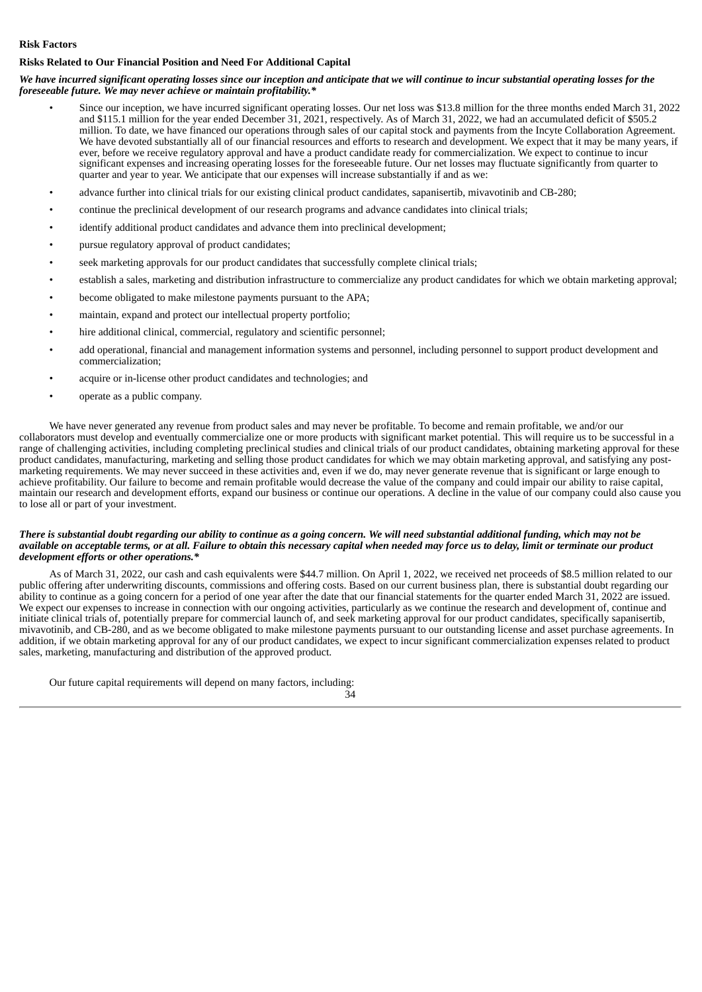# **Risk Factors**

## **Risks Related to Our Financial Position and Need For Additional Capital**

#### We have incurred significant operating losses since our inception and anticipate that we will continue to incur substantial operating losses for the *foreseeable future. We may never achieve or maintain profitability.\**

- Since our inception, we have incurred significant operating losses. Our net loss was \$13.8 million for the three months ended March 31, 2022 and \$115.1 million for the year ended December 31, 2021, respectively. As of March 31, 2022, we had an accumulated deficit of \$505.2 million. To date, we have financed our operations through sales of our capital stock and payments from the Incyte Collaboration Agreement. We have devoted substantially all of our financial resources and efforts to research and development. We expect that it may be many years, if ever, before we receive regulatory approval and have a product candidate ready for commercialization. We expect to continue to incur significant expenses and increasing operating losses for the foreseeable future. Our net losses may fluctuate significantly from quarter to quarter and year to year. We anticipate that our expenses will increase substantially if and as we:
- advance further into clinical trials for our existing clinical product candidates, sapanisertib, mivavotinib and CB-280;
- continue the preclinical development of our research programs and advance candidates into clinical trials;
- identify additional product candidates and advance them into preclinical development;
- pursue regulatory approval of product candidates;
- seek marketing approvals for our product candidates that successfully complete clinical trials;
- establish a sales, marketing and distribution infrastructure to commercialize any product candidates for which we obtain marketing approval;
- become obligated to make milestone payments pursuant to the APA;
- maintain, expand and protect our intellectual property portfolio;
- hire additional clinical, commercial, regulatory and scientific personnel;
- add operational, financial and management information systems and personnel, including personnel to support product development and commercialization;
- acquire or in-license other product candidates and technologies; and
- operate as a public company.

We have never generated any revenue from product sales and may never be profitable. To become and remain profitable, we and/or our collaborators must develop and eventually commercialize one or more products with significant market potential. This will require us to be successful in a range of challenging activities, including completing preclinical studies and clinical trials of our product candidates, obtaining marketing approval for these product candidates, manufacturing, marketing and selling those product candidates for which we may obtain marketing approval, and satisfying any postmarketing requirements. We may never succeed in these activities and, even if we do, may never generate revenue that is significant or large enough to achieve profitability. Our failure to become and remain profitable would decrease the value of the company and could impair our ability to raise capital, maintain our research and development efforts, expand our business or continue our operations. A decline in the value of our company could also cause you to lose all or part of your investment.

#### There is substantial doubt regarding our ability to continue as a going concern. We will need substantial additional funding, which may not be available on acceptable terms, or at all. Failure to obtain this necessary capital when needed may force us to delay, limit or terminate our product *development efforts or other operations.\**

As of March 31, 2022, our cash and cash equivalents were \$44.7 million. On April 1, 2022, we received net proceeds of \$8.5 million related to our public offering after underwriting discounts, commissions and offering costs. Based on our current business plan, there is substantial doubt regarding our ability to continue as a going concern for a period of one year after the date that our financial statements for the quarter ended March 31, 2022 are issued. We expect our expenses to increase in connection with our ongoing activities, particularly as we continue the research and development of, continue and initiate clinical trials of, potentially prepare for commercial launch of, and seek marketing approval for our product candidates, specifically sapanisertib, mivavotinib, and CB-280, and as we become obligated to make milestone payments pursuant to our outstanding license and asset purchase agreements. In addition, if we obtain marketing approval for any of our product candidates, we expect to incur significant commercialization expenses related to product sales, marketing, manufacturing and distribution of the approved product.

Our future capital requirements will depend on many factors, including: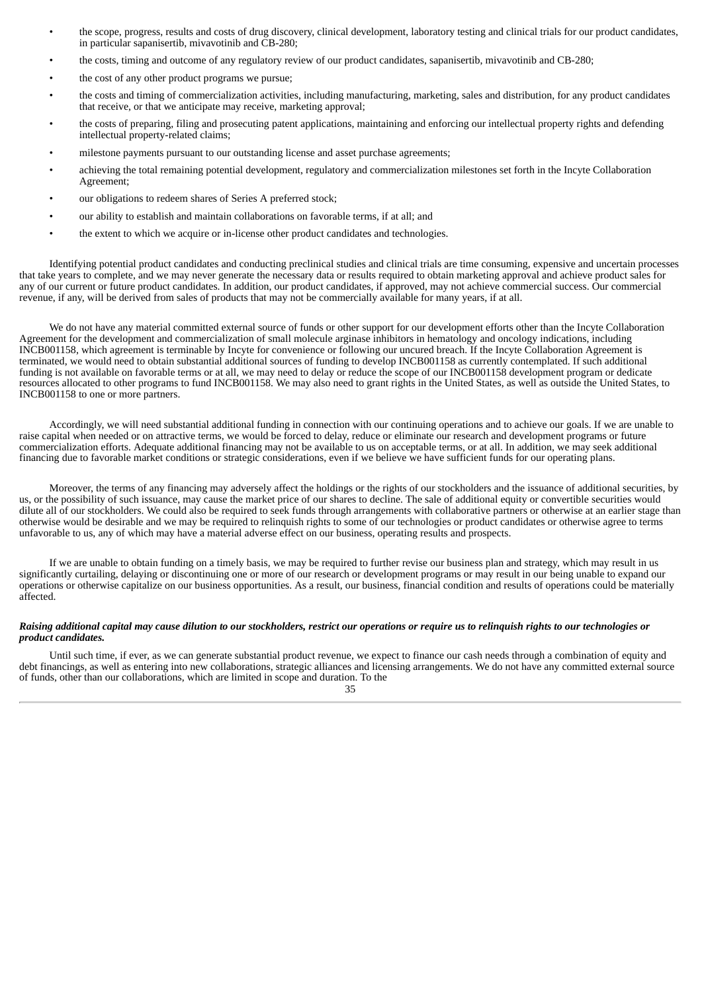- the scope, progress, results and costs of drug discovery, clinical development, laboratory testing and clinical trials for our product candidates, in particular sapanisertib, mivavotinib and CB-280;
- the costs, timing and outcome of any regulatory review of our product candidates, sapanisertib, mivavotinib and CB-280;
- the cost of any other product programs we pursue;
- the costs and timing of commercialization activities, including manufacturing, marketing, sales and distribution, for any product candidates that receive, or that we anticipate may receive, marketing approval;
- the costs of preparing, filing and prosecuting patent applications, maintaining and enforcing our intellectual property rights and defending intellectual property-related claims;
- milestone payments pursuant to our outstanding license and asset purchase agreements;
- achieving the total remaining potential development, regulatory and commercialization milestones set forth in the Incyte Collaboration Agreement;
- our obligations to redeem shares of Series A preferred stock;
- our ability to establish and maintain collaborations on favorable terms, if at all; and
- the extent to which we acquire or in-license other product candidates and technologies.

Identifying potential product candidates and conducting preclinical studies and clinical trials are time consuming, expensive and uncertain processes that take years to complete, and we may never generate the necessary data or results required to obtain marketing approval and achieve product sales for any of our current or future product candidates. In addition, our product candidates, if approved, may not achieve commercial success. Our commercial revenue, if any, will be derived from sales of products that may not be commercially available for many years, if at all.

We do not have any material committed external source of funds or other support for our development efforts other than the Incyte Collaboration Agreement for the development and commercialization of small molecule arginase inhibitors in hematology and oncology indications, including INCB001158, which agreement is terminable by Incyte for convenience or following our uncured breach. If the Incyte Collaboration Agreement is terminated, we would need to obtain substantial additional sources of funding to develop INCB001158 as currently contemplated. If such additional funding is not available on favorable terms or at all, we may need to delay or reduce the scope of our INCB001158 development program or dedicate resources allocated to other programs to fund INCB001158. We may also need to grant rights in the United States, as well as outside the United States, to INCB001158 to one or more partners.

Accordingly, we will need substantial additional funding in connection with our continuing operations and to achieve our goals. If we are unable to raise capital when needed or on attractive terms, we would be forced to delay, reduce or eliminate our research and development programs or future commercialization efforts. Adequate additional financing may not be available to us on acceptable terms, or at all. In addition, we may seek additional financing due to favorable market conditions or strategic considerations, even if we believe we have sufficient funds for our operating plans.

Moreover, the terms of any financing may adversely affect the holdings or the rights of our stockholders and the issuance of additional securities, by us, or the possibility of such issuance, may cause the market price of our shares to decline. The sale of additional equity or convertible securities would dilute all of our stockholders. We could also be required to seek funds through arrangements with collaborative partners or otherwise at an earlier stage than otherwise would be desirable and we may be required to relinquish rights to some of our technologies or product candidates or otherwise agree to terms unfavorable to us, any of which may have a material adverse effect on our business, operating results and prospects.

If we are unable to obtain funding on a timely basis, we may be required to further revise our business plan and strategy, which may result in us significantly curtailing, delaying or discontinuing one or more of our research or development programs or may result in our being unable to expand our operations or otherwise capitalize on our business opportunities. As a result, our business, financial condition and results of operations could be materially affected.

#### Raising additional capital may cause dilution to our stockholders, restrict our operations or require us to relinguish rights to our technologies or *product candidates.*

Until such time, if ever, as we can generate substantial product revenue, we expect to finance our cash needs through a combination of equity and debt financings, as well as entering into new collaborations, strategic alliances and licensing arrangements. We do not have any committed external source of funds, other than our collaborations, which are limited in scope and duration. To the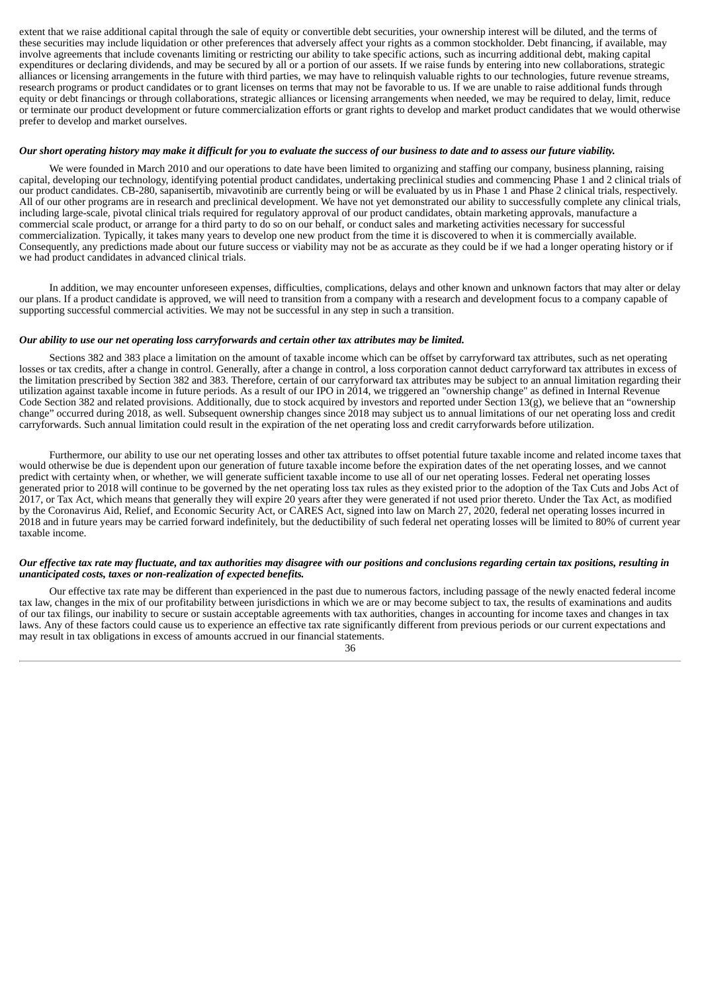extent that we raise additional capital through the sale of equity or convertible debt securities, your ownership interest will be diluted, and the terms of these securities may include liquidation or other preferences that adversely affect your rights as a common stockholder. Debt financing, if available, may involve agreements that include covenants limiting or restricting our ability to take specific actions, such as incurring additional debt, making capital expenditures or declaring dividends, and may be secured by all or a portion of our assets. If we raise funds by entering into new collaborations, strategic alliances or licensing arrangements in the future with third parties, we may have to relinquish valuable rights to our technologies, future revenue streams, research programs or product candidates or to grant licenses on terms that may not be favorable to us. If we are unable to raise additional funds through equity or debt financings or through collaborations, strategic alliances or licensing arrangements when needed, we may be required to delay, limit, reduce or terminate our product development or future commercialization efforts or grant rights to develop and market product candidates that we would otherwise prefer to develop and market ourselves.

#### Our short operating history may make it difficult for you to evaluate the success of our business to date and to assess our future viability.

We were founded in March 2010 and our operations to date have been limited to organizing and staffing our company, business planning, raising capital, developing our technology, identifying potential product candidates, undertaking preclinical studies and commencing Phase 1 and 2 clinical trials of our product candidates. CB-280, sapanisertib, mivavotinib are currently being or will be evaluated by us in Phase 1 and Phase 2 clinical trials, respectively. All of our other programs are in research and preclinical development. We have not yet demonstrated our ability to successfully complete any clinical trials, including large-scale, pivotal clinical trials required for regulatory approval of our product candidates, obtain marketing approvals, manufacture a commercial scale product, or arrange for a third party to do so on our behalf, or conduct sales and marketing activities necessary for successful commercialization. Typically, it takes many years to develop one new product from the time it is discovered to when it is commercially available. Consequently, any predictions made about our future success or viability may not be as accurate as they could be if we had a longer operating history or if we had product candidates in advanced clinical trials.

In addition, we may encounter unforeseen expenses, difficulties, complications, delays and other known and unknown factors that may alter or delay our plans. If a product candidate is approved, we will need to transition from a company with a research and development focus to a company capable of supporting successful commercial activities. We may not be successful in any step in such a transition.

#### *Our ability to use our net operating loss carryforwards and certain other tax attributes may be limited.*

Sections 382 and 383 place a limitation on the amount of taxable income which can be offset by carryforward tax attributes, such as net operating losses or tax credits, after a change in control. Generally, after a change in control, a loss corporation cannot deduct carryforward tax attributes in excess of the limitation prescribed by Section 382 and 383. Therefore, certain of our carryforward tax attributes may be subject to an annual limitation regarding their utilization against taxable income in future periods. As a result of our IPO in 2014, we triggered an "ownership change" as defined in Internal Revenue Code Section 382 and related provisions. Additionally, due to stock acquired by investors and reported under Section 13(g), we believe that an "ownership change" occurred during 2018, as well. Subsequent ownership changes since 2018 may subject us to annual limitations of our net operating loss and credit carryforwards. Such annual limitation could result in the expiration of the net operating loss and credit carryforwards before utilization.

Furthermore, our ability to use our net operating losses and other tax attributes to offset potential future taxable income and related income taxes that would otherwise be due is dependent upon our generation of future taxable income before the expiration dates of the net operating losses, and we cannot predict with certainty when, or whether, we will generate sufficient taxable income to use all of our net operating losses. Federal net operating losses generated prior to 2018 will continue to be governed by the net operating loss tax rules as they existed prior to the adoption of the Tax Cuts and Jobs Act of 2017, or Tax Act, which means that generally they will expire 20 years after they were generated if not used prior thereto. Under the Tax Act, as modified by the Coronavirus Aid, Relief, and Economic Security Act, or CARES Act, signed into law on March 27, 2020, federal net operating losses incurred in 2018 and in future years may be carried forward indefinitely, but the deductibility of such federal net operating losses will be limited to 80% of current year taxable income.

#### Our effective tax rate may fluctuate, and tax authorities may disagree with our positions and conclusions regarding certain tax positions, resulting in *unanticipated costs, taxes or non-realization of expected benefits.*

Our effective tax rate may be different than experienced in the past due to numerous factors, including passage of the newly enacted federal income tax law, changes in the mix of our profitability between jurisdictions in which we are or may become subject to tax, the results of examinations and audits of our tax filings, our inability to secure or sustain acceptable agreements with tax authorities, changes in accounting for income taxes and changes in tax laws. Any of these factors could cause us to experience an effective tax rate significantly different from previous periods or our current expectations and may result in tax obligations in excess of amounts accrued in our financial statements.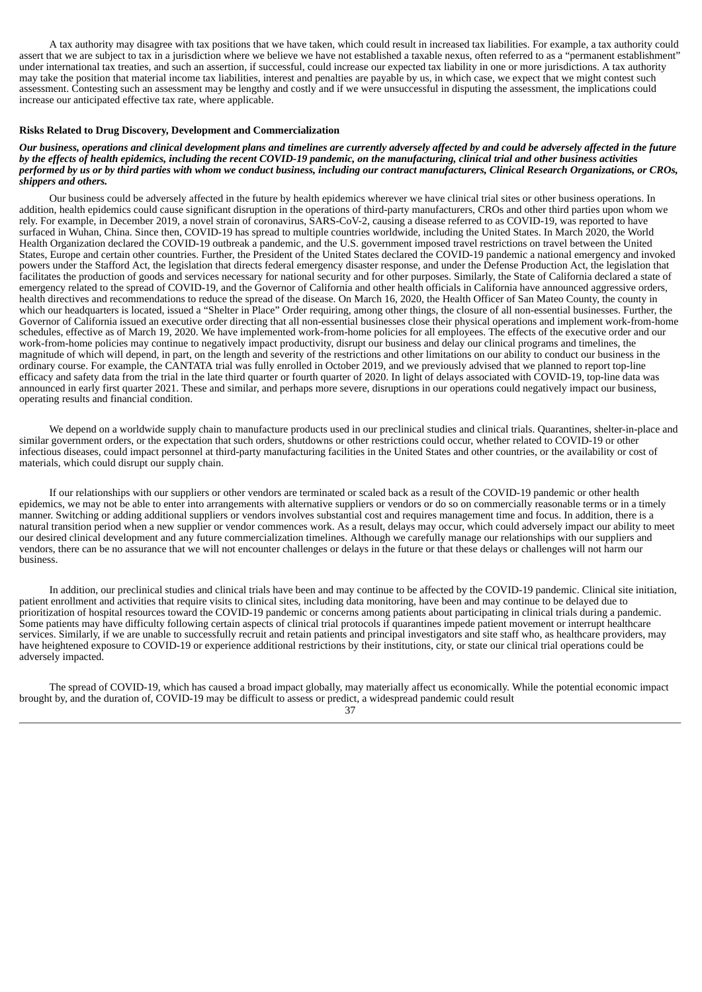A tax authority may disagree with tax positions that we have taken, which could result in increased tax liabilities. For example, a tax authority could assert that we are subject to tax in a jurisdiction where we believe we have not established a taxable nexus, often referred to as a "permanent establishment" under international tax treaties, and such an assertion, if successful, could increase our expected tax liability in one or more jurisdictions. A tax authority may take the position that material income tax liabilities, interest and penalties are payable by us, in which case, we expect that we might contest such assessment. Contesting such an assessment may be lengthy and costly and if we were unsuccessful in disputing the assessment, the implications could increase our anticipated effective tax rate, where applicable.

#### **Risks Related to Drug Discovery, Development and Commercialization**

#### Our business, operations and clinical development plans and timelines are currently adversely affected by and could be adversely affected in the future by the effects of health epidemics, including the recent COVID-19 pandemic, on the manufacturing, clinical trial and other business activities performed by us or by third parties with whom we conduct business, including our contract manufacturers, Clinical Research Organizations, or CROs, *shippers and others.*

Our business could be adversely affected in the future by health epidemics wherever we have clinical trial sites or other business operations. In addition, health epidemics could cause significant disruption in the operations of third-party manufacturers, CROs and other third parties upon whom we rely. For example, in December 2019, a novel strain of coronavirus, SARS-CoV-2, causing a disease referred to as COVID-19, was reported to have surfaced in Wuhan, China. Since then, COVID-19 has spread to multiple countries worldwide, including the United States. In March 2020, the World Health Organization declared the COVID-19 outbreak a pandemic, and the U.S. government imposed travel restrictions on travel between the United States, Europe and certain other countries. Further, the President of the United States declared the COVID-19 pandemic a national emergency and invoked powers under the Stafford Act, the legislation that directs federal emergency disaster response, and under the Defense Production Act, the legislation that facilitates the production of goods and services necessary for national security and for other purposes. Similarly, the State of California declared a state of emergency related to the spread of COVID-19, and the Governor of California and other health officials in California have announced aggressive orders, health directives and recommendations to reduce the spread of the disease. On March 16, 2020, the Health Officer of San Mateo County, the county in which our headquarters is located, issued a "Shelter in Place" Order requiring, among other things, the closure of all non-essential businesses. Further, the Governor of California issued an executive order directing that all non-essential businesses close their physical operations and implement work-from-home schedules, effective as of March 19, 2020. We have implemented work-from-home policies for all employees. The effects of the executive order and our work-from-home policies may continue to negatively impact productivity, disrupt our business and delay our clinical programs and timelines, the magnitude of which will depend, in part, on the length and severity of the restrictions and other limitations on our ability to conduct our business in the ordinary course. For example, the CANTATA trial was fully enrolled in October 2019, and we previously advised that we planned to report top-line efficacy and safety data from the trial in the late third quarter or fourth quarter of 2020. In light of delays associated with COVID-19, top-line data was announced in early first quarter 2021. These and similar, and perhaps more severe, disruptions in our operations could negatively impact our business, operating results and financial condition.

We depend on a worldwide supply chain to manufacture products used in our preclinical studies and clinical trials. Quarantines, shelter-in-place and similar government orders, or the expectation that such orders, shutdowns or other restrictions could occur, whether related to COVID-19 or other infectious diseases, could impact personnel at third-party manufacturing facilities in the United States and other countries, or the availability or cost of materials, which could disrupt our supply chain.

If our relationships with our suppliers or other vendors are terminated or scaled back as a result of the COVID-19 pandemic or other health epidemics, we may not be able to enter into arrangements with alternative suppliers or vendors or do so on commercially reasonable terms or in a timely manner. Switching or adding additional suppliers or vendors involves substantial cost and requires management time and focus. In addition, there is a natural transition period when a new supplier or vendor commences work. As a result, delays may occur, which could adversely impact our ability to meet our desired clinical development and any future commercialization timelines. Although we carefully manage our relationships with our suppliers and vendors, there can be no assurance that we will not encounter challenges or delays in the future or that these delays or challenges will not harm our business.

In addition, our preclinical studies and clinical trials have been and may continue to be affected by the COVID-19 pandemic. Clinical site initiation, patient enrollment and activities that require visits to clinical sites, including data monitoring, have been and may continue to be delayed due to prioritization of hospital resources toward the COVID-19 pandemic or concerns among patients about participating in clinical trials during a pandemic. Some patients may have difficulty following certain aspects of clinical trial protocols if quarantines impede patient movement or interrupt healthcare services. Similarly, if we are unable to successfully recruit and retain patients and principal investigators and site staff who, as healthcare providers, may have heightened exposure to COVID-19 or experience additional restrictions by their institutions, city, or state our clinical trial operations could be adversely impacted.

The spread of COVID-19, which has caused a broad impact globally, may materially affect us economically. While the potential economic impact brought by, and the duration of, COVID-19 may be difficult to assess or predict, a widespread pandemic could result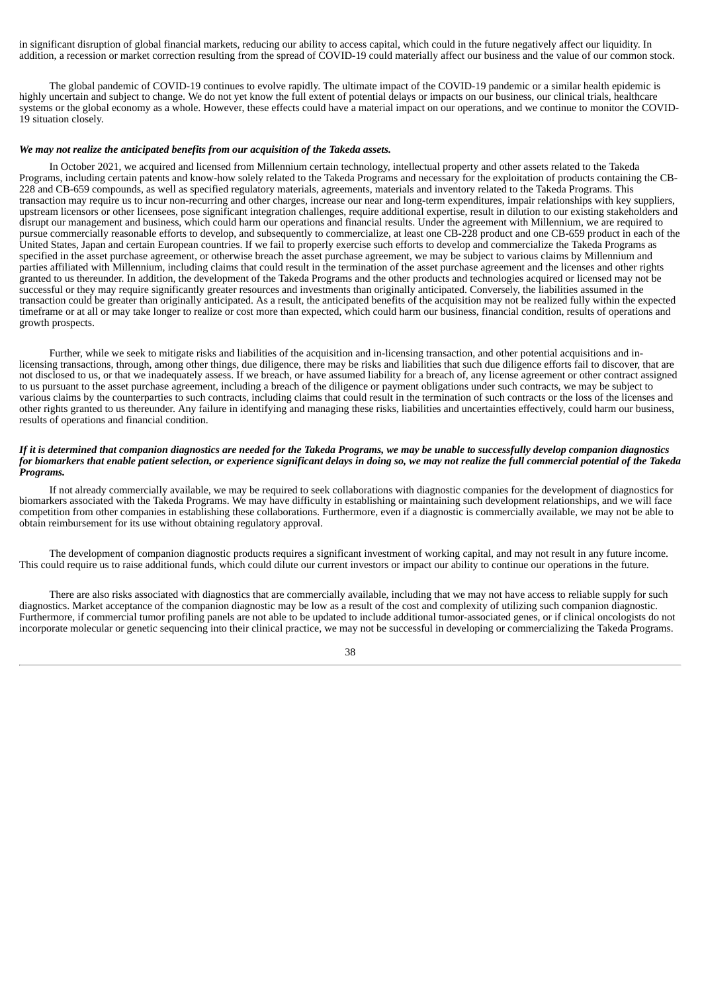in significant disruption of global financial markets, reducing our ability to access capital, which could in the future negatively affect our liquidity. In addition, a recession or market correction resulting from the spread of COVID-19 could materially affect our business and the value of our common stock.

The global pandemic of COVID-19 continues to evolve rapidly. The ultimate impact of the COVID-19 pandemic or a similar health epidemic is highly uncertain and subject to change. We do not yet know the full extent of potential delays or impacts on our business, our clinical trials, healthcare systems or the global economy as a whole. However, these effects could have a material impact on our operations, and we continue to monitor the COVID-19 situation closely.

#### *We may not realize the anticipated benefits from our acquisition of the Takeda assets.*

In October 2021, we acquired and licensed from Millennium certain technology, intellectual property and other assets related to the Takeda Programs, including certain patents and know-how solely related to the Takeda Programs and necessary for the exploitation of products containing the CB-228 and CB-659 compounds, as well as specified regulatory materials, agreements, materials and inventory related to the Takeda Programs. This transaction may require us to incur non-recurring and other charges, increase our near and long-term expenditures, impair relationships with key suppliers, upstream licensors or other licensees, pose significant integration challenges, require additional expertise, result in dilution to our existing stakeholders and disrupt our management and business, which could harm our operations and financial results. Under the agreement with Millennium, we are required to pursue commercially reasonable efforts to develop, and subsequently to commercialize, at least one CB-228 product and one CB-659 product in each of the United States, Japan and certain European countries. If we fail to properly exercise such efforts to develop and commercialize the Takeda Programs as specified in the asset purchase agreement, or otherwise breach the asset purchase agreement, we may be subject to various claims by Millennium and parties affiliated with Millennium, including claims that could result in the termination of the asset purchase agreement and the licenses and other rights granted to us thereunder. In addition, the development of the Takeda Programs and the other products and technologies acquired or licensed may not be successful or they may require significantly greater resources and investments than originally anticipated. Conversely, the liabilities assumed in the transaction could be greater than originally anticipated. As a result, the anticipated benefits of the acquisition may not be realized fully within the expected timeframe or at all or may take longer to realize or cost more than expected, which could harm our business, financial condition, results of operations and growth prospects.

Further, while we seek to mitigate risks and liabilities of the acquisition and in-licensing transaction, and other potential acquisitions and inlicensing transactions, through, among other things, due diligence, there may be risks and liabilities that such due diligence efforts fail to discover, that are not disclosed to us, or that we inadequately assess. If we breach, or have assumed liability for a breach of, any license agreement or other contract assigned to us pursuant to the asset purchase agreement, including a breach of the diligence or payment obligations under such contracts, we may be subject to various claims by the counterparties to such contracts, including claims that could result in the termination of such contracts or the loss of the licenses and other rights granted to us thereunder. Any failure in identifying and managing these risks, liabilities and uncertainties effectively, could harm our business, results of operations and financial condition.

#### If it is determined that companion diagnostics are needed for the Takeda Programs, we may be unable to successfully develop companion diagnostics for biomarkers that enable patient selection, or experience significant delays in doing so, we may not realize the full commercial potential of the Takeda *Programs.*

If not already commercially available, we may be required to seek collaborations with diagnostic companies for the development of diagnostics for biomarkers associated with the Takeda Programs. We may have difficulty in establishing or maintaining such development relationships, and we will face competition from other companies in establishing these collaborations. Furthermore, even if a diagnostic is commercially available, we may not be able to obtain reimbursement for its use without obtaining regulatory approval.

The development of companion diagnostic products requires a significant investment of working capital, and may not result in any future income. This could require us to raise additional funds, which could dilute our current investors or impact our ability to continue our operations in the future.

There are also risks associated with diagnostics that are commercially available, including that we may not have access to reliable supply for such diagnostics. Market acceptance of the companion diagnostic may be low as a result of the cost and complexity of utilizing such companion diagnostic. Furthermore, if commercial tumor profiling panels are not able to be updated to include additional tumor-associated genes, or if clinical oncologists do not incorporate molecular or genetic sequencing into their clinical practice, we may not be successful in developing or commercializing the Takeda Programs.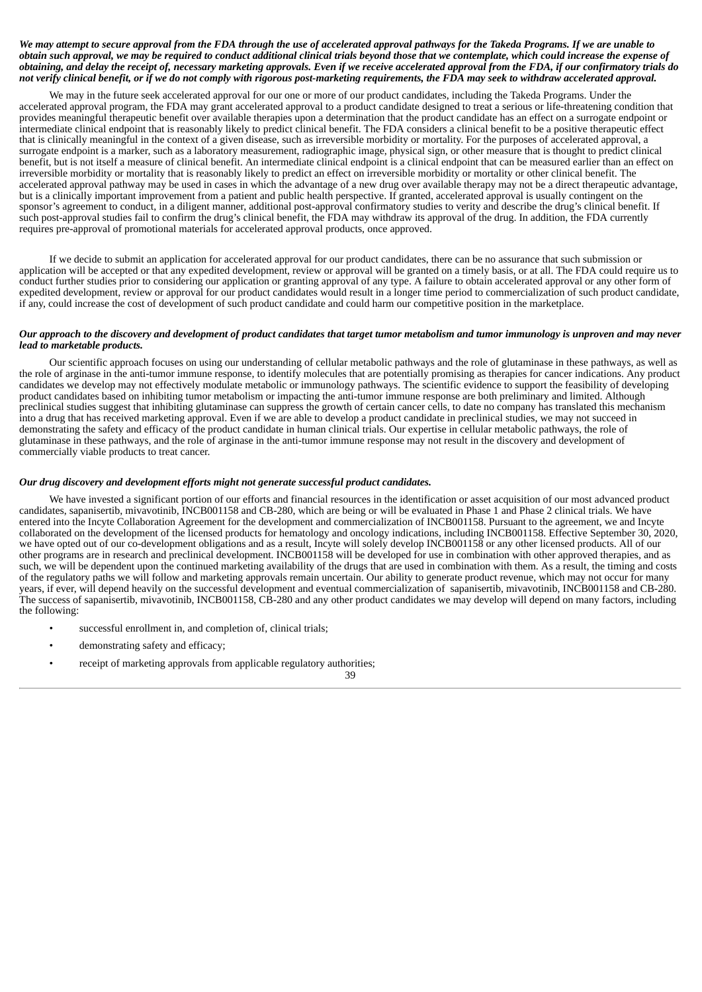## We may attempt to secure approval from the FDA through the use of accelerated approval pathways for the Takeda Programs. If we are unable to obtain such approval, we may be required to conduct additional clinical trials beyond those that we contemplate, which could increase the expense of obtaining, and delay the receipt of, necessary marketing approvals. Even if we receive accelerated approval from the FDA, if our confirmatory trials do not verify clinical benefit, or if we do not comply with rigorous post-marketing requirements, the FDA may seek to withdraw accelerated approval.

We may in the future seek accelerated approval for our one or more of our product candidates, including the Takeda Programs. Under the accelerated approval program, the FDA may grant accelerated approval to a product candidate designed to treat a serious or life-threatening condition that provides meaningful therapeutic benefit over available therapies upon a determination that the product candidate has an effect on a surrogate endpoint or intermediate clinical endpoint that is reasonably likely to predict clinical benefit. The FDA considers a clinical benefit to be a positive therapeutic effect that is clinically meaningful in the context of a given disease, such as irreversible morbidity or mortality. For the purposes of accelerated approval, a surrogate endpoint is a marker, such as a laboratory measurement, radiographic image, physical sign, or other measure that is thought to predict clinical benefit, but is not itself a measure of clinical benefit. An intermediate clinical endpoint is a clinical endpoint that can be measured earlier than an effect on irreversible morbidity or mortality that is reasonably likely to predict an effect on irreversible morbidity or mortality or other clinical benefit. The accelerated approval pathway may be used in cases in which the advantage of a new drug over available therapy may not be a direct therapeutic advantage, but is a clinically important improvement from a patient and public health perspective. If granted, accelerated approval is usually contingent on the sponsor's agreement to conduct, in a diligent manner, additional post-approval confirmatory studies to verity and describe the drug's clinical benefit. If such post-approval studies fail to confirm the drug's clinical benefit, the FDA may withdraw its approval of the drug. In addition, the FDA currently requires pre-approval of promotional materials for accelerated approval products, once approved.

If we decide to submit an application for accelerated approval for our product candidates, there can be no assurance that such submission or application will be accepted or that any expedited development, review or approval will be granted on a timely basis, or at all. The FDA could require us to conduct further studies prior to considering our application or granting approval of any type. A failure to obtain accelerated approval or any other form of expedited development, review or approval for our product candidates would result in a longer time period to commercialization of such product candidate, if any, could increase the cost of development of such product candidate and could harm our competitive position in the marketplace.

#### Our approach to the discovery and development of product candidates that target tumor metabolism and tumor immunology is unproven and may never *lead to marketable products.*

Our scientific approach focuses on using our understanding of cellular metabolic pathways and the role of glutaminase in these pathways, as well as the role of arginase in the anti-tumor immune response, to identify molecules that are potentially promising as therapies for cancer indications. Any product candidates we develop may not effectively modulate metabolic or immunology pathways. The scientific evidence to support the feasibility of developing product candidates based on inhibiting tumor metabolism or impacting the anti-tumor immune response are both preliminary and limited. Although preclinical studies suggest that inhibiting glutaminase can suppress the growth of certain cancer cells, to date no company has translated this mechanism into a drug that has received marketing approval. Even if we are able to develop a product candidate in preclinical studies, we may not succeed in demonstrating the safety and efficacy of the product candidate in human clinical trials. Our expertise in cellular metabolic pathways, the role of glutaminase in these pathways, and the role of arginase in the anti-tumor immune response may not result in the discovery and development of commercially viable products to treat cancer.

## *Our drug discovery and development efforts might not generate successful product candidates.*

We have invested a significant portion of our efforts and financial resources in the identification or asset acquisition of our most advanced product candidates, sapanisertib, mivavotinib, INCB001158 and CB-280, which are being or will be evaluated in Phase 1 and Phase 2 clinical trials. We have entered into the Incyte Collaboration Agreement for the development and commercialization of INCB001158. Pursuant to the agreement, we and Incyte collaborated on the development of the licensed products for hematology and oncology indications, including INCB001158. Effective September 30, 2020, we have opted out of our co-development obligations and as a result, Incyte will solely develop INCB001158 or any other licensed products. All of our other programs are in research and preclinical development. INCB001158 will be developed for use in combination with other approved therapies, and as such, we will be dependent upon the continued marketing availability of the drugs that are used in combination with them. As a result, the timing and costs of the regulatory paths we will follow and marketing approvals remain uncertain. Our ability to generate product revenue, which may not occur for many years, if ever, will depend heavily on the successful development and eventual commercialization of sapanisertib, mivavotinib, INCB001158 and CB-280. The success of sapanisertib, mivavotinib, INCB001158, CB-280 and any other product candidates we may develop will depend on many factors, including the following:

- successful enrollment in, and completion of, clinical trials;
- demonstrating safety and efficacy;
- receipt of marketing approvals from applicable regulatory authorities;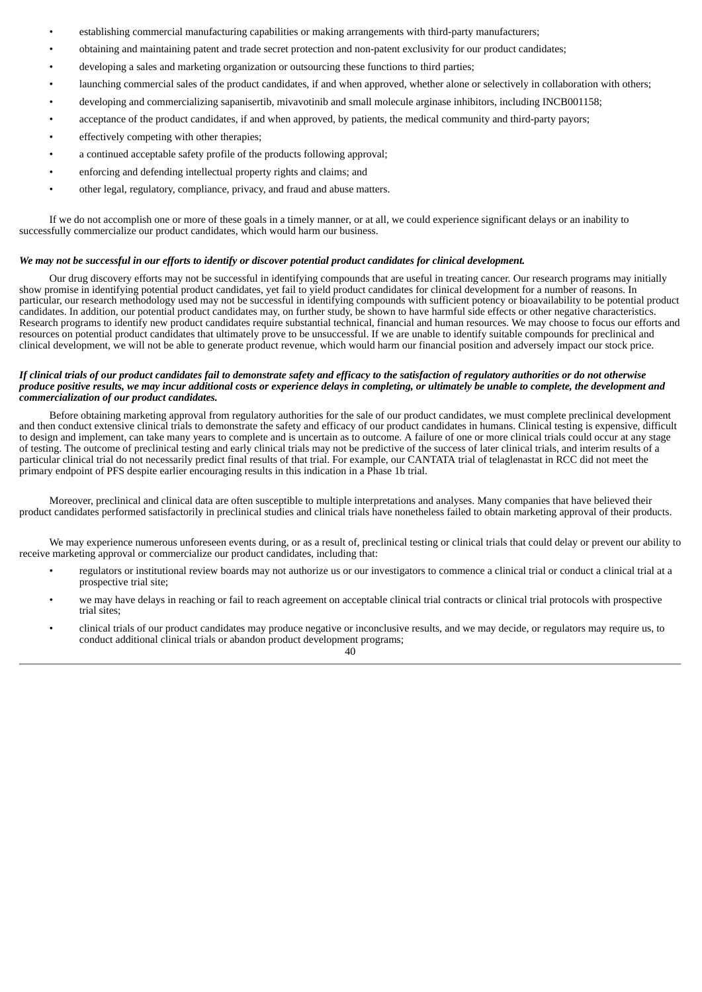- establishing commercial manufacturing capabilities or making arrangements with third-party manufacturers;
- obtaining and maintaining patent and trade secret protection and non-patent exclusivity for our product candidates;
- developing a sales and marketing organization or outsourcing these functions to third parties;
- launching commercial sales of the product candidates, if and when approved, whether alone or selectively in collaboration with others;
- developing and commercializing sapanisertib, mivavotinib and small molecule arginase inhibitors, including INCB001158;
- acceptance of the product candidates, if and when approved, by patients, the medical community and third-party payors;
- effectively competing with other therapies;
- a continued acceptable safety profile of the products following approval;
- enforcing and defending intellectual property rights and claims; and
- other legal, regulatory, compliance, privacy, and fraud and abuse matters.

If we do not accomplish one or more of these goals in a timely manner, or at all, we could experience significant delays or an inability to successfully commercialize our product candidates, which would harm our business.

#### We may not be successful in our efforts to identify or discover potential product candidates for clinical development.

Our drug discovery efforts may not be successful in identifying compounds that are useful in treating cancer. Our research programs may initially show promise in identifying potential product candidates, yet fail to yield product candidates for clinical development for a number of reasons. In particular, our research methodology used may not be successful in identifying compounds with sufficient potency or bioavailability to be potential product candidates. In addition, our potential product candidates may, on further study, be shown to have harmful side effects or other negative characteristics. Research programs to identify new product candidates require substantial technical, financial and human resources. We may choose to focus our efforts and resources on potential product candidates that ultimately prove to be unsuccessful. If we are unable to identify suitable compounds for preclinical and clinical development, we will not be able to generate product revenue, which would harm our financial position and adversely impact our stock price.

#### If clinical trials of our product candidates fail to demonstrate safety and efficacy to the satisfaction of regulatory authorities or do not otherwise produce positive results, we may incur additional costs or experience delays in completing, or ultimately be unable to complete, the development and *commercialization of our product candidates.*

Before obtaining marketing approval from regulatory authorities for the sale of our product candidates, we must complete preclinical development and then conduct extensive clinical trials to demonstrate the safety and efficacy of our product candidates in humans. Clinical testing is expensive, difficult to design and implement, can take many years to complete and is uncertain as to outcome. A failure of one or more clinical trials could occur at any stage of testing. The outcome of preclinical testing and early clinical trials may not be predictive of the success of later clinical trials, and interim results of a particular clinical trial do not necessarily predict final results of that trial. For example, our CANTATA trial of telaglenastat in RCC did not meet the primary endpoint of PFS despite earlier encouraging results in this indication in a Phase 1b trial.

Moreover, preclinical and clinical data are often susceptible to multiple interpretations and analyses. Many companies that have believed their product candidates performed satisfactorily in preclinical studies and clinical trials have nonetheless failed to obtain marketing approval of their products.

We may experience numerous unforeseen events during, or as a result of, preclinical testing or clinical trials that could delay or prevent our ability to receive marketing approval or commercialize our product candidates, including that:

- regulators or institutional review boards may not authorize us or our investigators to commence a clinical trial or conduct a clinical trial at a prospective trial site;
- we may have delays in reaching or fail to reach agreement on acceptable clinical trial contracts or clinical trial protocols with prospective trial sites;
- clinical trials of our product candidates may produce negative or inconclusive results, and we may decide, or regulators may require us, to conduct additional clinical trials or abandon product development programs;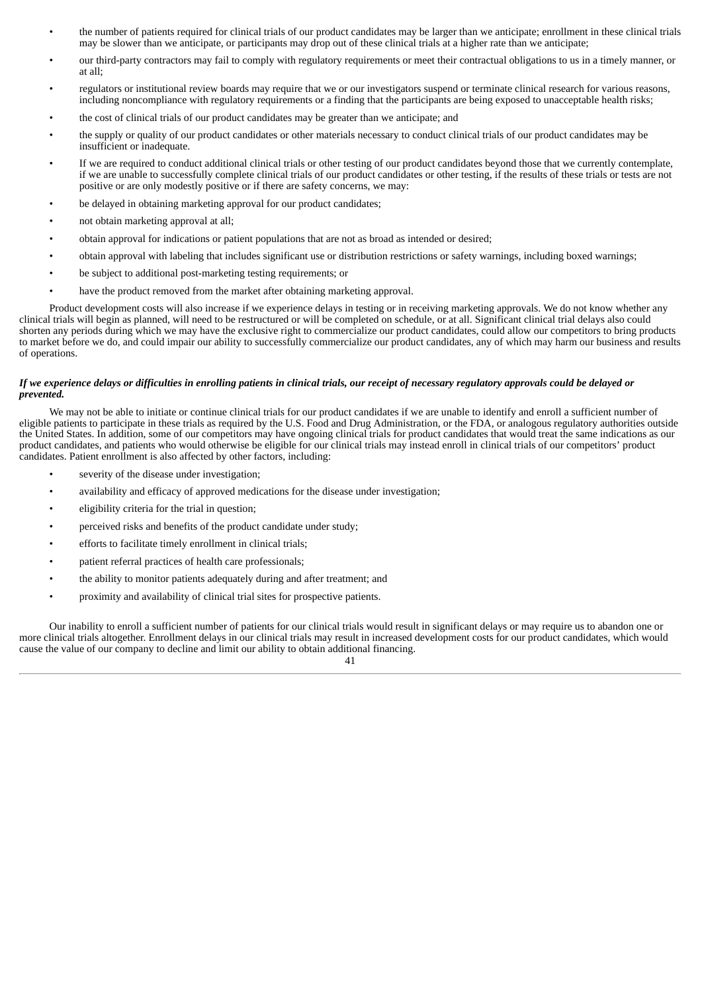- the number of patients required for clinical trials of our product candidates may be larger than we anticipate; enrollment in these clinical trials may be slower than we anticipate, or participants may drop out of these clinical trials at a higher rate than we anticipate;
- our third-party contractors may fail to comply with regulatory requirements or meet their contractual obligations to us in a timely manner, or at all;
- regulators or institutional review boards may require that we or our investigators suspend or terminate clinical research for various reasons, including noncompliance with regulatory requirements or a finding that the participants are being exposed to unacceptable health risks;
- the cost of clinical trials of our product candidates may be greater than we anticipate; and
- the supply or quality of our product candidates or other materials necessary to conduct clinical trials of our product candidates may be insufficient or inadequate.
- If we are required to conduct additional clinical trials or other testing of our product candidates beyond those that we currently contemplate, if we are unable to successfully complete clinical trials of our product candidates or other testing, if the results of these trials or tests are not positive or are only modestly positive or if there are safety concerns, we may:
- be delayed in obtaining marketing approval for our product candidates;
- not obtain marketing approval at all;
- obtain approval for indications or patient populations that are not as broad as intended or desired;
- obtain approval with labeling that includes significant use or distribution restrictions or safety warnings, including boxed warnings;
- be subject to additional post-marketing testing requirements; or
- have the product removed from the market after obtaining marketing approval.

Product development costs will also increase if we experience delays in testing or in receiving marketing approvals. We do not know whether any clinical trials will begin as planned, will need to be restructured or will be completed on schedule, or at all. Significant clinical trial delays also could shorten any periods during which we may have the exclusive right to commercialize our product candidates, could allow our competitors to bring products to market before we do, and could impair our ability to successfully commercialize our product candidates, any of which may harm our business and results of operations.

### If we experience delays or difficulties in enrolling patients in clinical trials, our receipt of necessary regulatory approvals could be delayed or *prevented.*

We may not be able to initiate or continue clinical trials for our product candidates if we are unable to identify and enroll a sufficient number of eligible patients to participate in these trials as required by the U.S. Food and Drug Administration, or the FDA, or analogous regulatory authorities outside the United States. In addition, some of our competitors may have ongoing clinical trials for product candidates that would treat the same indications as our product candidates, and patients who would otherwise be eligible for our clinical trials may instead enroll in clinical trials of our competitors' product candidates. Patient enrollment is also affected by other factors, including:

- severity of the disease under investigation;
- availability and efficacy of approved medications for the disease under investigation;
- eligibility criteria for the trial in question;
- perceived risks and benefits of the product candidate under study;
- efforts to facilitate timely enrollment in clinical trials;
- patient referral practices of health care professionals;
- the ability to monitor patients adequately during and after treatment; and
- proximity and availability of clinical trial sites for prospective patients.

Our inability to enroll a sufficient number of patients for our clinical trials would result in significant delays or may require us to abandon one or more clinical trials altogether. Enrollment delays in our clinical trials may result in increased development costs for our product candidates, which would cause the value of our company to decline and limit our ability to obtain additional financing.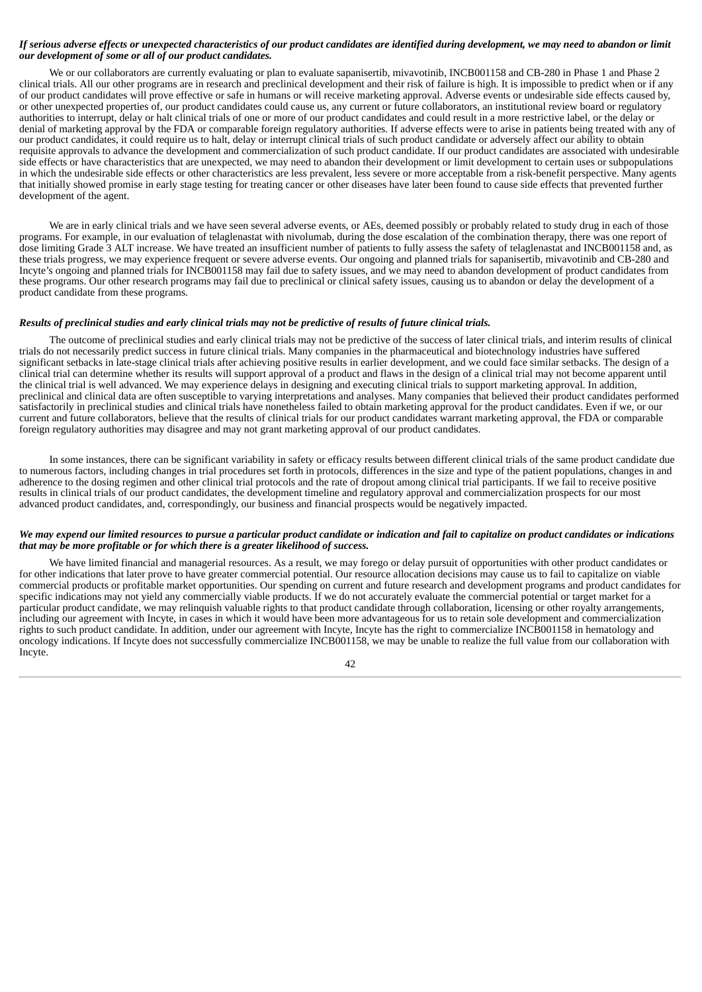## If serious adverse effects or unexpected characteristics of our product candidates are identified during development, we may need to abandon or limit *our development of some or all of our product candidates.*

We or our collaborators are currently evaluating or plan to evaluate sapanisertib, mivavotinib, INCB001158 and CB-280 in Phase 1 and Phase 2 clinical trials. All our other programs are in research and preclinical development and their risk of failure is high. It is impossible to predict when or if any of our product candidates will prove effective or safe in humans or will receive marketing approval. Adverse events or undesirable side effects caused by, or other unexpected properties of, our product candidates could cause us, any current or future collaborators, an institutional review board or regulatory authorities to interrupt, delay or halt clinical trials of one or more of our product candidates and could result in a more restrictive label, or the delay or denial of marketing approval by the FDA or comparable foreign regulatory authorities. If adverse effects were to arise in patients being treated with any of our product candidates, it could require us to halt, delay or interrupt clinical trials of such product candidate or adversely affect our ability to obtain requisite approvals to advance the development and commercialization of such product candidate. If our product candidates are associated with undesirable side effects or have characteristics that are unexpected, we may need to abandon their development or limit development to certain uses or subpopulations in which the undesirable side effects or other characteristics are less prevalent, less severe or more acceptable from a risk-benefit perspective. Many agents that initially showed promise in early stage testing for treating cancer or other diseases have later been found to cause side effects that prevented further development of the agent.

We are in early clinical trials and we have seen several adverse events, or AEs, deemed possibly or probably related to study drug in each of those programs. For example, in our evaluation of telaglenastat with nivolumab, during the dose escalation of the combination therapy, there was one report of dose limiting Grade 3 ALT increase. We have treated an insufficient number of patients to fully assess the safety of telaglenastat and INCB001158 and, as these trials progress, we may experience frequent or severe adverse events. Our ongoing and planned trials for sapanisertib, mivavotinib and CB-280 and Incyte's ongoing and planned trials for INCB001158 may fail due to safety issues, and we may need to abandon development of product candidates from these programs. Our other research programs may fail due to preclinical or clinical safety issues, causing us to abandon or delay the development of a product candidate from these programs.

#### Results of preclinical studies and early clinical trials may not be predictive of results of future clinical trials.

The outcome of preclinical studies and early clinical trials may not be predictive of the success of later clinical trials, and interim results of clinical trials do not necessarily predict success in future clinical trials. Many companies in the pharmaceutical and biotechnology industries have suffered significant setbacks in late-stage clinical trials after achieving positive results in earlier development, and we could face similar setbacks. The design of a clinical trial can determine whether its results will support approval of a product and flaws in the design of a clinical trial may not become apparent until the clinical trial is well advanced. We may experience delays in designing and executing clinical trials to support marketing approval. In addition, preclinical and clinical data are often susceptible to varying interpretations and analyses. Many companies that believed their product candidates performed satisfactorily in preclinical studies and clinical trials have nonetheless failed to obtain marketing approval for the product candidates. Even if we, or our current and future collaborators, believe that the results of clinical trials for our product candidates warrant marketing approval, the FDA or comparable foreign regulatory authorities may disagree and may not grant marketing approval of our product candidates.

In some instances, there can be significant variability in safety or efficacy results between different clinical trials of the same product candidate due to numerous factors, including changes in trial procedures set forth in protocols, differences in the size and type of the patient populations, changes in and adherence to the dosing regimen and other clinical trial protocols and the rate of dropout among clinical trial participants. If we fail to receive positive results in clinical trials of our product candidates, the development timeline and regulatory approval and commercialization prospects for our most advanced product candidates, and, correspondingly, our business and financial prospects would be negatively impacted.

## We may expend our limited resources to pursue a particular product candidate or indication and fail to capitalize on product candidates or indications *that may be more profitable or for which there is a greater likelihood of success.*

We have limited financial and managerial resources. As a result, we may forego or delay pursuit of opportunities with other product candidates or for other indications that later prove to have greater commercial potential. Our resource allocation decisions may cause us to fail to capitalize on viable commercial products or profitable market opportunities. Our spending on current and future research and development programs and product candidates for specific indications may not yield any commercially viable products. If we do not accurately evaluate the commercial potential or target market for a particular product candidate, we may relinquish valuable rights to that product candidate through collaboration, licensing or other royalty arrangements, including our agreement with Incyte, in cases in which it would have been more advantageous for us to retain sole development and commercialization rights to such product candidate. In addition, under our agreement with Incyte, Incyte has the right to commercialize INCB001158 in hematology and oncology indications. If Incyte does not successfully commercialize INCB001158, we may be unable to realize the full value from our collaboration with Incyte.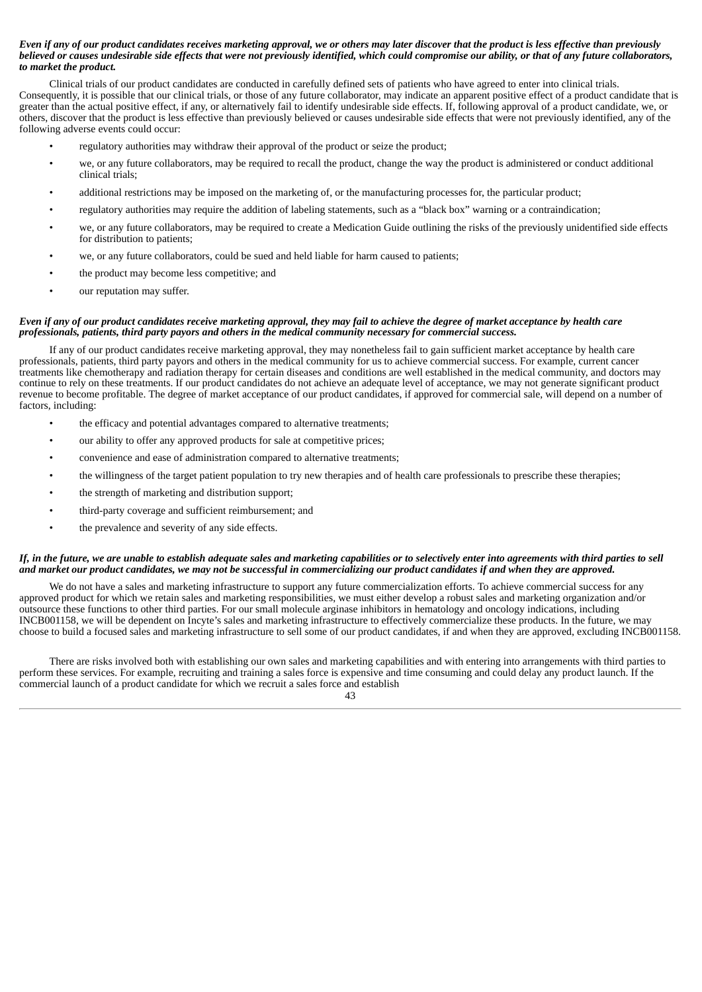## Even if any of our product candidates receives marketing approval, we or others may later discover that the product is less effective than previously believed or causes undesirable side effects that were not previously identified, which could compromise our ability, or that of any future collaborators, *to market the product.*

Clinical trials of our product candidates are conducted in carefully defined sets of patients who have agreed to enter into clinical trials. Consequently, it is possible that our clinical trials, or those of any future collaborator, may indicate an apparent positive effect of a product candidate that is greater than the actual positive effect, if any, or alternatively fail to identify undesirable side effects. If, following approval of a product candidate, we, or others, discover that the product is less effective than previously believed or causes undesirable side effects that were not previously identified, any of the following adverse events could occur:

- regulatory authorities may withdraw their approval of the product or seize the product;
- we, or any future collaborators, may be required to recall the product, change the way the product is administered or conduct additional clinical trials;
- additional restrictions may be imposed on the marketing of, or the manufacturing processes for, the particular product;
- regulatory authorities may require the addition of labeling statements, such as a "black box" warning or a contraindication;
- we, or any future collaborators, may be required to create a Medication Guide outlining the risks of the previously unidentified side effects for distribution to patients;
- we, or any future collaborators, could be sued and held liable for harm caused to patients;
- the product may become less competitive; and
- our reputation may suffer.

#### Even if any of our product candidates receive marketing approval, they may fail to achieve the degree of market acceptance by health care *professionals, patients, third party payors and others in the medical community necessary for commercial success.*

If any of our product candidates receive marketing approval, they may nonetheless fail to gain sufficient market acceptance by health care professionals, patients, third party payors and others in the medical community for us to achieve commercial success. For example, current cancer treatments like chemotherapy and radiation therapy for certain diseases and conditions are well established in the medical community, and doctors may continue to rely on these treatments. If our product candidates do not achieve an adequate level of acceptance, we may not generate significant product revenue to become profitable. The degree of market acceptance of our product candidates, if approved for commercial sale, will depend on a number of factors, including:

- the efficacy and potential advantages compared to alternative treatments;
- our ability to offer any approved products for sale at competitive prices;
- convenience and ease of administration compared to alternative treatments;
- the willingness of the target patient population to try new therapies and of health care professionals to prescribe these therapies;
- the strength of marketing and distribution support;
- third-party coverage and sufficient reimbursement; and
- the prevalence and severity of any side effects.

## If, in the future, we are unable to establish adequate sales and marketing capabilities or to selectively enter into agreements with third parties to sell and market our product candidates, we may not be successful in commercializing our product candidates if and when they are approved.

We do not have a sales and marketing infrastructure to support any future commercialization efforts. To achieve commercial success for any approved product for which we retain sales and marketing responsibilities, we must either develop a robust sales and marketing organization and/or outsource these functions to other third parties. For our small molecule arginase inhibitors in hematology and oncology indications, including INCB001158, we will be dependent on Incyte's sales and marketing infrastructure to effectively commercialize these products. In the future, we may choose to build a focused sales and marketing infrastructure to sell some of our product candidates, if and when they are approved, excluding INCB001158.

There are risks involved both with establishing our own sales and marketing capabilities and with entering into arrangements with third parties to perform these services. For example, recruiting and training a sales force is expensive and time consuming and could delay any product launch. If the commercial launch of a product candidate for which we recruit a sales force and establish

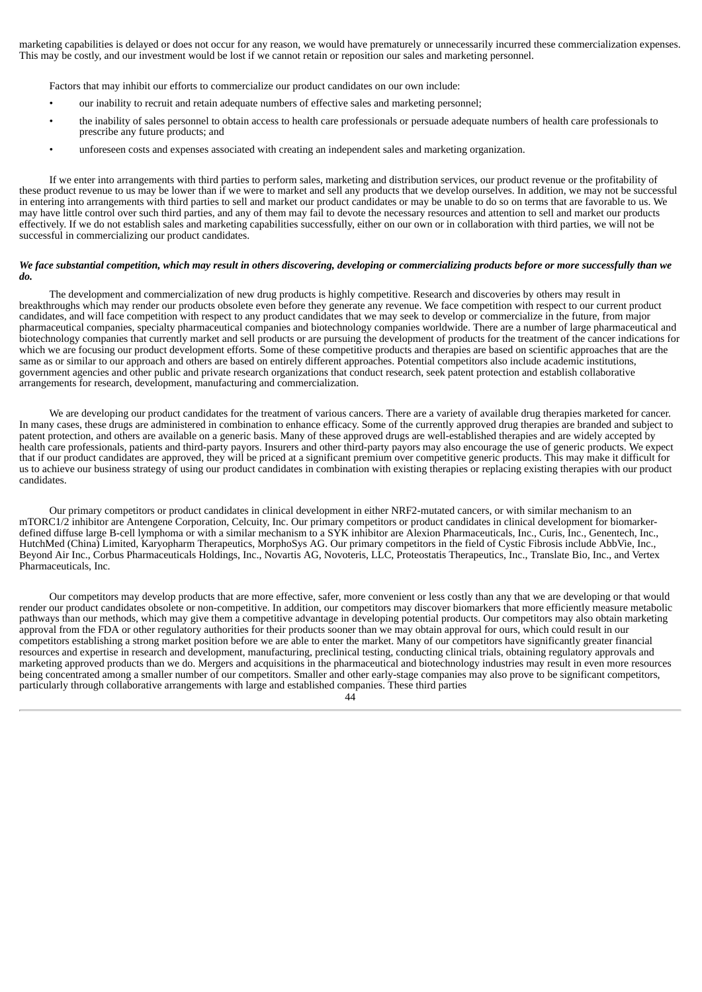marketing capabilities is delayed or does not occur for any reason, we would have prematurely or unnecessarily incurred these commercialization expenses. This may be costly, and our investment would be lost if we cannot retain or reposition our sales and marketing personnel.

Factors that may inhibit our efforts to commercialize our product candidates on our own include:

- our inability to recruit and retain adequate numbers of effective sales and marketing personnel;
- the inability of sales personnel to obtain access to health care professionals or persuade adequate numbers of health care professionals to prescribe any future products; and
- unforeseen costs and expenses associated with creating an independent sales and marketing organization.

If we enter into arrangements with third parties to perform sales, marketing and distribution services, our product revenue or the profitability of these product revenue to us may be lower than if we were to market and sell any products that we develop ourselves. In addition, we may not be successful in entering into arrangements with third parties to sell and market our product candidates or may be unable to do so on terms that are favorable to us. We may have little control over such third parties, and any of them may fail to devote the necessary resources and attention to sell and market our products effectively. If we do not establish sales and marketing capabilities successfully, either on our own or in collaboration with third parties, we will not be successful in commercializing our product candidates.

#### We face substantial competition, which may result in others discovering, developing or commercializing products before or more successfully than we *do.*

The development and commercialization of new drug products is highly competitive. Research and discoveries by others may result in breakthroughs which may render our products obsolete even before they generate any revenue. We face competition with respect to our current product candidates, and will face competition with respect to any product candidates that we may seek to develop or commercialize in the future, from major pharmaceutical companies, specialty pharmaceutical companies and biotechnology companies worldwide. There are a number of large pharmaceutical and biotechnology companies that currently market and sell products or are pursuing the development of products for the treatment of the cancer indications for which we are focusing our product development efforts. Some of these competitive products and therapies are based on scientific approaches that are the same as or similar to our approach and others are based on entirely different approaches. Potential competitors also include academic institutions, government agencies and other public and private research organizations that conduct research, seek patent protection and establish collaborative arrangements for research, development, manufacturing and commercialization.

We are developing our product candidates for the treatment of various cancers. There are a variety of available drug therapies marketed for cancer. In many cases, these drugs are administered in combination to enhance efficacy. Some of the currently approved drug therapies are branded and subject to patent protection, and others are available on a generic basis. Many of these approved drugs are well-established therapies and are widely accepted by health care professionals, patients and third-party payors. Insurers and other third-party payors may also encourage the use of generic products. We expect that if our product candidates are approved, they will be priced at a significant premium over competitive generic products. This may make it difficult for us to achieve our business strategy of using our product candidates in combination with existing therapies or replacing existing therapies with our product candidates.

Our primary competitors or product candidates in clinical development in either NRF2-mutated cancers, or with similar mechanism to an mTORC1/2 inhibitor are Antengene Corporation, Celcuity, Inc. Our primary competitors or product candidates in clinical development for biomarkerdefined diffuse large B-cell lymphoma or with a similar mechanism to a SYK inhibitor are Alexion Pharmaceuticals, Inc., Curis, Inc., Genentech, Inc., HutchMed (China) Limited, Karyopharm Therapeutics, MorphoSys AG. Our primary competitors in the field of Cystic Fibrosis include AbbVie, Inc., Beyond Air Inc., Corbus Pharmaceuticals Holdings, Inc., Novartis AG, Novoteris, LLC, Proteostatis Therapeutics, Inc., Translate Bio, Inc., and Vertex Pharmaceuticals, Inc.

Our competitors may develop products that are more effective, safer, more convenient or less costly than any that we are developing or that would render our product candidates obsolete or non-competitive. In addition, our competitors may discover biomarkers that more efficiently measure metabolic pathways than our methods, which may give them a competitive advantage in developing potential products. Our competitors may also obtain marketing approval from the FDA or other regulatory authorities for their products sooner than we may obtain approval for ours, which could result in our competitors establishing a strong market position before we are able to enter the market. Many of our competitors have significantly greater financial resources and expertise in research and development, manufacturing, preclinical testing, conducting clinical trials, obtaining regulatory approvals and marketing approved products than we do. Mergers and acquisitions in the pharmaceutical and biotechnology industries may result in even more resources being concentrated among a smaller number of our competitors. Smaller and other early-stage companies may also prove to be significant competitors, particularly through collaborative arrangements with large and established companies. These third parties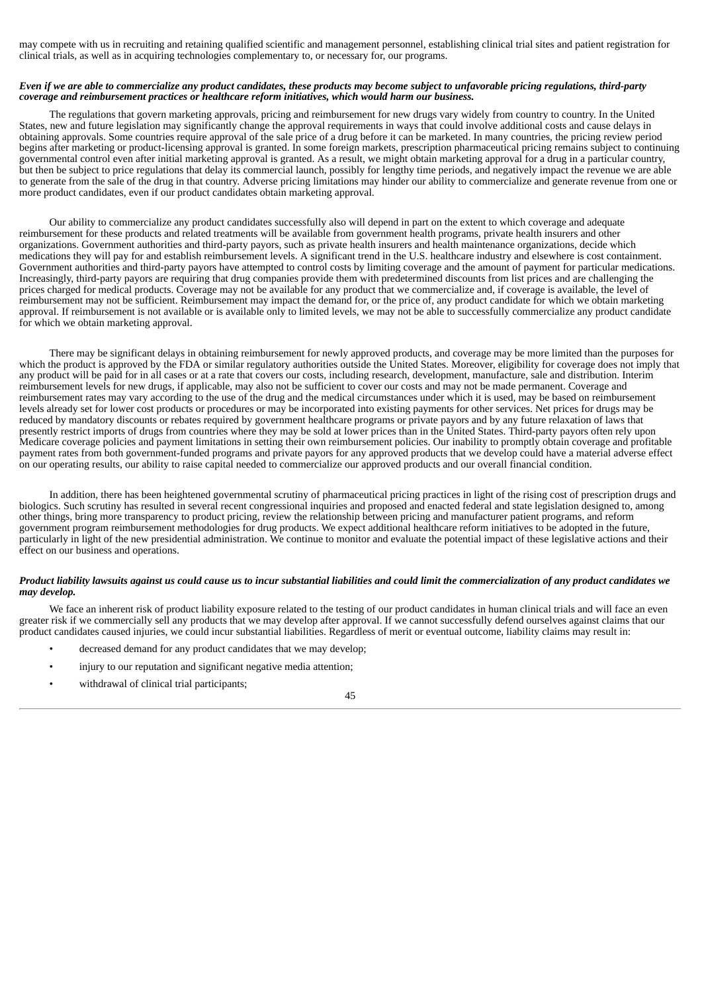may compete with us in recruiting and retaining qualified scientific and management personnel, establishing clinical trial sites and patient registration for clinical trials, as well as in acquiring technologies complementary to, or necessary for, our programs.

### Even if we are able to commercialize any product candidates, these products may become subject to unfavorable pricing regulations, third-party *coverage and reimbursement practices or healthcare reform initiatives, which would harm our business.*

The regulations that govern marketing approvals, pricing and reimbursement for new drugs vary widely from country to country. In the United States, new and future legislation may significantly change the approval requirements in ways that could involve additional costs and cause delays in obtaining approvals. Some countries require approval of the sale price of a drug before it can be marketed. In many countries, the pricing review period begins after marketing or product-licensing approval is granted. In some foreign markets, prescription pharmaceutical pricing remains subject to continuing governmental control even after initial marketing approval is granted. As a result, we might obtain marketing approval for a drug in a particular country, but then be subject to price regulations that delay its commercial launch, possibly for lengthy time periods, and negatively impact the revenue we are able to generate from the sale of the drug in that country. Adverse pricing limitations may hinder our ability to commercialize and generate revenue from one or more product candidates, even if our product candidates obtain marketing approval.

Our ability to commercialize any product candidates successfully also will depend in part on the extent to which coverage and adequate reimbursement for these products and related treatments will be available from government health programs, private health insurers and other organizations. Government authorities and third-party payors, such as private health insurers and health maintenance organizations, decide which medications they will pay for and establish reimbursement levels. A significant trend in the U.S. healthcare industry and elsewhere is cost containment. Government authorities and third-party payors have attempted to control costs by limiting coverage and the amount of payment for particular medications. Increasingly, third-party payors are requiring that drug companies provide them with predetermined discounts from list prices and are challenging the prices charged for medical products. Coverage may not be available for any product that we commercialize and, if coverage is available, the level of reimbursement may not be sufficient. Reimbursement may impact the demand for, or the price of, any product candidate for which we obtain marketing approval. If reimbursement is not available or is available only to limited levels, we may not be able to successfully commercialize any product candidate for which we obtain marketing approval.

There may be significant delays in obtaining reimbursement for newly approved products, and coverage may be more limited than the purposes for which the product is approved by the FDA or similar regulatory authorities outside the United States. Moreover, eligibility for coverage does not imply that any product will be paid for in all cases or at a rate that covers our costs, including research, development, manufacture, sale and distribution. Interim reimbursement levels for new drugs, if applicable, may also not be sufficient to cover our costs and may not be made permanent. Coverage and reimbursement rates may vary according to the use of the drug and the medical circumstances under which it is used, may be based on reimbursement levels already set for lower cost products or procedures or may be incorporated into existing payments for other services. Net prices for drugs may be reduced by mandatory discounts or rebates required by government healthcare programs or private payors and by any future relaxation of laws that presently restrict imports of drugs from countries where they may be sold at lower prices than in the United States. Third-party payors often rely upon Medicare coverage policies and payment limitations in setting their own reimbursement policies. Our inability to promptly obtain coverage and profitable payment rates from both government-funded programs and private payors for any approved products that we develop could have a material adverse effect on our operating results, our ability to raise capital needed to commercialize our approved products and our overall financial condition.

In addition, there has been heightened governmental scrutiny of pharmaceutical pricing practices in light of the rising cost of prescription drugs and biologics. Such scrutiny has resulted in several recent congressional inquiries and proposed and enacted federal and state legislation designed to, among other things, bring more transparency to product pricing, review the relationship between pricing and manufacturer patient programs, and reform government program reimbursement methodologies for drug products. We expect additional healthcare reform initiatives to be adopted in the future, particularly in light of the new presidential administration. We continue to monitor and evaluate the potential impact of these legislative actions and their effect on our business and operations.

#### Product liability lawsuits against us could cause us to incur substantial liabilities and could limit the commercialization of any product candidates we *may develop.*

We face an inherent risk of product liability exposure related to the testing of our product candidates in human clinical trials and will face an even greater risk if we commercially sell any products that we may develop after approval. If we cannot successfully defend ourselves against claims that our product candidates caused injuries, we could incur substantial liabilities. Regardless of merit or eventual outcome, liability claims may result in:

- decreased demand for any product candidates that we may develop;
- injury to our reputation and significant negative media attention;
- withdrawal of clinical trial participants;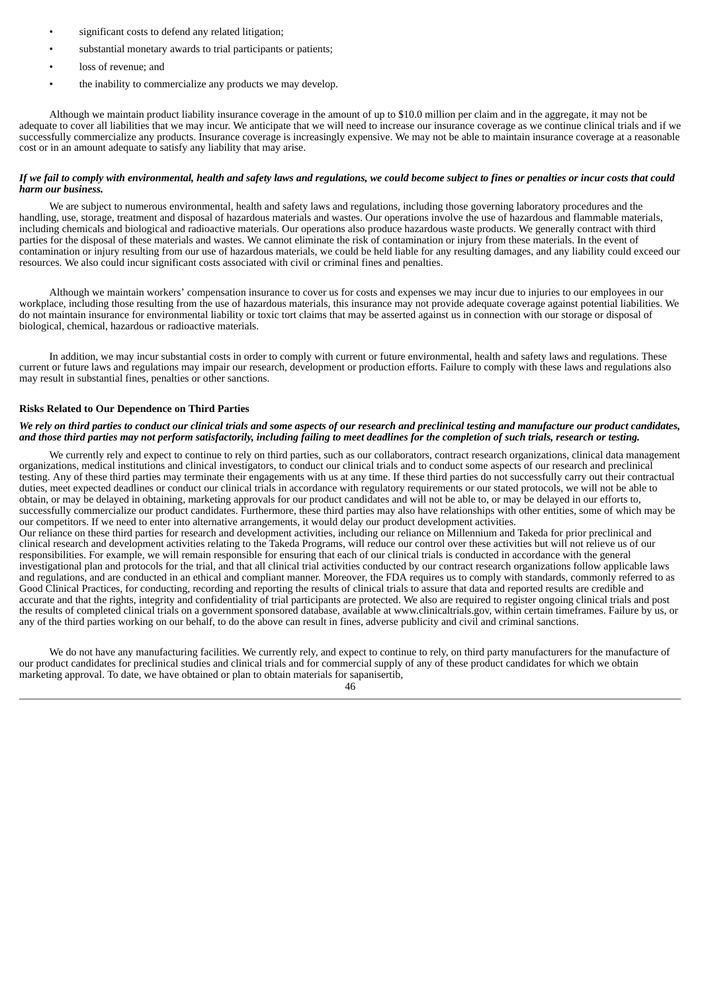- significant costs to defend any related litigation;
- substantial monetary awards to trial participants or patients;
- loss of revenue; and
- the inability to commercialize any products we may develop.

Although we maintain product liability insurance coverage in the amount of up to \$10.0 million per claim and in the aggregate, it may not be adequate to cover all liabilities that we may incur. We anticipate that we will need to increase our insurance coverage as we continue clinical trials and if we successfully commercialize any products. Insurance coverage is increasingly expensive. We may not be able to maintain insurance coverage at a reasonable cost or in an amount adequate to satisfy any liability that may arise.

#### If we fail to comply with environmental, health and safety laws and regulations, we could become subject to fines or penalties or incur costs that could *harm our business.*

We are subject to numerous environmental, health and safety laws and regulations, including those governing laboratory procedures and the handling, use, storage, treatment and disposal of hazardous materials and wastes. Our operations involve the use of hazardous and flammable materials, including chemicals and biological and radioactive materials. Our operations also produce hazardous waste products. We generally contract with third parties for the disposal of these materials and wastes. We cannot eliminate the risk of contamination or injury from these materials. In the event of contamination or injury resulting from our use of hazardous materials, we could be held liable for any resulting damages, and any liability could exceed our resources. We also could incur significant costs associated with civil or criminal fines and penalties.

Although we maintain workers' compensation insurance to cover us for costs and expenses we may incur due to injuries to our employees in our workplace, including those resulting from the use of hazardous materials, this insurance may not provide adequate coverage against potential liabilities. We do not maintain insurance for environmental liability or toxic tort claims that may be asserted against us in connection with our storage or disposal of biological, chemical, hazardous or radioactive materials.

In addition, we may incur substantial costs in order to comply with current or future environmental, health and safety laws and regulations. These current or future laws and regulations may impair our research, development or production efforts. Failure to comply with these laws and regulations also may result in substantial fines, penalties or other sanctions.

#### **Risks Related to Our Dependence on Third Parties**

#### We rely on third parties to conduct our clinical trials and some aspects of our research and preclinical testing and manufacture our product candidates, and those third parties may not perform satisfactorily, including failing to meet deadlines for the completion of such trials, research or testing.

We currently rely and expect to continue to rely on third parties, such as our collaborators, contract research organizations, clinical data management organizations, medical institutions and clinical investigators, to conduct our clinical trials and to conduct some aspects of our research and preclinical testing. Any of these third parties may terminate their engagements with us at any time. If these third parties do not successfully carry out their contractual duties, meet expected deadlines or conduct our clinical trials in accordance with regulatory requirements or our stated protocols, we will not be able to obtain, or may be delayed in obtaining, marketing approvals for our product candidates and will not be able to, or may be delayed in our efforts to, successfully commercialize our product candidates. Furthermore, these third parties may also have relationships with other entities, some of which may be our competitors. If we need to enter into alternative arrangements, it would delay our product development activities. Our reliance on these third parties for research and development activities, including our reliance on Millennium and Takeda for prior preclinical and clinical research and development activities relating to the Takeda Programs, will reduce our control over these activities but will not relieve us of our responsibilities. For example, we will remain responsible for ensuring that each of our clinical trials is conducted in accordance with the general investigational plan and protocols for the trial, and that all clinical trial activities conducted by our contract research organizations follow applicable laws and regulations, and are conducted in an ethical and compliant manner. Moreover, the FDA requires us to comply with standards, commonly referred to as Good Clinical Practices, for conducting, recording and reporting the results of clinical trials to assure that data and reported results are credible and accurate and that the rights, integrity and confidentiality of trial participants are protected. We also are required to register ongoing clinical trials and post the results of completed clinical trials on a government sponsored database, available at www.clinicaltrials.gov, within certain timeframes. Failure by us, or any of the third parties working on our behalf, to do the above can result in fines, adverse publicity and civil and criminal sanctions.

We do not have any manufacturing facilities. We currently rely, and expect to continue to rely, on third party manufacturers for the manufacture of our product candidates for preclinical studies and clinical trials and for commercial supply of any of these product candidates for which we obtain marketing approval. To date, we have obtained or plan to obtain materials for sapanisertib,

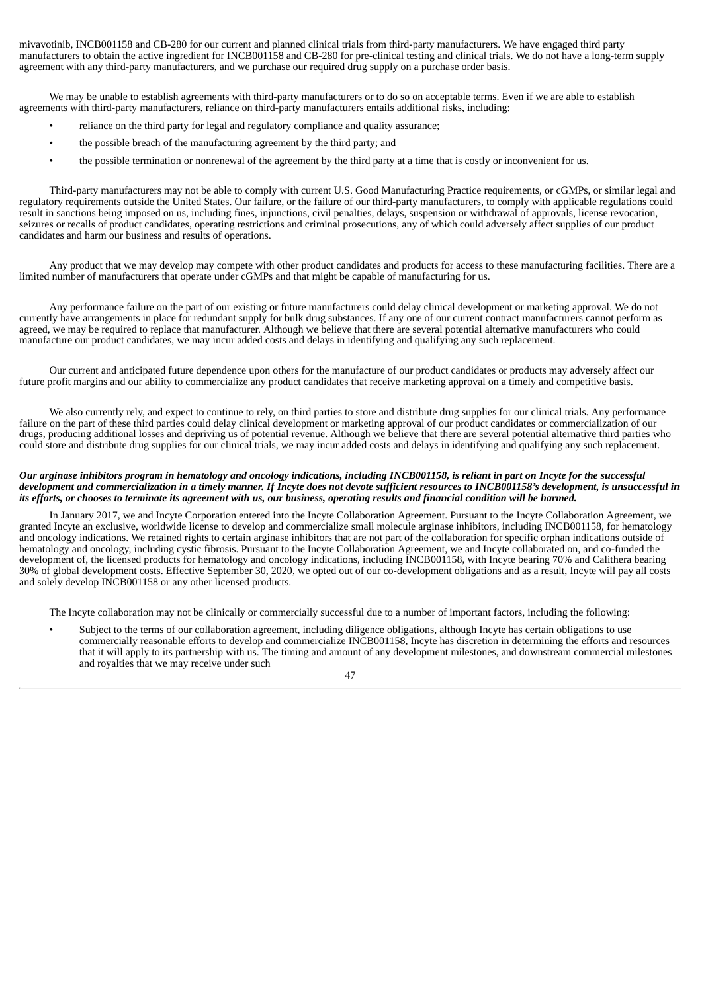mivavotinib, INCB001158 and CB-280 for our current and planned clinical trials from third-party manufacturers. We have engaged third party manufacturers to obtain the active ingredient for INCB001158 and CB-280 for pre-clinical testing and clinical trials. We do not have a long-term supply agreement with any third-party manufacturers, and we purchase our required drug supply on a purchase order basis.

We may be unable to establish agreements with third-party manufacturers or to do so on acceptable terms. Even if we are able to establish agreements with third-party manufacturers, reliance on third-party manufacturers entails additional risks, including:

- reliance on the third party for legal and regulatory compliance and quality assurance;
- the possible breach of the manufacturing agreement by the third party; and
- the possible termination or nonrenewal of the agreement by the third party at a time that is costly or inconvenient for us.

Third-party manufacturers may not be able to comply with current U.S. Good Manufacturing Practice requirements, or cGMPs, or similar legal and regulatory requirements outside the United States. Our failure, or the failure of our third-party manufacturers, to comply with applicable regulations could result in sanctions being imposed on us, including fines, injunctions, civil penalties, delays, suspension or withdrawal of approvals, license revocation, seizures or recalls of product candidates, operating restrictions and criminal prosecutions, any of which could adversely affect supplies of our product candidates and harm our business and results of operations.

Any product that we may develop may compete with other product candidates and products for access to these manufacturing facilities. There are a limited number of manufacturers that operate under cGMPs and that might be capable of manufacturing for us.

Any performance failure on the part of our existing or future manufacturers could delay clinical development or marketing approval. We do not currently have arrangements in place for redundant supply for bulk drug substances. If any one of our current contract manufacturers cannot perform as agreed, we may be required to replace that manufacturer. Although we believe that there are several potential alternative manufacturers who could manufacture our product candidates, we may incur added costs and delays in identifying and qualifying any such replacement.

Our current and anticipated future dependence upon others for the manufacture of our product candidates or products may adversely affect our future profit margins and our ability to commercialize any product candidates that receive marketing approval on a timely and competitive basis.

We also currently rely, and expect to continue to rely, on third parties to store and distribute drug supplies for our clinical trials. Any performance failure on the part of these third parties could delay clinical development or marketing approval of our product candidates or commercialization of our drugs, producing additional losses and depriving us of potential revenue. Although we believe that there are several potential alternative third parties who could store and distribute drug supplies for our clinical trials, we may incur added costs and delays in identifying and qualifying any such replacement.

#### Our arginase inhibitors program in hematology and oncology indications, including INCB001158, is reliant in part on Incyte for the successful development and commercialization in a timely manner. If Incyte does not devote sufficient resources to INCB001158's development, is unsuccessful in its efforts, or chooses to terminate its agreement with us, our business, operating results and financial condition will be harmed.

In January 2017, we and Incyte Corporation entered into the Incyte Collaboration Agreement. Pursuant to the Incyte Collaboration Agreement, we granted Incyte an exclusive, worldwide license to develop and commercialize small molecule arginase inhibitors, including INCB001158, for hematology and oncology indications. We retained rights to certain arginase inhibitors that are not part of the collaboration for specific orphan indications outside of hematology and oncology, including cystic fibrosis. Pursuant to the Incyte Collaboration Agreement, we and Incyte collaborated on, and co-funded the development of, the licensed products for hematology and oncology indications, including INCB001158, with Incyte bearing 70% and Calithera bearing 30% of global development costs. Effective September 30, 2020, we opted out of our co-development obligations and as a result, Incyte will pay all costs and solely develop INCB001158 or any other licensed products.

The Incyte collaboration may not be clinically or commercially successful due to a number of important factors, including the following:

• Subject to the terms of our collaboration agreement, including diligence obligations, although Incyte has certain obligations to use commercially reasonable efforts to develop and commercialize INCB001158, Incyte has discretion in determining the efforts and resources that it will apply to its partnership with us. The timing and amount of any development milestones, and downstream commercial milestones and royalties that we may receive under such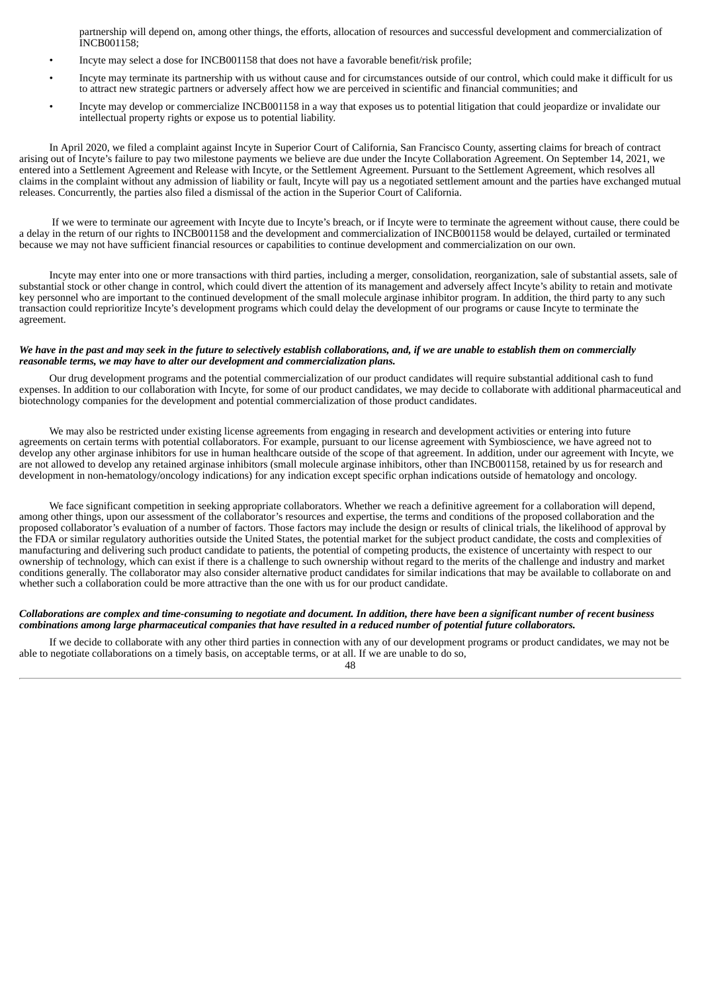partnership will depend on, among other things, the efforts, allocation of resources and successful development and commercialization of INCB001158;

- Incyte may select a dose for INCB001158 that does not have a favorable benefit/risk profile;
- Incyte may terminate its partnership with us without cause and for circumstances outside of our control, which could make it difficult for us to attract new strategic partners or adversely affect how we are perceived in scientific and financial communities; and
- Incyte may develop or commercialize INCB001158 in a way that exposes us to potential litigation that could jeopardize or invalidate our intellectual property rights or expose us to potential liability.

In April 2020, we filed a complaint against Incyte in Superior Court of California, San Francisco County, asserting claims for breach of contract arising out of Incyte's failure to pay two milestone payments we believe are due under the Incyte Collaboration Agreement. On September 14, 2021, we entered into a Settlement Agreement and Release with Incyte, or the Settlement Agreement. Pursuant to the Settlement Agreement, which resolves all claims in the complaint without any admission of liability or fault, Incyte will pay us a negotiated settlement amount and the parties have exchanged mutual releases. Concurrently, the parties also filed a dismissal of the action in the Superior Court of California.

If we were to terminate our agreement with Incyte due to Incyte's breach, or if Incyte were to terminate the agreement without cause, there could be a delay in the return of our rights to INCB001158 and the development and commercialization of INCB001158 would be delayed, curtailed or terminated because we may not have sufficient financial resources or capabilities to continue development and commercialization on our own.

Incyte may enter into one or more transactions with third parties, including a merger, consolidation, reorganization, sale of substantial assets, sale of substantial stock or other change in control, which could divert the attention of its management and adversely affect Incyte's ability to retain and motivate key personnel who are important to the continued development of the small molecule arginase inhibitor program. In addition, the third party to any such transaction could reprioritize Incyte's development programs which could delay the development of our programs or cause Incyte to terminate the agreement.

#### We have in the past and may seek in the future to selectively establish collaborations, and, if we are unable to establish them on commercially *reasonable terms, we may have to alter our development and commercialization plans.*

Our drug development programs and the potential commercialization of our product candidates will require substantial additional cash to fund expenses. In addition to our collaboration with Incyte, for some of our product candidates, we may decide to collaborate with additional pharmaceutical and biotechnology companies for the development and potential commercialization of those product candidates.

We may also be restricted under existing license agreements from engaging in research and development activities or entering into future agreements on certain terms with potential collaborators. For example, pursuant to our license agreement with Symbioscience, we have agreed not to develop any other arginase inhibitors for use in human healthcare outside of the scope of that agreement. In addition, under our agreement with Incyte, we are not allowed to develop any retained arginase inhibitors (small molecule arginase inhibitors, other than INCB001158, retained by us for research and development in non-hematology/oncology indications) for any indication except specific orphan indications outside of hematology and oncology.

We face significant competition in seeking appropriate collaborators. Whether we reach a definitive agreement for a collaboration will depend, among other things, upon our assessment of the collaborator's resources and expertise, the terms and conditions of the proposed collaboration and the proposed collaborator's evaluation of a number of factors. Those factors may include the design or results of clinical trials, the likelihood of approval by the FDA or similar regulatory authorities outside the United States, the potential market for the subject product candidate, the costs and complexities of manufacturing and delivering such product candidate to patients, the potential of competing products, the existence of uncertainty with respect to our ownership of technology, which can exist if there is a challenge to such ownership without regard to the merits of the challenge and industry and market conditions generally. The collaborator may also consider alternative product candidates for similar indications that may be available to collaborate on and whether such a collaboration could be more attractive than the one with us for our product candidate.

#### Collaborations are complex and time-consuming to negotiate and document. In addition, there have been a significant number of recent business combinations among large pharmaceutical companies that have resulted in a reduced number of potential future collaborators.

If we decide to collaborate with any other third parties in connection with any of our development programs or product candidates, we may not be able to negotiate collaborations on a timely basis, on acceptable terms, or at all. If we are unable to do so,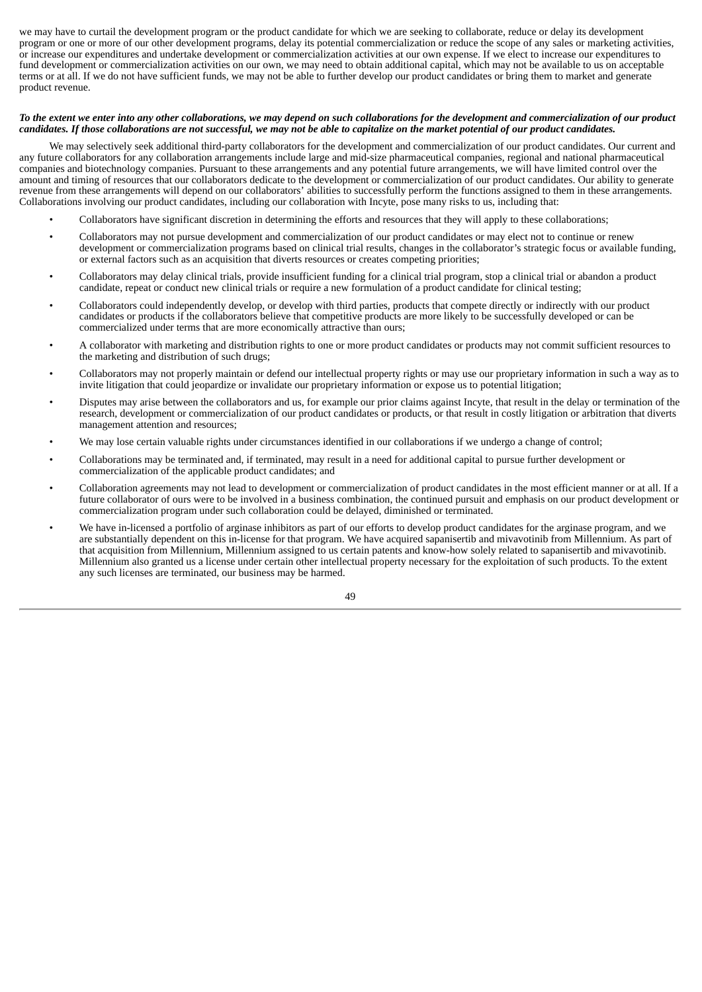we may have to curtail the development program or the product candidate for which we are seeking to collaborate, reduce or delay its development program or one or more of our other development programs, delay its potential commercialization or reduce the scope of any sales or marketing activities, or increase our expenditures and undertake development or commercialization activities at our own expense. If we elect to increase our expenditures to fund development or commercialization activities on our own, we may need to obtain additional capital, which may not be available to us on acceptable terms or at all. If we do not have sufficient funds, we may not be able to further develop our product candidates or bring them to market and generate product revenue.

#### To the extent we enter into any other collaborations, we may depend on such collaborations for the development and commercialization of our product candidates. If those collaborations are not successful, we may not be able to capitalize on the market potential of our product candidates.

We may selectively seek additional third-party collaborators for the development and commercialization of our product candidates. Our current and any future collaborators for any collaboration arrangements include large and mid-size pharmaceutical companies, regional and national pharmaceutical companies and biotechnology companies. Pursuant to these arrangements and any potential future arrangements, we will have limited control over the amount and timing of resources that our collaborators dedicate to the development or commercialization of our product candidates. Our ability to generate revenue from these arrangements will depend on our collaborators' abilities to successfully perform the functions assigned to them in these arrangements. Collaborations involving our product candidates, including our collaboration with Incyte, pose many risks to us, including that:

- Collaborators have significant discretion in determining the efforts and resources that they will apply to these collaborations;
- Collaborators may not pursue development and commercialization of our product candidates or may elect not to continue or renew development or commercialization programs based on clinical trial results, changes in the collaborator's strategic focus or available funding, or external factors such as an acquisition that diverts resources or creates competing priorities;
- Collaborators may delay clinical trials, provide insufficient funding for a clinical trial program, stop a clinical trial or abandon a product candidate, repeat or conduct new clinical trials or require a new formulation of a product candidate for clinical testing;
- Collaborators could independently develop, or develop with third parties, products that compete directly or indirectly with our product candidates or products if the collaborators believe that competitive products are more likely to be successfully developed or can be commercialized under terms that are more economically attractive than ours;
- A collaborator with marketing and distribution rights to one or more product candidates or products may not commit sufficient resources to the marketing and distribution of such drugs;
- Collaborators may not properly maintain or defend our intellectual property rights or may use our proprietary information in such a way as to invite litigation that could jeopardize or invalidate our proprietary information or expose us to potential litigation;
- Disputes may arise between the collaborators and us, for example our prior claims against Incyte, that result in the delay or termination of the research, development or commercialization of our product candidates or products, or that result in costly litigation or arbitration that diverts management attention and resources;
- We may lose certain valuable rights under circumstances identified in our collaborations if we undergo a change of control;
- Collaborations may be terminated and, if terminated, may result in a need for additional capital to pursue further development or commercialization of the applicable product candidates; and
- Collaboration agreements may not lead to development or commercialization of product candidates in the most efficient manner or at all. If a future collaborator of ours were to be involved in a business combination, the continued pursuit and emphasis on our product development or commercialization program under such collaboration could be delayed, diminished or terminated.
- We have in-licensed a portfolio of arginase inhibitors as part of our efforts to develop product candidates for the arginase program, and we are substantially dependent on this in-license for that program. We have acquired sapanisertib and mivavotinib from Millennium. As part of that acquisition from Millennium, Millennium assigned to us certain patents and know-how solely related to sapanisertib and mivavotinib. Millennium also granted us a license under certain other intellectual property necessary for the exploitation of such products. To the extent any such licenses are terminated, our business may be harmed.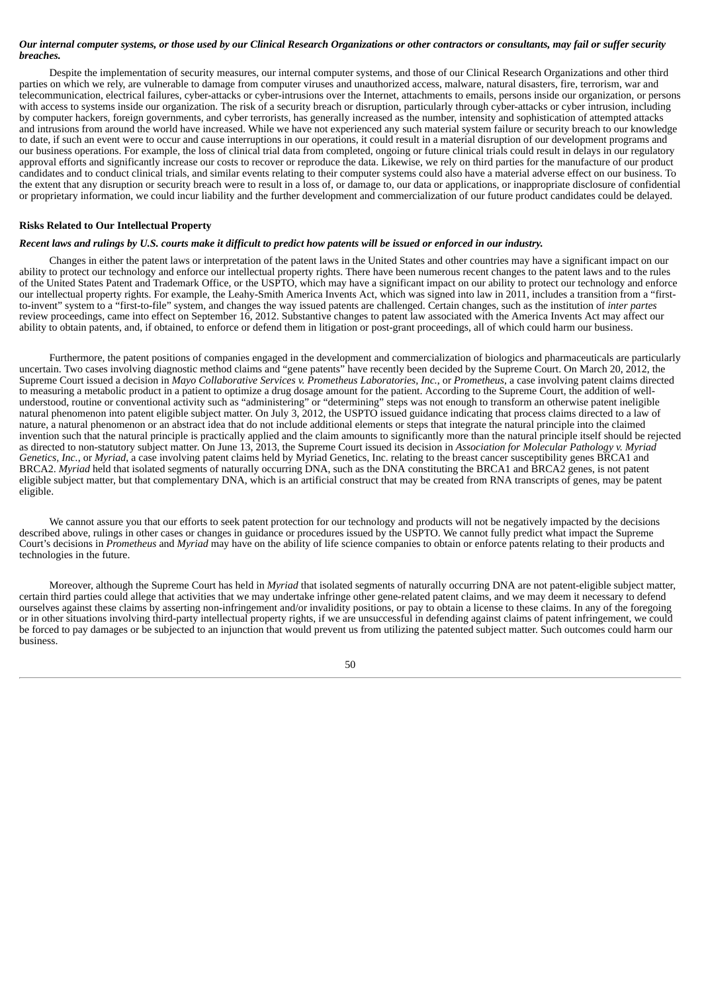### Our internal computer systems, or those used by our Clinical Research Organizations or other contractors or consultants, may fail or suffer security *breaches.*

Despite the implementation of security measures, our internal computer systems, and those of our Clinical Research Organizations and other third parties on which we rely, are vulnerable to damage from computer viruses and unauthorized access, malware, natural disasters, fire, terrorism, war and telecommunication, electrical failures, cyber-attacks or cyber-intrusions over the Internet, attachments to emails, persons inside our organization, or persons with access to systems inside our organization. The risk of a security breach or disruption, particularly through cyber-attacks or cyber intrusion, including by computer hackers, foreign governments, and cyber terrorists, has generally increased as the number, intensity and sophistication of attempted attacks and intrusions from around the world have increased. While we have not experienced any such material system failure or security breach to our knowledge to date, if such an event were to occur and cause interruptions in our operations, it could result in a material disruption of our development programs and our business operations. For example, the loss of clinical trial data from completed, ongoing or future clinical trials could result in delays in our regulatory approval efforts and significantly increase our costs to recover or reproduce the data. Likewise, we rely on third parties for the manufacture of our product candidates and to conduct clinical trials, and similar events relating to their computer systems could also have a material adverse effect on our business. To the extent that any disruption or security breach were to result in a loss of, or damage to, our data or applications, or inappropriate disclosure of confidential or proprietary information, we could incur liability and the further development and commercialization of our future product candidates could be delayed.

## **Risks Related to Our Intellectual Property**

## Recent laws and rulings by U.S. courts make it difficult to predict how patents will be issued or enforced in our industry.

Changes in either the patent laws or interpretation of the patent laws in the United States and other countries may have a significant impact on our ability to protect our technology and enforce our intellectual property rights. There have been numerous recent changes to the patent laws and to the rules of the United States Patent and Trademark Office, or the USPTO, which may have a significant impact on our ability to protect our technology and enforce our intellectual property rights. For example, the Leahy-Smith America Invents Act, which was signed into law in 2011, includes a transition from a "firstto-invent" system to a "first-to-file" system, and changes the way issued patents are challenged. Certain changes, such as the institution of *inter partes* review proceedings, came into effect on September 16, 2012. Substantive changes to patent law associated with the America Invents Act may affect our ability to obtain patents, and, if obtained, to enforce or defend them in litigation or post-grant proceedings, all of which could harm our business.

Furthermore, the patent positions of companies engaged in the development and commercialization of biologics and pharmaceuticals are particularly uncertain. Two cases involving diagnostic method claims and "gene patents" have recently been decided by the Supreme Court. On March 20, 2012, the Supreme Court issued a decision in *Mayo Collaborative Services v. Prometheus Laboratories, Inc.*, or *Prometheus*, a case involving patent claims directed to measuring a metabolic product in a patient to optimize a drug dosage amount for the patient. According to the Supreme Court, the addition of wellunderstood, routine or conventional activity such as "administering" or "determining" steps was not enough to transform an otherwise patent ineligible natural phenomenon into patent eligible subject matter. On July 3, 2012, the USPTO issued guidance indicating that process claims directed to a law of nature, a natural phenomenon or an abstract idea that do not include additional elements or steps that integrate the natural principle into the claimed invention such that the natural principle is practically applied and the claim amounts to significantly more than the natural principle itself should be rejected as directed to non-statutory subject matter. On June 13, 2013, the Supreme Court issued its decision in *Association for Molecular Pathology v. Myriad Genetics, Inc.*, or *Myriad*, a case involving patent claims held by Myriad Genetics, Inc. relating to the breast cancer susceptibility genes BRCA1 and BRCA2. *Myriad* held that isolated segments of naturally occurring DNA, such as the DNA constituting the BRCA1 and BRCA2 genes, is not patent eligible subject matter, but that complementary DNA, which is an artificial construct that may be created from RNA transcripts of genes, may be patent eligible.

We cannot assure you that our efforts to seek patent protection for our technology and products will not be negatively impacted by the decisions described above, rulings in other cases or changes in guidance or procedures issued by the USPTO. We cannot fully predict what impact the Supreme Court's decisions in *Prometheus* and *Myriad* may have on the ability of life science companies to obtain or enforce patents relating to their products and technologies in the future.

Moreover, although the Supreme Court has held in *Myriad* that isolated segments of naturally occurring DNA are not patent-eligible subject matter, certain third parties could allege that activities that we may undertake infringe other gene-related patent claims, and we may deem it necessary to defend ourselves against these claims by asserting non-infringement and/or invalidity positions, or pay to obtain a license to these claims. In any of the foregoing or in other situations involving third-party intellectual property rights, if we are unsuccessful in defending against claims of patent infringement, we could be forced to pay damages or be subjected to an injunction that would prevent us from utilizing the patented subject matter. Such outcomes could harm our business.

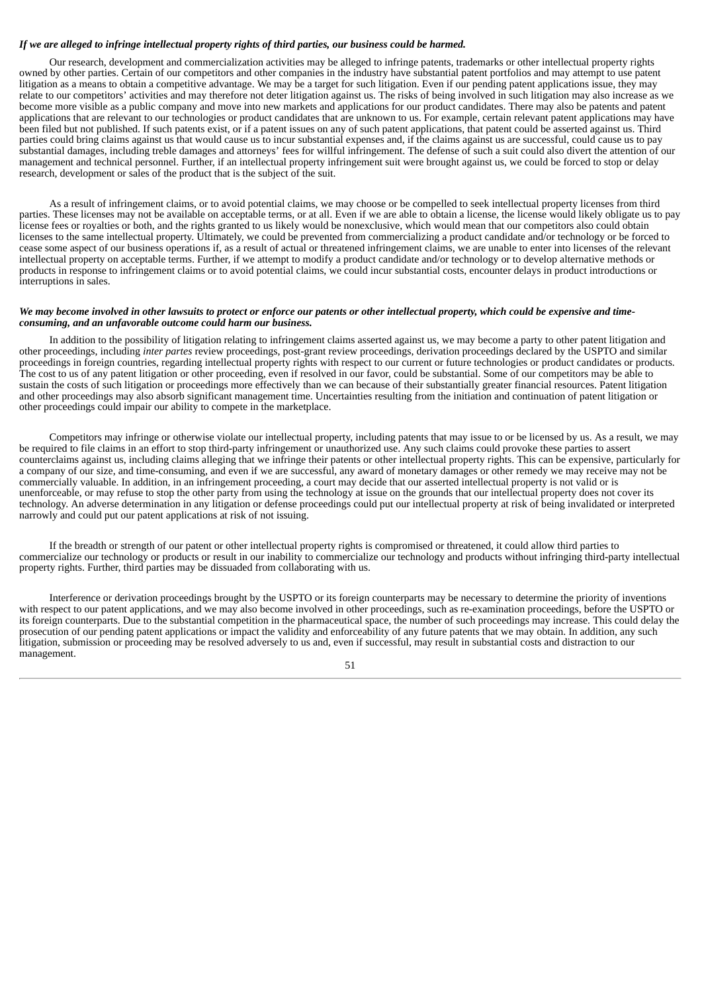## If we are alleged to infringe intellectual property rights of third parties, our business could be harmed.

Our research, development and commercialization activities may be alleged to infringe patents, trademarks or other intellectual property rights owned by other parties. Certain of our competitors and other companies in the industry have substantial patent portfolios and may attempt to use patent litigation as a means to obtain a competitive advantage. We may be a target for such litigation. Even if our pending patent applications issue, they may relate to our competitors' activities and may therefore not deter litigation against us. The risks of being involved in such litigation may also increase as we become more visible as a public company and move into new markets and applications for our product candidates. There may also be patents and patent applications that are relevant to our technologies or product candidates that are unknown to us. For example, certain relevant patent applications may have been filed but not published. If such patents exist, or if a patent issues on any of such patent applications, that patent could be asserted against us. Third parties could bring claims against us that would cause us to incur substantial expenses and, if the claims against us are successful, could cause us to pay substantial damages, including treble damages and attorneys' fees for willful infringement. The defense of such a suit could also divert the attention of our management and technical personnel. Further, if an intellectual property infringement suit were brought against us, we could be forced to stop or delay research, development or sales of the product that is the subject of the suit.

As a result of infringement claims, or to avoid potential claims, we may choose or be compelled to seek intellectual property licenses from third parties. These licenses may not be available on acceptable terms, or at all. Even if we are able to obtain a license, the license would likely obligate us to pay license fees or royalties or both, and the rights granted to us likely would be nonexclusive, which would mean that our competitors also could obtain licenses to the same intellectual property. Ultimately, we could be prevented from commercializing a product candidate and/or technology or be forced to cease some aspect of our business operations if, as a result of actual or threatened infringement claims, we are unable to enter into licenses of the relevant intellectual property on acceptable terms. Further, if we attempt to modify a product candidate and/or technology or to develop alternative methods or products in response to infringement claims or to avoid potential claims, we could incur substantial costs, encounter delays in product introductions or interruptions in sales.

#### We may become involved in other lawsuits to protect or enforce our patents or other intellectual property, which could be expensive and time*consuming, and an unfavorable outcome could harm our business.*

In addition to the possibility of litigation relating to infringement claims asserted against us, we may become a party to other patent litigation and other proceedings, including *inter partes* review proceedings, post-grant review proceedings, derivation proceedings declared by the USPTO and similar proceedings in foreign countries, regarding intellectual property rights with respect to our current or future technologies or product candidates or products. The cost to us of any patent litigation or other proceeding, even if resolved in our favor, could be substantial. Some of our competitors may be able to sustain the costs of such litigation or proceedings more effectively than we can because of their substantially greater financial resources. Patent litigation and other proceedings may also absorb significant management time. Uncertainties resulting from the initiation and continuation of patent litigation or other proceedings could impair our ability to compete in the marketplace.

Competitors may infringe or otherwise violate our intellectual property, including patents that may issue to or be licensed by us. As a result, we may be required to file claims in an effort to stop third-party infringement or unauthorized use. Any such claims could provoke these parties to assert counterclaims against us, including claims alleging that we infringe their patents or other intellectual property rights. This can be expensive, particularly for a company of our size, and time-consuming, and even if we are successful, any award of monetary damages or other remedy we may receive may not be commercially valuable. In addition, in an infringement proceeding, a court may decide that our asserted intellectual property is not valid or is unenforceable, or may refuse to stop the other party from using the technology at issue on the grounds that our intellectual property does not cover its technology. An adverse determination in any litigation or defense proceedings could put our intellectual property at risk of being invalidated or interpreted narrowly and could put our patent applications at risk of not issuing.

If the breadth or strength of our patent or other intellectual property rights is compromised or threatened, it could allow third parties to commercialize our technology or products or result in our inability to commercialize our technology and products without infringing third-party intellectual property rights. Further, third parties may be dissuaded from collaborating with us.

Interference or derivation proceedings brought by the USPTO or its foreign counterparts may be necessary to determine the priority of inventions with respect to our patent applications, and we may also become involved in other proceedings, such as re-examination proceedings, before the USPTO or its foreign counterparts. Due to the substantial competition in the pharmaceutical space, the number of such proceedings may increase. This could delay the prosecution of our pending patent applications or impact the validity and enforceability of any future patents that we may obtain. In addition, any such litigation, submission or proceeding may be resolved adversely to us and, even if successful, may result in substantial costs and distraction to our management.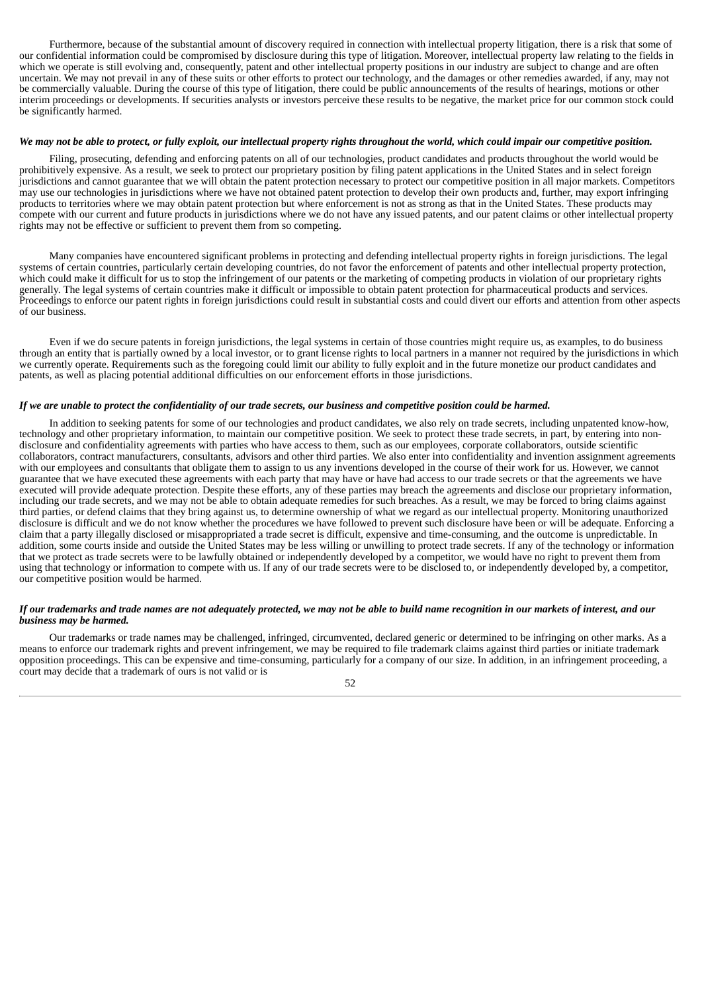Furthermore, because of the substantial amount of discovery required in connection with intellectual property litigation, there is a risk that some of our confidential information could be compromised by disclosure during this type of litigation. Moreover, intellectual property law relating to the fields in which we operate is still evolving and, consequently, patent and other intellectual property positions in our industry are subject to change and are often uncertain. We may not prevail in any of these suits or other efforts to protect our technology, and the damages or other remedies awarded, if any, may not be commercially valuable. During the course of this type of litigation, there could be public announcements of the results of hearings, motions or other interim proceedings or developments. If securities analysts or investors perceive these results to be negative, the market price for our common stock could be significantly harmed.

#### We may not be able to protect, or fully exploit, our intellectual property rights throughout the world, which could impair our competitive position.

Filing, prosecuting, defending and enforcing patents on all of our technologies, product candidates and products throughout the world would be prohibitively expensive. As a result, we seek to protect our proprietary position by filing patent applications in the United States and in select foreign jurisdictions and cannot guarantee that we will obtain the patent protection necessary to protect our competitive position in all major markets. Competitors may use our technologies in jurisdictions where we have not obtained patent protection to develop their own products and, further, may export infringing products to territories where we may obtain patent protection but where enforcement is not as strong as that in the United States. These products may compete with our current and future products in jurisdictions where we do not have any issued patents, and our patent claims or other intellectual property rights may not be effective or sufficient to prevent them from so competing.

Many companies have encountered significant problems in protecting and defending intellectual property rights in foreign jurisdictions. The legal systems of certain countries, particularly certain developing countries, do not favor the enforcement of patents and other intellectual property protection, which could make it difficult for us to stop the infringement of our patents or the marketing of competing products in violation of our proprietary rights generally. The legal systems of certain countries make it difficult or impossible to obtain patent protection for pharmaceutical products and services. Proceedings to enforce our patent rights in foreign jurisdictions could result in substantial costs and could divert our efforts and attention from other aspects of our business.

Even if we do secure patents in foreign jurisdictions, the legal systems in certain of those countries might require us, as examples, to do business through an entity that is partially owned by a local investor, or to grant license rights to local partners in a manner not required by the jurisdictions in which we currently operate. Requirements such as the foregoing could limit our ability to fully exploit and in the future monetize our product candidates and patents, as well as placing potential additional difficulties on our enforcement efforts in those jurisdictions.

#### If we are unable to protect the confidentiality of our trade secrets, our business and competitive position could be harmed.

In addition to seeking patents for some of our technologies and product candidates, we also rely on trade secrets, including unpatented know-how, technology and other proprietary information, to maintain our competitive position. We seek to protect these trade secrets, in part, by entering into nondisclosure and confidentiality agreements with parties who have access to them, such as our employees, corporate collaborators, outside scientific collaborators, contract manufacturers, consultants, advisors and other third parties. We also enter into confidentiality and invention assignment agreements with our employees and consultants that obligate them to assign to us any inventions developed in the course of their work for us. However, we cannot guarantee that we have executed these agreements with each party that may have or have had access to our trade secrets or that the agreements we have executed will provide adequate protection. Despite these efforts, any of these parties may breach the agreements and disclose our proprietary information, including our trade secrets, and we may not be able to obtain adequate remedies for such breaches. As a result, we may be forced to bring claims against third parties, or defend claims that they bring against us, to determine ownership of what we regard as our intellectual property. Monitoring unauthorized disclosure is difficult and we do not know whether the procedures we have followed to prevent such disclosure have been or will be adequate. Enforcing a claim that a party illegally disclosed or misappropriated a trade secret is difficult, expensive and time-consuming, and the outcome is unpredictable. In addition, some courts inside and outside the United States may be less willing or unwilling to protect trade secrets. If any of the technology or information that we protect as trade secrets were to be lawfully obtained or independently developed by a competitor, we would have no right to prevent them from using that technology or information to compete with us. If any of our trade secrets were to be disclosed to, or independently developed by, a competitor, our competitive position would be harmed.

#### If our trademarks and trade names are not adequately protected, we may not be able to build name recognition in our markets of interest, and our *business may be harmed.*

Our trademarks or trade names may be challenged, infringed, circumvented, declared generic or determined to be infringing on other marks. As a means to enforce our trademark rights and prevent infringement, we may be required to file trademark claims against third parties or initiate trademark opposition proceedings. This can be expensive and time-consuming, particularly for a company of our size. In addition, in an infringement proceeding, a court may decide that a trademark of ours is not valid or is

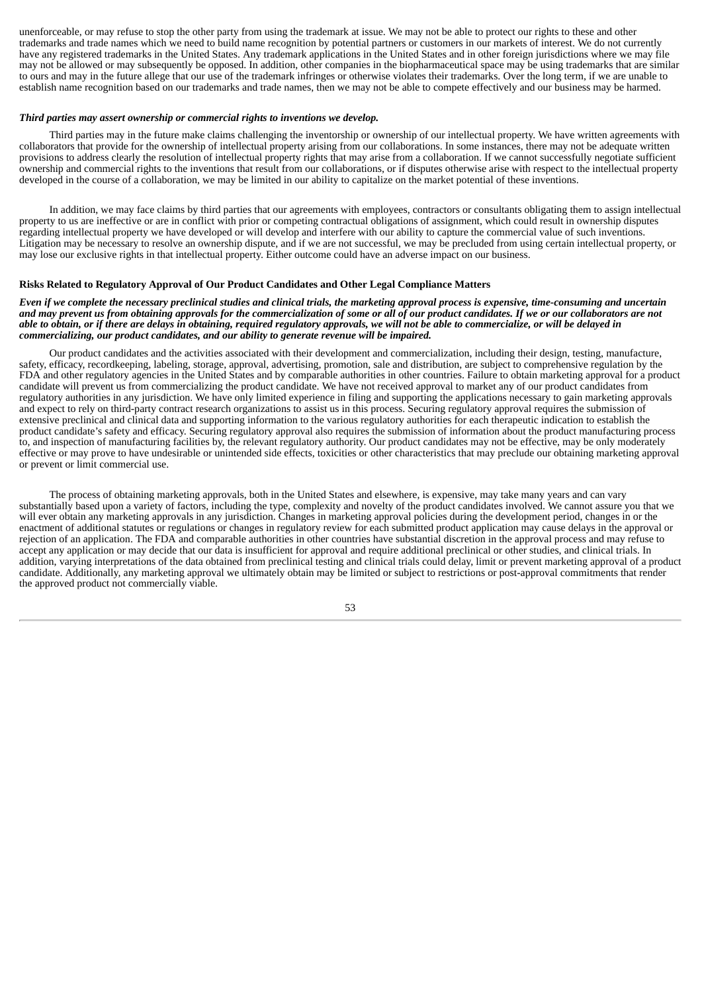unenforceable, or may refuse to stop the other party from using the trademark at issue. We may not be able to protect our rights to these and other trademarks and trade names which we need to build name recognition by potential partners or customers in our markets of interest. We do not currently have any registered trademarks in the United States. Any trademark applications in the United States and in other foreign jurisdictions where we may file may not be allowed or may subsequently be opposed. In addition, other companies in the biopharmaceutical space may be using trademarks that are similar to ours and may in the future allege that our use of the trademark infringes or otherwise violates their trademarks. Over the long term, if we are unable to establish name recognition based on our trademarks and trade names, then we may not be able to compete effectively and our business may be harmed.

#### *Third parties may assert ownership or commercial rights to inventions we develop.*

Third parties may in the future make claims challenging the inventorship or ownership of our intellectual property. We have written agreements with collaborators that provide for the ownership of intellectual property arising from our collaborations. In some instances, there may not be adequate written provisions to address clearly the resolution of intellectual property rights that may arise from a collaboration. If we cannot successfully negotiate sufficient ownership and commercial rights to the inventions that result from our collaborations, or if disputes otherwise arise with respect to the intellectual property developed in the course of a collaboration, we may be limited in our ability to capitalize on the market potential of these inventions.

In addition, we may face claims by third parties that our agreements with employees, contractors or consultants obligating them to assign intellectual property to us are ineffective or are in conflict with prior or competing contractual obligations of assignment, which could result in ownership disputes regarding intellectual property we have developed or will develop and interfere with our ability to capture the commercial value of such inventions. Litigation may be necessary to resolve an ownership dispute, and if we are not successful, we may be precluded from using certain intellectual property, or may lose our exclusive rights in that intellectual property. Either outcome could have an adverse impact on our business.

#### **Risks Related to Regulatory Approval of Our Product Candidates and Other Legal Compliance Matters**

#### Even if we complete the necessary preclinical studies and clinical trials, the marketing approval process is expensive, time-consuming and uncertain and may prevent us from obtaining approvals for the commercialization of some or all of our product candidates. If we or our collaborators are not able to obtain, or if there are delays in obtaining, required regulatory approvals, we will not be able to commercialize, or will be delayed in *commercializing, our product candidates, and our ability to generate revenue will be impaired.*

Our product candidates and the activities associated with their development and commercialization, including their design, testing, manufacture, safety, efficacy, recordkeeping, labeling, storage, approval, advertising, promotion, sale and distribution, are subject to comprehensive regulation by the FDA and other regulatory agencies in the United States and by comparable authorities in other countries. Failure to obtain marketing approval for a product candidate will prevent us from commercializing the product candidate. We have not received approval to market any of our product candidates from regulatory authorities in any jurisdiction. We have only limited experience in filing and supporting the applications necessary to gain marketing approvals and expect to rely on third-party contract research organizations to assist us in this process. Securing regulatory approval requires the submission of extensive preclinical and clinical data and supporting information to the various regulatory authorities for each therapeutic indication to establish the product candidate's safety and efficacy. Securing regulatory approval also requires the submission of information about the product manufacturing process to, and inspection of manufacturing facilities by, the relevant regulatory authority. Our product candidates may not be effective, may be only moderately effective or may prove to have undesirable or unintended side effects, toxicities or other characteristics that may preclude our obtaining marketing approval or prevent or limit commercial use.

The process of obtaining marketing approvals, both in the United States and elsewhere, is expensive, may take many years and can vary substantially based upon a variety of factors, including the type, complexity and novelty of the product candidates involved. We cannot assure you that we will ever obtain any marketing approvals in any jurisdiction. Changes in marketing approval policies during the development period, changes in or the enactment of additional statutes or regulations or changes in regulatory review for each submitted product application may cause delays in the approval or rejection of an application. The FDA and comparable authorities in other countries have substantial discretion in the approval process and may refuse to accept any application or may decide that our data is insufficient for approval and require additional preclinical or other studies, and clinical trials. In addition, varying interpretations of the data obtained from preclinical testing and clinical trials could delay, limit or prevent marketing approval of a product candidate. Additionally, any marketing approval we ultimately obtain may be limited or subject to restrictions or post-approval commitments that render the approved product not commercially viable.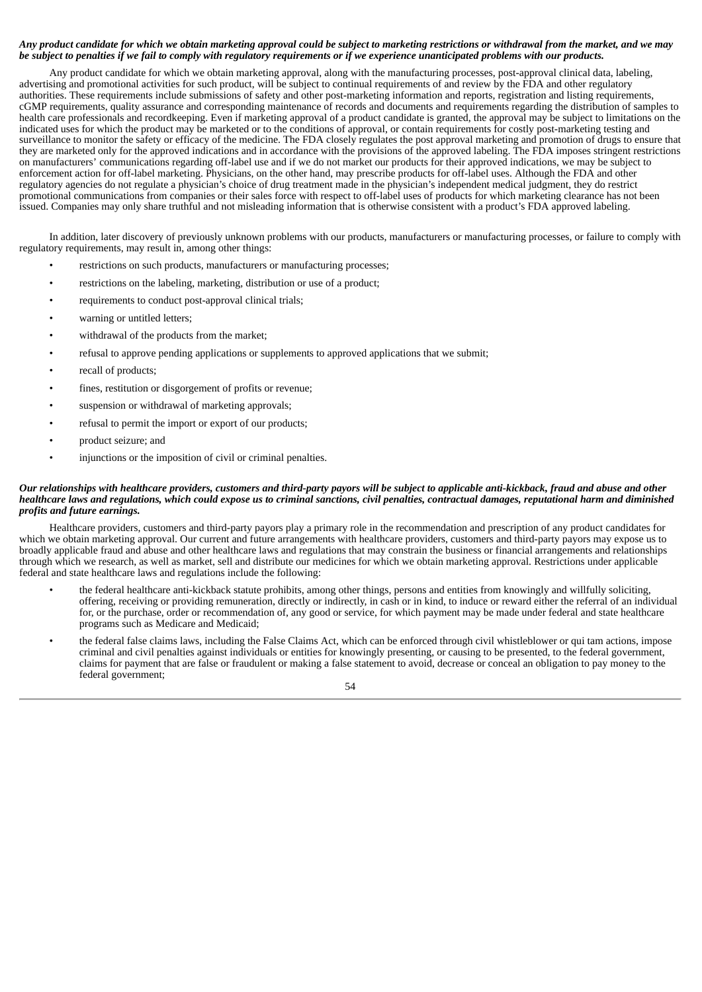## Any product candidate for which we obtain marketing approval could be subject to marketing restrictions or withdrawal from the market, and we may be subject to penalties if we fail to comply with regulatory requirements or if we experience unanticipated problems with our products.

Any product candidate for which we obtain marketing approval, along with the manufacturing processes, post-approval clinical data, labeling, advertising and promotional activities for such product, will be subject to continual requirements of and review by the FDA and other regulatory authorities. These requirements include submissions of safety and other post-marketing information and reports, registration and listing requirements, cGMP requirements, quality assurance and corresponding maintenance of records and documents and requirements regarding the distribution of samples to health care professionals and recordkeeping. Even if marketing approval of a product candidate is granted, the approval may be subject to limitations on the indicated uses for which the product may be marketed or to the conditions of approval, or contain requirements for costly post-marketing testing and surveillance to monitor the safety or efficacy of the medicine. The FDA closely regulates the post approval marketing and promotion of drugs to ensure that they are marketed only for the approved indications and in accordance with the provisions of the approved labeling. The FDA imposes stringent restrictions on manufacturers' communications regarding off-label use and if we do not market our products for their approved indications, we may be subject to enforcement action for off-label marketing. Physicians, on the other hand, may prescribe products for off-label uses. Although the FDA and other regulatory agencies do not regulate a physician's choice of drug treatment made in the physician's independent medical judgment, they do restrict promotional communications from companies or their sales force with respect to off-label uses of products for which marketing clearance has not been issued. Companies may only share truthful and not misleading information that is otherwise consistent with a product's FDA approved labeling.

In addition, later discovery of previously unknown problems with our products, manufacturers or manufacturing processes, or failure to comply with regulatory requirements, may result in, among other things:

- restrictions on such products, manufacturers or manufacturing processes;
- restrictions on the labeling, marketing, distribution or use of a product;
- requirements to conduct post-approval clinical trials;
- warning or untitled letters;
- withdrawal of the products from the market;
- refusal to approve pending applications or supplements to approved applications that we submit;
- recall of products:
- fines, restitution or disgorgement of profits or revenue;
- suspension or withdrawal of marketing approvals;
- refusal to permit the import or export of our products;
- product seizure; and
- injunctions or the imposition of civil or criminal penalties.

#### Our relationships with healthcare providers, customers and third-party payors will be subject to applicable anti-kickback, fraud and abuse and other healthcare laws and regulations, which could expose us to criminal sanctions, civil penalties, contractual damages, reputational harm and diminished *profits and future earnings.*

Healthcare providers, customers and third-party payors play a primary role in the recommendation and prescription of any product candidates for which we obtain marketing approval. Our current and future arrangements with healthcare providers, customers and third-party payors may expose us to broadly applicable fraud and abuse and other healthcare laws and regulations that may constrain the business or financial arrangements and relationships through which we research, as well as market, sell and distribute our medicines for which we obtain marketing approval. Restrictions under applicable federal and state healthcare laws and regulations include the following:

- the federal healthcare anti-kickback statute prohibits, among other things, persons and entities from knowingly and willfully soliciting, offering, receiving or providing remuneration, directly or indirectly, in cash or in kind, to induce or reward either the referral of an individual for, or the purchase, order or recommendation of, any good or service, for which payment may be made under federal and state healthcare programs such as Medicare and Medicaid;
- the federal false claims laws, including the False Claims Act, which can be enforced through civil whistleblower or qui tam actions, impose criminal and civil penalties against individuals or entities for knowingly presenting, or causing to be presented, to the federal government, claims for payment that are false or fraudulent or making a false statement to avoid, decrease or conceal an obligation to pay money to the federal government;

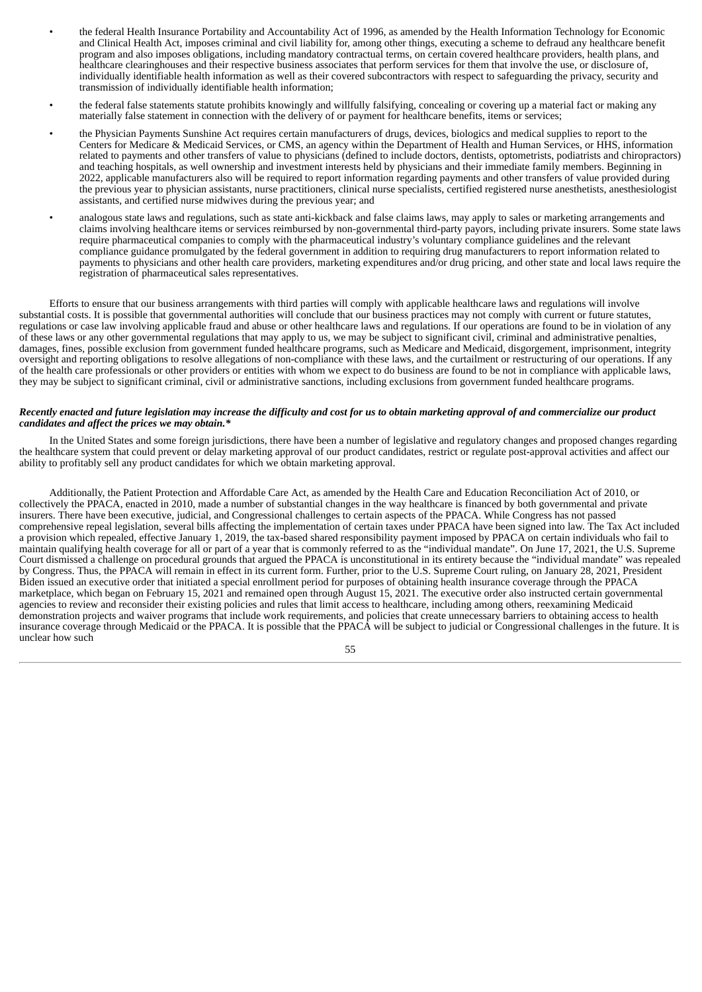- the federal Health Insurance Portability and Accountability Act of 1996, as amended by the Health Information Technology for Economic and Clinical Health Act, imposes criminal and civil liability for, among other things, executing a scheme to defraud any healthcare benefit program and also imposes obligations, including mandatory contractual terms, on certain covered healthcare providers, health plans, and healthcare clearinghouses and their respective business associates that perform services for them that involve the use, or disclosure of, individually identifiable health information as well as their covered subcontractors with respect to safeguarding the privacy, security and transmission of individually identifiable health information;
- the federal false statements statute prohibits knowingly and willfully falsifying, concealing or covering up a material fact or making any materially false statement in connection with the delivery of or payment for healthcare benefits, items or services;
- the Physician Payments Sunshine Act requires certain manufacturers of drugs, devices, biologics and medical supplies to report to the Centers for Medicare & Medicaid Services, or CMS, an agency within the Department of Health and Human Services, or HHS, information related to payments and other transfers of value to physicians (defined to include doctors, dentists, optometrists, podiatrists and chiropractors) and teaching hospitals, as well ownership and investment interests held by physicians and their immediate family members. Beginning in 2022, applicable manufacturers also will be required to report information regarding payments and other transfers of value provided during the previous year to physician assistants, nurse practitioners, clinical nurse specialists, certified registered nurse anesthetists, anesthesiologist assistants, and certified nurse midwives during the previous year; and
- analogous state laws and regulations, such as state anti-kickback and false claims laws, may apply to sales or marketing arrangements and claims involving healthcare items or services reimbursed by non-governmental third-party payors, including private insurers. Some state laws require pharmaceutical companies to comply with the pharmaceutical industry's voluntary compliance guidelines and the relevant compliance guidance promulgated by the federal government in addition to requiring drug manufacturers to report information related to payments to physicians and other health care providers, marketing expenditures and/or drug pricing, and other state and local laws require the registration of pharmaceutical sales representatives.

Efforts to ensure that our business arrangements with third parties will comply with applicable healthcare laws and regulations will involve substantial costs. It is possible that governmental authorities will conclude that our business practices may not comply with current or future statutes, regulations or case law involving applicable fraud and abuse or other healthcare laws and regulations. If our operations are found to be in violation of any of these laws or any other governmental regulations that may apply to us, we may be subject to significant civil, criminal and administrative penalties, damages, fines, possible exclusion from government funded healthcare programs, such as Medicare and Medicaid, disgorgement, imprisonment, integrity oversight and reporting obligations to resolve allegations of non-compliance with these laws, and the curtailment or restructuring of our operations. If any of the health care professionals or other providers or entities with whom we expect to do business are found to be not in compliance with applicable laws, they may be subject to significant criminal, civil or administrative sanctions, including exclusions from government funded healthcare programs.

#### Recently enacted and future legislation may increase the difficulty and cost for us to obtain marketing approval of and commercialize our product *candidates and affect the prices we may obtain.\**

In the United States and some foreign jurisdictions, there have been a number of legislative and regulatory changes and proposed changes regarding the healthcare system that could prevent or delay marketing approval of our product candidates, restrict or regulate post-approval activities and affect our ability to profitably sell any product candidates for which we obtain marketing approval.

Additionally, the Patient Protection and Affordable Care Act, as amended by the Health Care and Education Reconciliation Act of 2010, or collectively the PPACA, enacted in 2010, made a number of substantial changes in the way healthcare is financed by both governmental and private insurers. There have been executive, judicial, and Congressional challenges to certain aspects of the PPACA. While Congress has not passed comprehensive repeal legislation, several bills affecting the implementation of certain taxes under PPACA have been signed into law. The Tax Act included a provision which repealed, effective January 1, 2019, the tax-based shared responsibility payment imposed by PPACA on certain individuals who fail to maintain qualifying health coverage for all or part of a year that is commonly referred to as the "individual mandate". On June 17, 2021, the U.S. Supreme Court dismissed a challenge on procedural grounds that argued the PPACA is unconstitutional in its entirety because the "individual mandate" was repealed by Congress. Thus, the PPACA will remain in effect in its current form. Further, prior to the U.S. Supreme Court ruling, on January 28, 2021, President Biden issued an executive order that initiated a special enrollment period for purposes of obtaining health insurance coverage through the PPACA marketplace, which began on February 15, 2021 and remained open through August 15, 2021. The executive order also instructed certain governmental agencies to review and reconsider their existing policies and rules that limit access to healthcare, including among others, reexamining Medicaid demonstration projects and waiver programs that include work requirements, and policies that create unnecessary barriers to obtaining access to health insurance coverage through Medicaid or the PPACA. It is possible that the PPACA will be subject to judicial or Congressional challenges in the future. It is unclear how such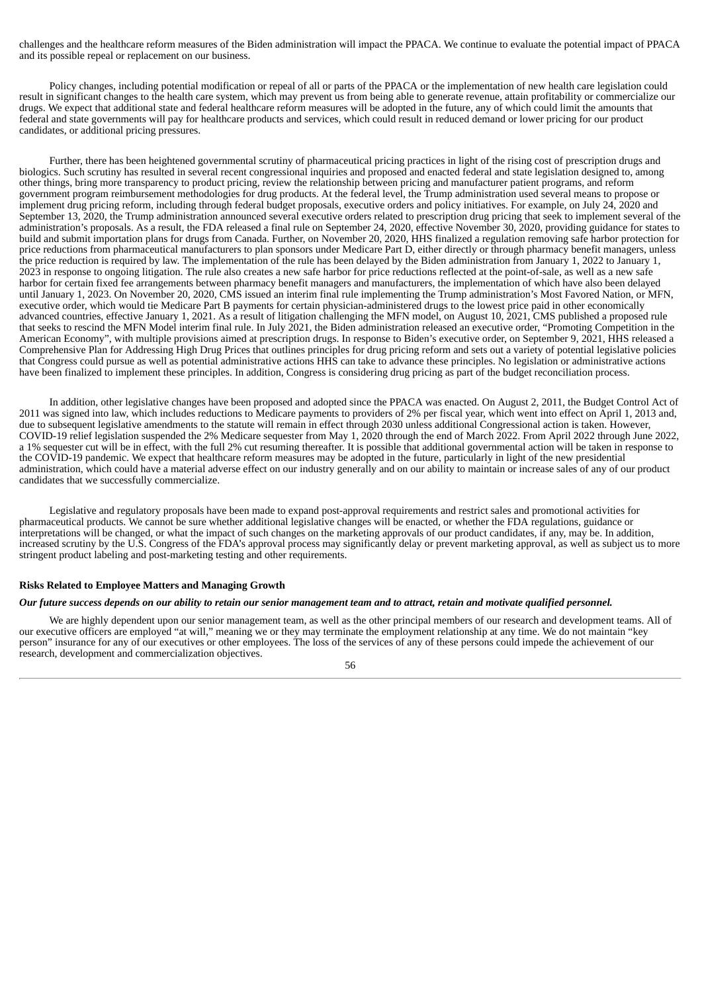challenges and the healthcare reform measures of the Biden administration will impact the PPACA. We continue to evaluate the potential impact of PPACA and its possible repeal or replacement on our business.

Policy changes, including potential modification or repeal of all or parts of the PPACA or the implementation of new health care legislation could result in significant changes to the health care system, which may prevent us from being able to generate revenue, attain profitability or commercialize our drugs. We expect that additional state and federal healthcare reform measures will be adopted in the future, any of which could limit the amounts that federal and state governments will pay for healthcare products and services, which could result in reduced demand or lower pricing for our product candidates, or additional pricing pressures.

Further, there has been heightened governmental scrutiny of pharmaceutical pricing practices in light of the rising cost of prescription drugs and biologics. Such scrutiny has resulted in several recent congressional inquiries and proposed and enacted federal and state legislation designed to, among other things, bring more transparency to product pricing, review the relationship between pricing and manufacturer patient programs, and reform government program reimbursement methodologies for drug products. At the federal level, the Trump administration used several means to propose or implement drug pricing reform, including through federal budget proposals, executive orders and policy initiatives. For example, on July 24, 2020 and September 13, 2020, the Trump administration announced several executive orders related to prescription drug pricing that seek to implement several of the administration's proposals. As a result, the FDA released a final rule on September 24, 2020, effective November 30, 2020, providing guidance for states to build and submit importation plans for drugs from Canada. Further, on November 20, 2020, HHS finalized a regulation removing safe harbor protection for price reductions from pharmaceutical manufacturers to plan sponsors under Medicare Part D, either directly or through pharmacy benefit managers, unless the price reduction is required by law. The implementation of the rule has been delayed by the Biden administration from January 1, 2022 to January 1, 2023 in response to ongoing litigation. The rule also creates a new safe harbor for price reductions reflected at the point-of-sale, as well as a new safe harbor for certain fixed fee arrangements between pharmacy benefit managers and manufacturers, the implementation of which have also been delayed until January 1, 2023. On November 20, 2020, CMS issued an interim final rule implementing the Trump administration's Most Favored Nation, or MFN, executive order, which would tie Medicare Part B payments for certain physician-administered drugs to the lowest price paid in other economically advanced countries, effective January 1, 2021. As a result of litigation challenging the MFN model, on August 10, 2021, CMS published a proposed rule that seeks to rescind the MFN Model interim final rule. In July 2021, the Biden administration released an executive order, "Promoting Competition in the American Economy", with multiple provisions aimed at prescription drugs. In response to Biden's executive order, on September 9, 2021, HHS released a Comprehensive Plan for Addressing High Drug Prices that outlines principles for drug pricing reform and sets out a variety of potential legislative policies that Congress could pursue as well as potential administrative actions HHS can take to advance these principles. No legislation or administrative actions have been finalized to implement these principles. In addition, Congress is considering drug pricing as part of the budget reconciliation process.

In addition, other legislative changes have been proposed and adopted since the PPACA was enacted. On August 2, 2011, the Budget Control Act of 2011 was signed into law, which includes reductions to Medicare payments to providers of 2% per fiscal year, which went into effect on April 1, 2013 and, due to subsequent legislative amendments to the statute will remain in effect through 2030 unless additional Congressional action is taken. However, COVID-19 relief legislation suspended the 2% Medicare sequester from May 1, 2020 through the end of March 2022. From April 2022 through June 2022, a 1% sequester cut will be in effect, with the full 2% cut resuming thereafter. It is possible that additional governmental action will be taken in response to the COVID-19 pandemic. We expect that healthcare reform measures may be adopted in the future, particularly in light of the new presidential administration, which could have a material adverse effect on our industry generally and on our ability to maintain or increase sales of any of our product candidates that we successfully commercialize.

Legislative and regulatory proposals have been made to expand post-approval requirements and restrict sales and promotional activities for pharmaceutical products. We cannot be sure whether additional legislative changes will be enacted, or whether the FDA regulations, guidance or interpretations will be changed, or what the impact of such changes on the marketing approvals of our product candidates, if any, may be. In addition, increased scrutiny by the U.S. Congress of the FDA's approval process may significantly delay or prevent marketing approval, as well as subject us to more stringent product labeling and post-marketing testing and other requirements.

#### **Risks Related to Employee Matters and Managing Growth**

#### Our future success depends on our ability to retain our senior management team and to attract, retain and motivate qualified personnel.

We are highly dependent upon our senior management team, as well as the other principal members of our research and development teams. All of our executive officers are employed "at will," meaning we or they may terminate the employment relationship at any time. We do not maintain "key person" insurance for any of our executives or other employees. The loss of the services of any of these persons could impede the achievement of our research, development and commercialization objectives.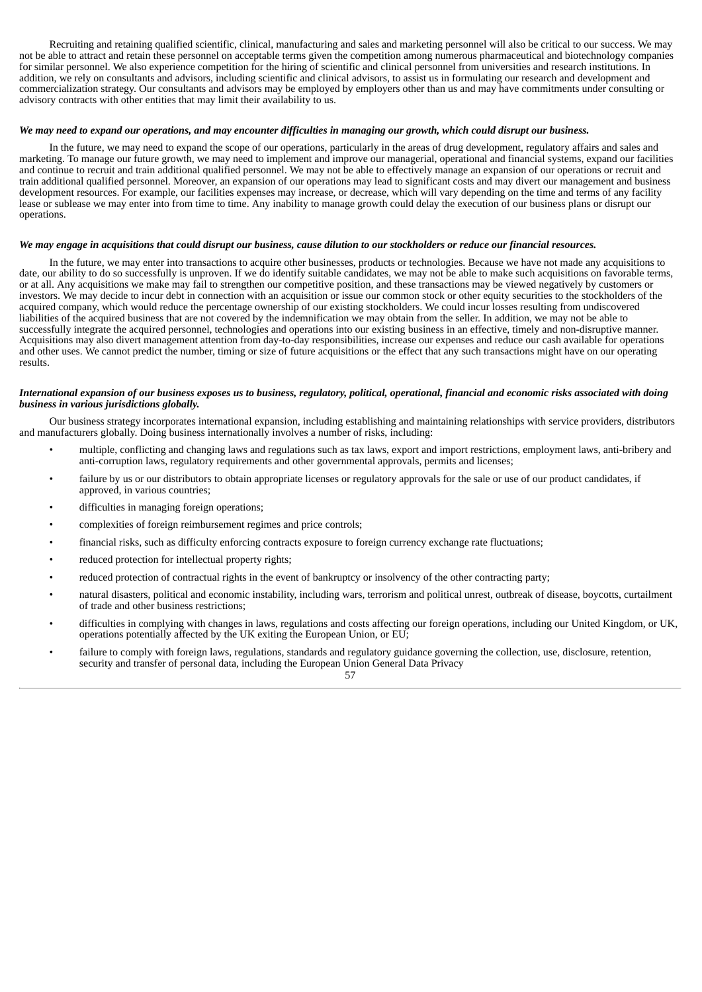Recruiting and retaining qualified scientific, clinical, manufacturing and sales and marketing personnel will also be critical to our success. We may not be able to attract and retain these personnel on acceptable terms given the competition among numerous pharmaceutical and biotechnology companies for similar personnel. We also experience competition for the hiring of scientific and clinical personnel from universities and research institutions. In addition, we rely on consultants and advisors, including scientific and clinical advisors, to assist us in formulating our research and development and commercialization strategy. Our consultants and advisors may be employed by employers other than us and may have commitments under consulting or advisory contracts with other entities that may limit their availability to us.

#### We may need to expand our operations, and may encounter difficulties in managing our growth, which could disrupt our business.

In the future, we may need to expand the scope of our operations, particularly in the areas of drug development, regulatory affairs and sales and marketing. To manage our future growth, we may need to implement and improve our managerial, operational and financial systems, expand our facilities and continue to recruit and train additional qualified personnel. We may not be able to effectively manage an expansion of our operations or recruit and train additional qualified personnel. Moreover, an expansion of our operations may lead to significant costs and may divert our management and business development resources. For example, our facilities expenses may increase, or decrease, which will vary depending on the time and terms of any facility lease or sublease we may enter into from time to time. Any inability to manage growth could delay the execution of our business plans or disrupt our operations.

#### We may engage in acquisitions that could disrupt our business, cause dilution to our stockholders or reduce our financial resources.

In the future, we may enter into transactions to acquire other businesses, products or technologies. Because we have not made any acquisitions to date, our ability to do so successfully is unproven. If we do identify suitable candidates, we may not be able to make such acquisitions on favorable terms, or at all. Any acquisitions we make may fail to strengthen our competitive position, and these transactions may be viewed negatively by customers or investors. We may decide to incur debt in connection with an acquisition or issue our common stock or other equity securities to the stockholders of the acquired company, which would reduce the percentage ownership of our existing stockholders. We could incur losses resulting from undiscovered liabilities of the acquired business that are not covered by the indemnification we may obtain from the seller. In addition, we may not be able to successfully integrate the acquired personnel, technologies and operations into our existing business in an effective, timely and non-disruptive manner. Acquisitions may also divert management attention from day-to-day responsibilities, increase our expenses and reduce our cash available for operations and other uses. We cannot predict the number, timing or size of future acquisitions or the effect that any such transactions might have on our operating results.

### International expansion of our business exposes us to business, regulatory, political, operational, financial and economic risks associated with doing *business in various jurisdictions globally.*

Our business strategy incorporates international expansion, including establishing and maintaining relationships with service providers, distributors and manufacturers globally. Doing business internationally involves a number of risks, including:

- multiple, conflicting and changing laws and regulations such as tax laws, export and import restrictions, employment laws, anti-bribery and anti-corruption laws, regulatory requirements and other governmental approvals, permits and licenses;
- failure by us or our distributors to obtain appropriate licenses or regulatory approvals for the sale or use of our product candidates, if approved, in various countries;
- difficulties in managing foreign operations;
- complexities of foreign reimbursement regimes and price controls;
- financial risks, such as difficulty enforcing contracts exposure to foreign currency exchange rate fluctuations;
- reduced protection for intellectual property rights;
- reduced protection of contractual rights in the event of bankruptcy or insolvency of the other contracting party;
- natural disasters, political and economic instability, including wars, terrorism and political unrest, outbreak of disease, boycotts, curtailment of trade and other business restrictions;
- difficulties in complying with changes in laws, regulations and costs affecting our foreign operations, including our United Kingdom, or UK, operations potentially affected by the UK exiting the European Union, or EU;
- failure to comply with foreign laws, regulations, standards and regulatory guidance governing the collection, use, disclosure, retention, security and transfer of personal data, including the European Union General Data Privacy 57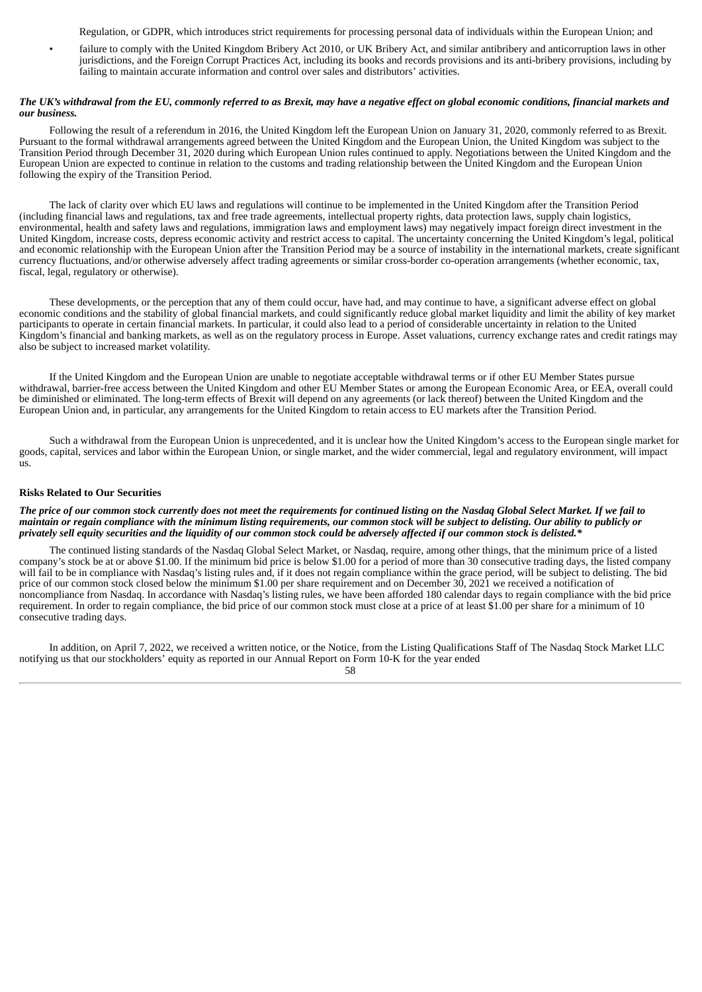Regulation, or GDPR, which introduces strict requirements for processing personal data of individuals within the European Union; and

failure to comply with the United Kingdom Bribery Act 2010, or UK Bribery Act, and similar antibribery and anticorruption laws in other jurisdictions, and the Foreign Corrupt Practices Act, including its books and records provisions and its anti-bribery provisions, including by failing to maintain accurate information and control over sales and distributors' activities.

#### The UK's withdrawal from the EU, commonly referred to as Brexit, may have a negative effect on global economic conditions, financial markets and *our business.*

Following the result of a referendum in 2016, the United Kingdom left the European Union on January 31, 2020, commonly referred to as Brexit. Pursuant to the formal withdrawal arrangements agreed between the United Kingdom and the European Union, the United Kingdom was subject to the Transition Period through December 31, 2020 during which European Union rules continued to apply. Negotiations between the United Kingdom and the European Union are expected to continue in relation to the customs and trading relationship between the United Kingdom and the European Union following the expiry of the Transition Period.

The lack of clarity over which EU laws and regulations will continue to be implemented in the United Kingdom after the Transition Period (including financial laws and regulations, tax and free trade agreements, intellectual property rights, data protection laws, supply chain logistics, environmental, health and safety laws and regulations, immigration laws and employment laws) may negatively impact foreign direct investment in the United Kingdom, increase costs, depress economic activity and restrict access to capital. The uncertainty concerning the United Kingdom's legal, political and economic relationship with the European Union after the Transition Period may be a source of instability in the international markets, create significant currency fluctuations, and/or otherwise adversely affect trading agreements or similar cross-border co-operation arrangements (whether economic, tax, fiscal, legal, regulatory or otherwise).

These developments, or the perception that any of them could occur, have had, and may continue to have, a significant adverse effect on global economic conditions and the stability of global financial markets, and could significantly reduce global market liquidity and limit the ability of key market participants to operate in certain financial markets. In particular, it could also lead to a period of considerable uncertainty in relation to the United Kingdom's financial and banking markets, as well as on the regulatory process in Europe. Asset valuations, currency exchange rates and credit ratings may also be subject to increased market volatility.

If the United Kingdom and the European Union are unable to negotiate acceptable withdrawal terms or if other EU Member States pursue withdrawal, barrier-free access between the United Kingdom and other EU Member States or among the European Economic Area, or EEA, overall could be diminished or eliminated. The long-term effects of Brexit will depend on any agreements (or lack thereof) between the United Kingdom and the European Union and, in particular, any arrangements for the United Kingdom to retain access to EU markets after the Transition Period.

Such a withdrawal from the European Union is unprecedented, and it is unclear how the United Kingdom's access to the European single market for goods, capital, services and labor within the European Union, or single market, and the wider commercial, legal and regulatory environment, will impact  $\overline{\mathbf{u}}$ 

### **Risks Related to Our Securities**

The price of our common stock currently does not meet the requirements for continued listing on the Nasdaq Global Select Market. If we fail to maintain or regain compliance with the minimum listing requirements, our common stock will be subject to delisting. Our ability to publicly or privately sell equity securities and the liquidity of our common stock could be adversely affected if our common stock is delisted.\*

The continued listing standards of the Nasdaq Global Select Market, or Nasdaq, require, among other things, that the minimum price of a listed company's stock be at or above \$1.00. If the minimum bid price is below \$1.00 for a period of more than 30 consecutive trading days, the listed company will fail to be in compliance with Nasdaq's listing rules and, if it does not regain compliance within the grace period, will be subject to delisting. The bid price of our common stock closed below the minimum \$1.00 per share requirement and on December 30, 2021 we received a notification of noncompliance from Nasdaq. In accordance with Nasdaq's listing rules, we have been afforded 180 calendar days to regain compliance with the bid price requirement. In order to regain compliance, the bid price of our common stock must close at a price of at least \$1.00 per share for a minimum of 10 consecutive trading days.

In addition, on April 7, 2022, we received a written notice, or the Notice, from the Listing Qualifications Staff of The Nasdaq Stock Market LLC notifying us that our stockholders' equity as reported in our Annual Report on Form 10-K for the year ended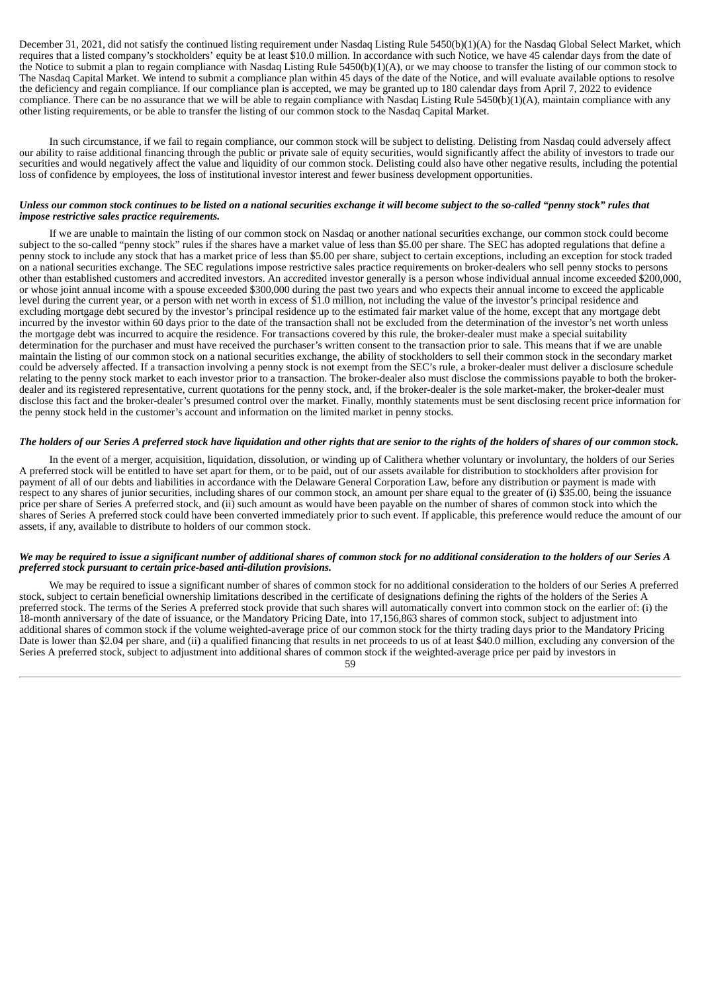December 31, 2021, did not satisfy the continued listing requirement under Nasdaq Listing Rule 5450(b)(1)(A) for the Nasdaq Global Select Market, which requires that a listed company's stockholders' equity be at least \$10.0 million. In accordance with such Notice, we have 45 calendar days from the date of the Notice to submit a plan to regain compliance with Nasdaq Listing Rule 5450(b)(1)(A), or we may choose to transfer the listing of our common stock to The Nasdaq Capital Market. We intend to submit a compliance plan within 45 days of the date of the Notice, and will evaluate available options to resolve the deficiency and regain compliance. If our compliance plan is accepted, we may be granted up to 180 calendar days from April 7, 2022 to evidence compliance. There can be no assurance that we will be able to regain compliance with Nasdaq Listing Rule 5450(b)(1)(A), maintain compliance with any other listing requirements, or be able to transfer the listing of our common stock to the Nasdaq Capital Market.

In such circumstance, if we fail to regain compliance, our common stock will be subject to delisting. Delisting from Nasdaq could adversely affect our ability to raise additional financing through the public or private sale of equity securities, would significantly affect the ability of investors to trade our securities and would negatively affect the value and liquidity of our common stock. Delisting could also have other negative results, including the potential loss of confidence by employees, the loss of institutional investor interest and fewer business development opportunities.

#### Unless our common stock continues to be listed on a national securities exchange it will become subject to the so-called "penny stock" rules that *impose restrictive sales practice requirements.*

If we are unable to maintain the listing of our common stock on Nasdaq or another national securities exchange, our common stock could become subject to the so-called "penny stock" rules if the shares have a market value of less than \$5.00 per share. The SEC has adopted regulations that define a penny stock to include any stock that has a market price of less than \$5.00 per share, subject to certain exceptions, including an exception for stock traded on a national securities exchange. The SEC regulations impose restrictive sales practice requirements on broker-dealers who sell penny stocks to persons other than established customers and accredited investors. An accredited investor generally is a person whose individual annual income exceeded \$200,000, or whose joint annual income with a spouse exceeded \$300,000 during the past two years and who expects their annual income to exceed the applicable level during the current year, or a person with net worth in excess of \$1.0 million, not including the value of the investor's principal residence and excluding mortgage debt secured by the investor's principal residence up to the estimated fair market value of the home, except that any mortgage debt incurred by the investor within 60 days prior to the date of the transaction shall not be excluded from the determination of the investor's net worth unless the mortgage debt was incurred to acquire the residence. For transactions covered by this rule, the broker-dealer must make a special suitability determination for the purchaser and must have received the purchaser's written consent to the transaction prior to sale. This means that if we are unable maintain the listing of our common stock on a national securities exchange, the ability of stockholders to sell their common stock in the secondary market could be adversely affected. If a transaction involving a penny stock is not exempt from the SEC's rule, a broker-dealer must deliver a disclosure schedule relating to the penny stock market to each investor prior to a transaction. The broker-dealer also must disclose the commissions payable to both the brokerdealer and its registered representative, current quotations for the penny stock, and, if the broker-dealer is the sole market-maker, the broker-dealer must disclose this fact and the broker-dealer's presumed control over the market. Finally, monthly statements must be sent disclosing recent price information for the penny stock held in the customer's account and information on the limited market in penny stocks.

## The holders of our Series A preferred stock have liquidation and other rights that are senior to the rights of the holders of shares of our common stock.

In the event of a merger, acquisition, liquidation, dissolution, or winding up of Calithera whether voluntary or involuntary, the holders of our Series A preferred stock will be entitled to have set apart for them, or to be paid, out of our assets available for distribution to stockholders after provision for payment of all of our debts and liabilities in accordance with the Delaware General Corporation Law, before any distribution or payment is made with respect to any shares of junior securities, including shares of our common stock, an amount per share equal to the greater of (i) \$35.00, being the issuance price per share of Series A preferred stock, and (ii) such amount as would have been payable on the number of shares of common stock into which the shares of Series A preferred stock could have been converted immediately prior to such event. If applicable, this preference would reduce the amount of our assets, if any, available to distribute to holders of our common stock.

#### We may be required to issue a significant number of additional shares of common stock for no additional consideration to the holders of our Series A *preferred stock pursuant to certain price-based anti-dilution provisions.*

We may be required to issue a significant number of shares of common stock for no additional consideration to the holders of our Series A preferred stock, subject to certain beneficial ownership limitations described in the certificate of designations defining the rights of the holders of the Series A preferred stock. The terms of the Series A preferred stock provide that such shares will automatically convert into common stock on the earlier of: (i) the 18-month anniversary of the date of issuance, or the Mandatory Pricing Date, into 17,156,863 shares of common stock, subject to adjustment into additional shares of common stock if the volume weighted-average price of our common stock for the thirty trading days prior to the Mandatory Pricing Date is lower than \$2.04 per share, and (ii) a qualified financing that results in net proceeds to us of at least \$40.0 million, excluding any conversion of the Series A preferred stock, subject to adjustment into additional shares of common stock if the weighted-average price per paid by investors in

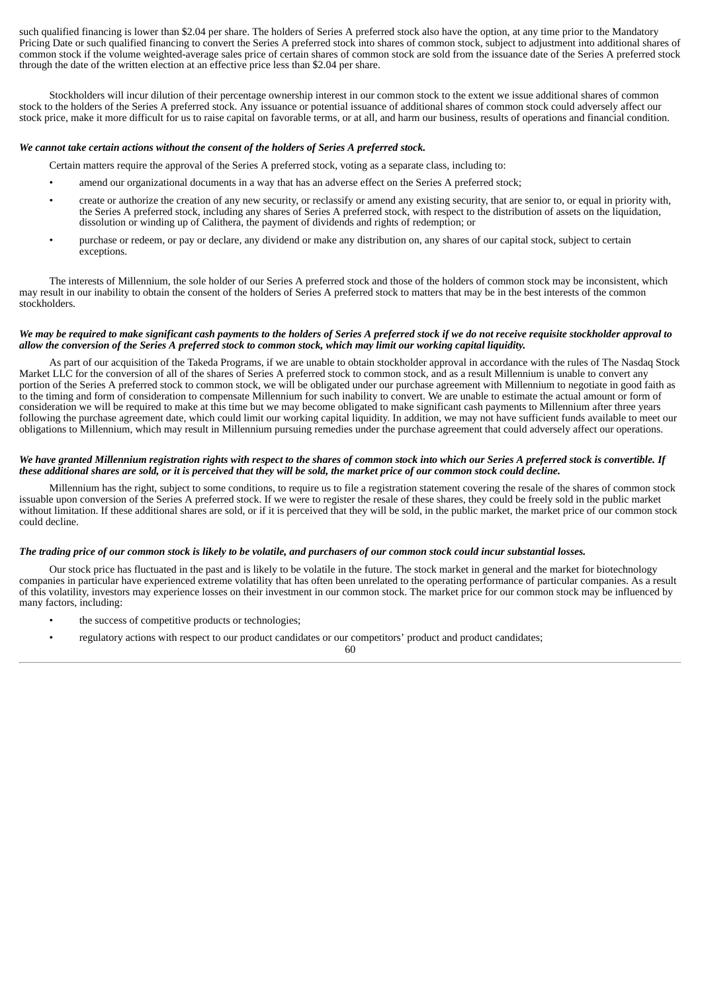such qualified financing is lower than \$2.04 per share. The holders of Series A preferred stock also have the option, at any time prior to the Mandatory Pricing Date or such qualified financing to convert the Series A preferred stock into shares of common stock, subject to adjustment into additional shares of common stock if the volume weighted-average sales price of certain shares of common stock are sold from the issuance date of the Series A preferred stock through the date of the written election at an effective price less than \$2.04 per share.

Stockholders will incur dilution of their percentage ownership interest in our common stock to the extent we issue additional shares of common stock to the holders of the Series A preferred stock. Any issuance or potential issuance of additional shares of common stock could adversely affect our stock price, make it more difficult for us to raise capital on favorable terms, or at all, and harm our business, results of operations and financial condition.

#### *We cannot take certain actions without the consent of the holders of Series A preferred stock.*

Certain matters require the approval of the Series A preferred stock, voting as a separate class, including to:

- amend our organizational documents in a way that has an adverse effect on the Series A preferred stock;
- create or authorize the creation of any new security, or reclassify or amend any existing security, that are senior to, or equal in priority with, the Series A preferred stock, including any shares of Series A preferred stock, with respect to the distribution of assets on the liquidation, dissolution or winding up of Calithera, the payment of dividends and rights of redemption; or
- purchase or redeem, or pay or declare, any dividend or make any distribution on, any shares of our capital stock, subject to certain exceptions.

The interests of Millennium, the sole holder of our Series A preferred stock and those of the holders of common stock may be inconsistent, which may result in our inability to obtain the consent of the holders of Series A preferred stock to matters that may be in the best interests of the common stockholders.

#### We may be required to make significant cash payments to the holders of Series A preferred stock if we do not receive requisite stockholder approval to allow the conversion of the Series A preferred stock to common stock, which may limit our working capital liquidity.

As part of our acquisition of the Takeda Programs, if we are unable to obtain stockholder approval in accordance with the rules of The Nasdaq Stock Market LLC for the conversion of all of the shares of Series A preferred stock to common stock, and as a result Millennium is unable to convert any portion of the Series A preferred stock to common stock, we will be obligated under our purchase agreement with Millennium to negotiate in good faith as to the timing and form of consideration to compensate Millennium for such inability to convert. We are unable to estimate the actual amount or form of consideration we will be required to make at this time but we may become obligated to make significant cash payments to Millennium after three years following the purchase agreement date, which could limit our working capital liquidity. In addition, we may not have sufficient funds available to meet our obligations to Millennium, which may result in Millennium pursuing remedies under the purchase agreement that could adversely affect our operations.

### We have aranted Millennium reaistration riahts with respect to the shares of common stock into which our Series A preferred stock is convertible. If these additional shares are sold, or it is perceived that they will be sold, the market price of our common stock could decline.

Millennium has the right, subject to some conditions, to require us to file a registration statement covering the resale of the shares of common stock issuable upon conversion of the Series A preferred stock. If we were to register the resale of these shares, they could be freely sold in the public market without limitation. If these additional shares are sold, or if it is perceived that they will be sold, in the public market, the market price of our common stock could decline.

## The trading price of our common stock is likely to be volatile, and purchasers of our common stock could incur substantial losses.

Our stock price has fluctuated in the past and is likely to be volatile in the future. The stock market in general and the market for biotechnology companies in particular have experienced extreme volatility that has often been unrelated to the operating performance of particular companies. As a result of this volatility, investors may experience losses on their investment in our common stock. The market price for our common stock may be influenced by many factors, including:

- the success of competitive products or technologies;
- regulatory actions with respect to our product candidates or our competitors' product and product candidates;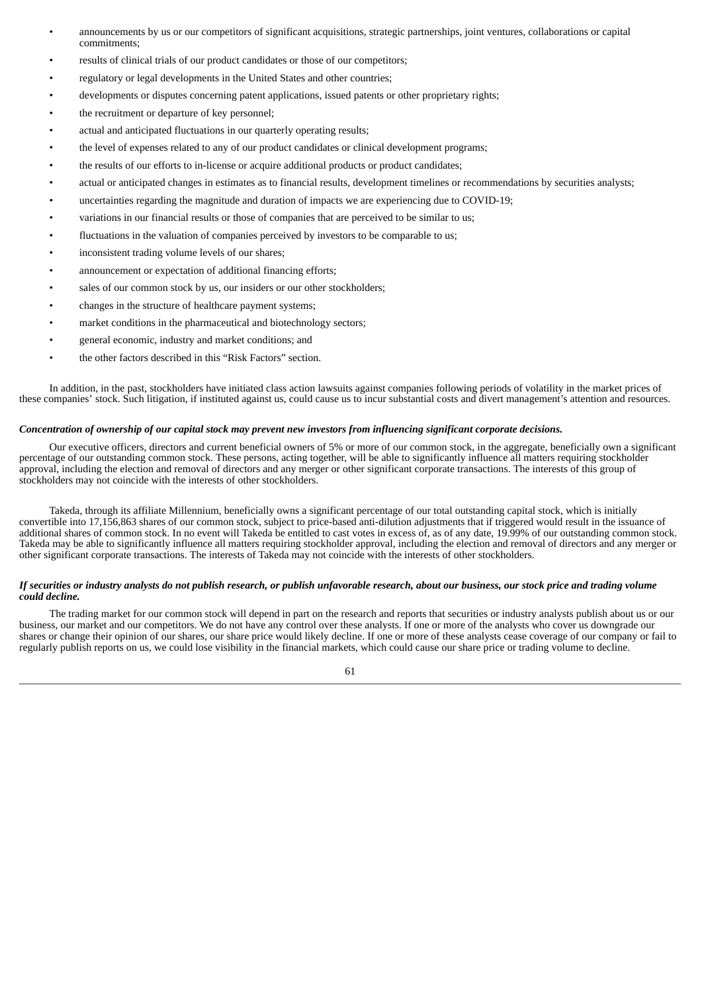- announcements by us or our competitors of significant acquisitions, strategic partnerships, joint ventures, collaborations or capital commitments;
- results of clinical trials of our product candidates or those of our competitors;
- regulatory or legal developments in the United States and other countries;
- developments or disputes concerning patent applications, issued patents or other proprietary rights;
- the recruitment or departure of key personnel;
- actual and anticipated fluctuations in our quarterly operating results;
- the level of expenses related to any of our product candidates or clinical development programs;
- the results of our efforts to in-license or acquire additional products or product candidates;
- actual or anticipated changes in estimates as to financial results, development timelines or recommendations by securities analysts;
- uncertainties regarding the magnitude and duration of impacts we are experiencing due to COVID-19;
- variations in our financial results or those of companies that are perceived to be similar to us;
- fluctuations in the valuation of companies perceived by investors to be comparable to us;
- inconsistent trading volume levels of our shares:
- announcement or expectation of additional financing efforts;
- sales of our common stock by us, our insiders or our other stockholders;
- changes in the structure of healthcare payment systems;
- market conditions in the pharmaceutical and biotechnology sectors;
- general economic, industry and market conditions; and
- the other factors described in this "Risk Factors" section.

In addition, in the past, stockholders have initiated class action lawsuits against companies following periods of volatility in the market prices of these companies' stock. Such litigation, if instituted against us, could cause us to incur substantial costs and divert management's attention and resources.

#### Concentration of ownership of our capital stock may prevent new investors from influencing significant corporate decisions.

Our executive officers, directors and current beneficial owners of 5% or more of our common stock, in the aggregate, beneficially own a significant percentage of our outstanding common stock. These persons, acting together, will be able to significantly influence all matters requiring stockholder approval, including the election and removal of directors and any merger or other significant corporate transactions. The interests of this group of stockholders may not coincide with the interests of other stockholders.

Takeda, through its affiliate Millennium, beneficially owns a significant percentage of our total outstanding capital stock, which is initially convertible into 17,156,863 shares of our common stock, subject to price-based anti-dilution adjustments that if triggered would result in the issuance of additional shares of common stock. In no event will Takeda be entitled to cast votes in excess of, as of any date, 19.99% of our outstanding common stock. Takeda may be able to significantly influence all matters requiring stockholder approval, including the election and removal of directors and any merger or other significant corporate transactions. The interests of Takeda may not coincide with the interests of other stockholders.

#### If securities or industry analysts do not publish research, or publish unfavorable research, about our business, our stock price and trading volume *could decline.*

The trading market for our common stock will depend in part on the research and reports that securities or industry analysts publish about us or our business, our market and our competitors. We do not have any control over these analysts. If one or more of the analysts who cover us downgrade our shares or change their opinion of our shares, our share price would likely decline. If one or more of these analysts cease coverage of our company or fail to regularly publish reports on us, we could lose visibility in the financial markets, which could cause our share price or trading volume to decline.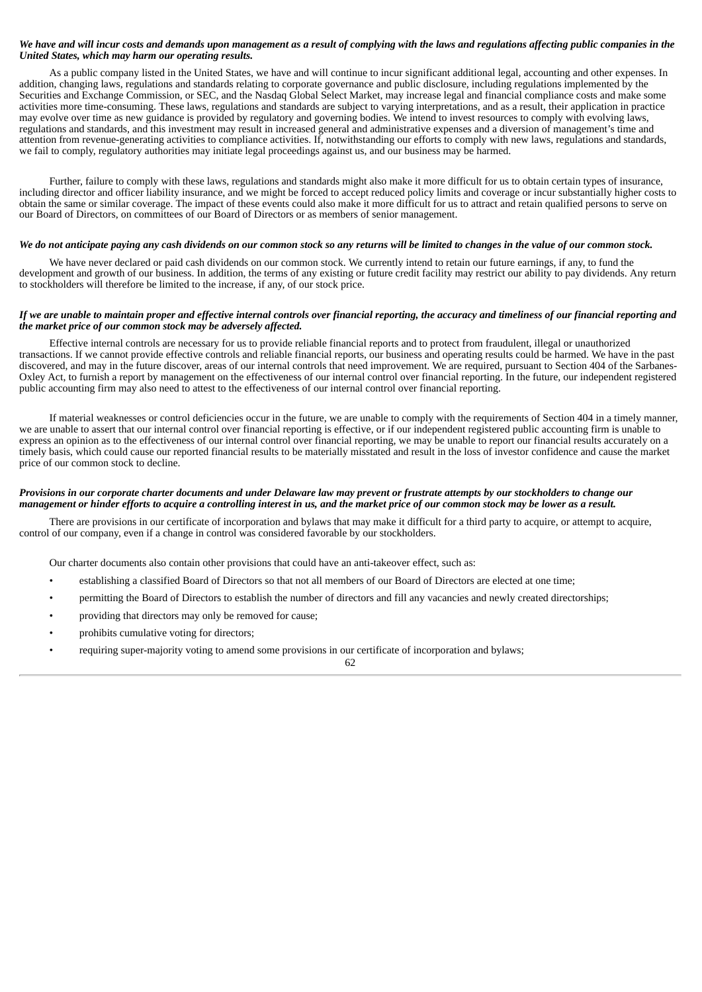### We have and will incur costs and demands upon management as a result of complying with the laws and regulations affecting public companies in the *United States, which may harm our operating results.*

As a public company listed in the United States, we have and will continue to incur significant additional legal, accounting and other expenses. In addition, changing laws, regulations and standards relating to corporate governance and public disclosure, including regulations implemented by the Securities and Exchange Commission, or SEC, and the Nasdaq Global Select Market, may increase legal and financial compliance costs and make some activities more time-consuming. These laws, regulations and standards are subject to varying interpretations, and as a result, their application in practice may evolve over time as new guidance is provided by regulatory and governing bodies. We intend to invest resources to comply with evolving laws, regulations and standards, and this investment may result in increased general and administrative expenses and a diversion of management's time and attention from revenue-generating activities to compliance activities. If, notwithstanding our efforts to comply with new laws, regulations and standards, we fail to comply, regulatory authorities may initiate legal proceedings against us, and our business may be harmed.

Further, failure to comply with these laws, regulations and standards might also make it more difficult for us to obtain certain types of insurance, including director and officer liability insurance, and we might be forced to accept reduced policy limits and coverage or incur substantially higher costs to obtain the same or similar coverage. The impact of these events could also make it more difficult for us to attract and retain qualified persons to serve on our Board of Directors, on committees of our Board of Directors or as members of senior management.

#### We do not anticipate paying any cash dividends on our common stock so any returns will be limited to changes in the value of our common stock.

We have never declared or paid cash dividends on our common stock. We currently intend to retain our future earnings, if any, to fund the development and growth of our business. In addition, the terms of any existing or future credit facility may restrict our ability to pay dividends. Any return to stockholders will therefore be limited to the increase, if any, of our stock price.

### If we are unable to maintain proper and effective internal controls over financial reporting, the accuracy and timeliness of our financial reporting and *the market price of our common stock may be adversely affected.*

Effective internal controls are necessary for us to provide reliable financial reports and to protect from fraudulent, illegal or unauthorized transactions. If we cannot provide effective controls and reliable financial reports, our business and operating results could be harmed. We have in the past discovered, and may in the future discover, areas of our internal controls that need improvement. We are required, pursuant to Section 404 of the Sarbanes-Oxley Act, to furnish a report by management on the effectiveness of our internal control over financial reporting. In the future, our independent registered public accounting firm may also need to attest to the effectiveness of our internal control over financial reporting.

If material weaknesses or control deficiencies occur in the future, we are unable to comply with the requirements of Section 404 in a timely manner, we are unable to assert that our internal control over financial reporting is effective, or if our independent registered public accounting firm is unable to express an opinion as to the effectiveness of our internal control over financial reporting, we may be unable to report our financial results accurately on a timely basis, which could cause our reported financial results to be materially misstated and result in the loss of investor confidence and cause the market price of our common stock to decline.

### Provisions in our corporate charter documents and under Delaware law may prevent or frustrate attempts by our stockholders to change our management or hinder efforts to acquire a controlling interest in us, and the market price of our common stock may be lower as a result.

There are provisions in our certificate of incorporation and bylaws that may make it difficult for a third party to acquire, or attempt to acquire, control of our company, even if a change in control was considered favorable by our stockholders.

Our charter documents also contain other provisions that could have an anti-takeover effect, such as:

- establishing a classified Board of Directors so that not all members of our Board of Directors are elected at one time;
- permitting the Board of Directors to establish the number of directors and fill any vacancies and newly created directorships;
- providing that directors may only be removed for cause;
- prohibits cumulative voting for directors;
- requiring super-majority voting to amend some provisions in our certificate of incorporation and bylaws;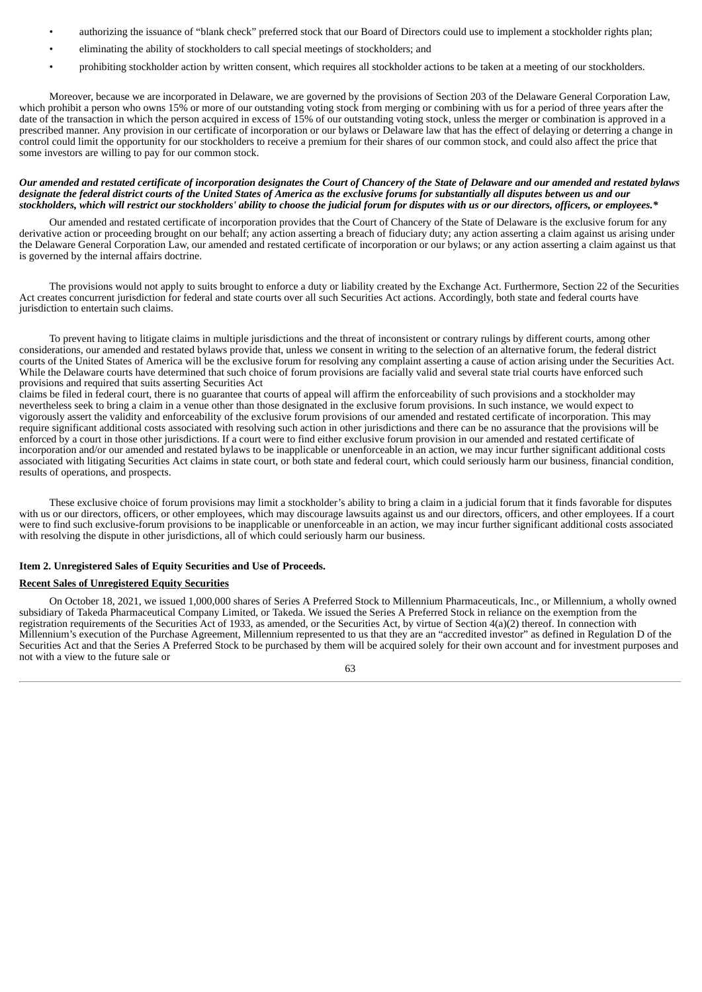- authorizing the issuance of "blank check" preferred stock that our Board of Directors could use to implement a stockholder rights plan;
- eliminating the ability of stockholders to call special meetings of stockholders; and
- prohibiting stockholder action by written consent, which requires all stockholder actions to be taken at a meeting of our stockholders.

Moreover, because we are incorporated in Delaware, we are governed by the provisions of Section 203 of the Delaware General Corporation Law, which prohibit a person who owns 15% or more of our outstanding voting stock from merging or combining with us for a period of three years after the date of the transaction in which the person acquired in excess of 15% of our outstanding voting stock, unless the merger or combination is approved in a prescribed manner. Any provision in our certificate of incorporation or our bylaws or Delaware law that has the effect of delaying or deterring a change in control could limit the opportunity for our stockholders to receive a premium for their shares of our common stock, and could also affect the price that some investors are willing to pay for our common stock.

#### Our amended and restated certificate of incorporation designates the Court of Chancery of the State of Delaware and our amended and restated bylaws designate the federal district courts of the United States of America as the exclusive forums for substantially all disputes between us and our stockholders, which will restrict our stockholders' ability to choose the judicial forum for disputes with us or our directors, officers, or employees.\*

Our amended and restated certificate of incorporation provides that the Court of Chancery of the State of Delaware is the exclusive forum for any derivative action or proceeding brought on our behalf; any action asserting a breach of fiduciary duty; any action asserting a claim against us arising under the Delaware General Corporation Law, our amended and restated certificate of incorporation or our bylaws; or any action asserting a claim against us that is governed by the internal affairs doctrine.

The provisions would not apply to suits brought to enforce a duty or liability created by the Exchange Act. Furthermore, Section 22 of the Securities Act creates concurrent jurisdiction for federal and state courts over all such Securities Act actions. Accordingly, both state and federal courts have jurisdiction to entertain such claims.

To prevent having to litigate claims in multiple jurisdictions and the threat of inconsistent or contrary rulings by different courts, among other considerations, our amended and restated bylaws provide that, unless we consent in writing to the selection of an alternative forum, the federal district courts of the United States of America will be the exclusive forum for resolving any complaint asserting a cause of action arising under the Securities Act. While the Delaware courts have determined that such choice of forum provisions are facially valid and several state trial courts have enforced such provisions and required that suits asserting Securities Act

claims be filed in federal court, there is no guarantee that courts of appeal will affirm the enforceability of such provisions and a stockholder may nevertheless seek to bring a claim in a venue other than those designated in the exclusive forum provisions. In such instance, we would expect to vigorously assert the validity and enforceability of the exclusive forum provisions of our amended and restated certificate of incorporation. This may require significant additional costs associated with resolving such action in other jurisdictions and there can be no assurance that the provisions will be enforced by a court in those other jurisdictions. If a court were to find either exclusive forum provision in our amended and restated certificate of incorporation and/or our amended and restated bylaws to be inapplicable or unenforceable in an action, we may incur further significant additional costs associated with litigating Securities Act claims in state court, or both state and federal court, which could seriously harm our business, financial condition, results of operations, and prospects.

These exclusive choice of forum provisions may limit a stockholder's ability to bring a claim in a judicial forum that it finds favorable for disputes with us or our directors, officers, or other employees, which may discourage lawsuits against us and our directors, officers, and other employees. If a court were to find such exclusive-forum provisions to be inapplicable or unenforceable in an action, we may incur further significant additional costs associated with resolving the dispute in other jurisdictions, all of which could seriously harm our business.

## **Item 2. Unregistered Sales of Equity Securities and Use of Proceeds.**

### **Recent Sales of Unregistered Equity Securities**

On October 18, 2021, we issued 1,000,000 shares of Series A Preferred Stock to Millennium Pharmaceuticals, Inc., or Millennium, a wholly owned subsidiary of Takeda Pharmaceutical Company Limited, or Takeda. We issued the Series A Preferred Stock in reliance on the exemption from the registration requirements of the Securities Act of 1933, as amended, or the Securities Act, by virtue of Section 4(a)(2) thereof. In connection with Millennium's execution of the Purchase Agreement, Millennium represented to us that they are an "accredited investor" as defined in Regulation D of the Securities Act and that the Series A Preferred Stock to be purchased by them will be acquired solely for their own account and for investment purposes and not with a view to the future sale or

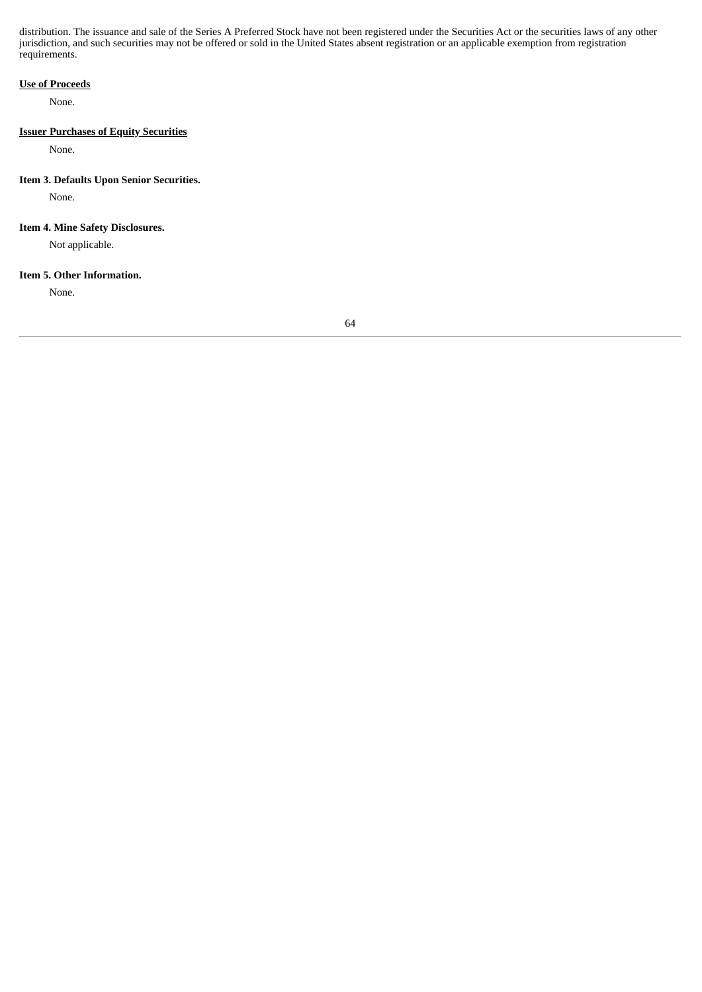distribution. The issuance and sale of the Series A Preferred Stock have not been registered under the Securities Act or the securities laws of any other jurisdiction, and such securities may not be offered or sold in the United States absent registration or an applicable exemption from registration requirements.

# **Use of Proceeds**

None.

## **Issuer Purchases of Equity Securities**

None.

## **Item 3. Defaults Upon Senior Securities.**

None.

## **Item 4. Mine Safety Disclosures.**

Not applicable.

## **Item 5. Other Information.**

None.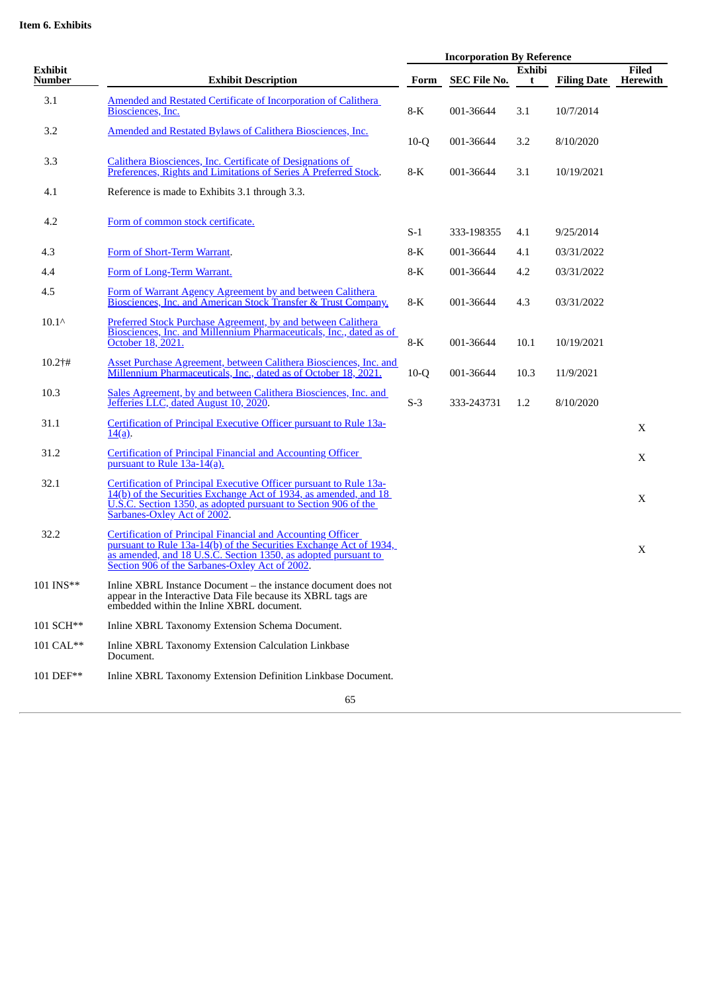|                          | <b>Exhibit Description</b>                                                                                                                                                                                                                            | <b>Incorporation By Reference</b> |                     |                    |                    |                   |
|--------------------------|-------------------------------------------------------------------------------------------------------------------------------------------------------------------------------------------------------------------------------------------------------|-----------------------------------|---------------------|--------------------|--------------------|-------------------|
| <b>Exhibit</b><br>Number |                                                                                                                                                                                                                                                       | Form                              | <b>SEC File No.</b> | <b>Exhibi</b><br>t | <b>Filing Date</b> | Filed<br>Herewith |
| 3.1                      | Amended and Restated Certificate of Incorporation of Calithera<br>Biosciences, Inc.                                                                                                                                                                   | 8-K                               | 001-36644           | 3.1                | 10/7/2014          |                   |
| 3.2                      | Amended and Restated Bylaws of Calithera Biosciences, Inc.                                                                                                                                                                                            | $10-Q$                            | 001-36644           | 3.2                | 8/10/2020          |                   |
| 3.3                      | Calithera Biosciences, Inc. Certificate of Designations of<br>Preferences, Rights and Limitations of Series A Preferred Stock.                                                                                                                        | 8-K                               | 001-36644           | 3.1                | 10/19/2021         |                   |
| 4.1                      | Reference is made to Exhibits 3.1 through 3.3.                                                                                                                                                                                                        |                                   |                     |                    |                    |                   |
| 4.2                      | Form of common stock certificate.                                                                                                                                                                                                                     | $S-1$                             | 333-198355          | 4.1                | 9/25/2014          |                   |
| 4.3                      | Form of Short-Term Warrant.                                                                                                                                                                                                                           | $8-K$                             | 001-36644           | 4.1                | 03/31/2022         |                   |
| 4.4                      | Form of Long-Term Warrant.                                                                                                                                                                                                                            | $8-K$                             | 001-36644           | 4.2                | 03/31/2022         |                   |
| 4.5                      | Form of Warrant Agency Agreement by and between Calithera<br>Biosciences, Inc. and American Stock Transfer & Trust Company.                                                                                                                           | 8-K                               | 001-36644           | 4.3                | 03/31/2022         |                   |
| $10.1^{\wedge}$          | Preferred Stock Purchase Agreement, by and between Calithera<br>Biosciences, Inc. and Millennium Pharmaceuticals, Inc., dated as of<br>October 18, 2021.                                                                                              | $8-K$                             | 001-36644           | 10.1               | 10/19/2021         |                   |
| 10.2†#                   | Asset Purchase Agreement, between Calithera Biosciences, Inc. and<br>Millennium Pharmaceuticals, Inc., dated as of October 18, 2021.                                                                                                                  | $10-Q$                            | 001-36644           | 10.3               | 11/9/2021          |                   |
| 10.3                     | Sales Agreement, by and between Calithera Biosciences, Inc. and<br>Jefferies LLC, dated August 10, 2020.                                                                                                                                              | $S-3$                             | 333-243731          | 1.2                | 8/10/2020          |                   |
| 31.1                     | Certification of Principal Executive Officer pursuant to Rule 13a-<br>$\frac{14(a)}{b}$                                                                                                                                                               |                                   |                     |                    |                    | X                 |
| 31.2                     | <b>Certification of Principal Financial and Accounting Officer</b><br>pursuant to Rule $13a-14(a)$ .                                                                                                                                                  |                                   |                     |                    |                    | X                 |
| 32.1                     | Certification of Principal Executive Officer pursuant to Rule 13a-<br>14(b) of the Securities Exchange Act of 1934, as amended, and 18<br>U.S.C. Section 1350, as adopted pursuant to Section 906 of the<br>Sarbanes-Oxley Act of 2002.               |                                   |                     |                    |                    | $\mathbf X$       |
| 32.2                     | Certification of Principal Financial and Accounting Officer<br>pursuant to Rule 13a-14(b) of the Securities Exchange Act of 1934,<br>as amended, and 18 U.S.C. Section 1350, as adopted pursuant to<br>Section 906 of the Sarbanes-Oxley Act of 2002. |                                   |                     |                    |                    | $\mathbf X$       |
| 101 INS**                | Inline XBRL Instance Document - the instance document does not<br>appear in the Interactive Data File because its XBRL tags are<br>embedded within the Inline XBRL document.                                                                          |                                   |                     |                    |                    |                   |
| 101 SCH**                | Inline XBRL Taxonomy Extension Schema Document.                                                                                                                                                                                                       |                                   |                     |                    |                    |                   |
| 101 CAL**                | Inline XBRL Taxonomy Extension Calculation Linkbase<br>Document.                                                                                                                                                                                      |                                   |                     |                    |                    |                   |
| 101 DEF**                | Inline XBRL Taxonomy Extension Definition Linkbase Document.                                                                                                                                                                                          |                                   |                     |                    |                    |                   |
|                          | cг                                                                                                                                                                                                                                                    |                                   |                     |                    |                    |                   |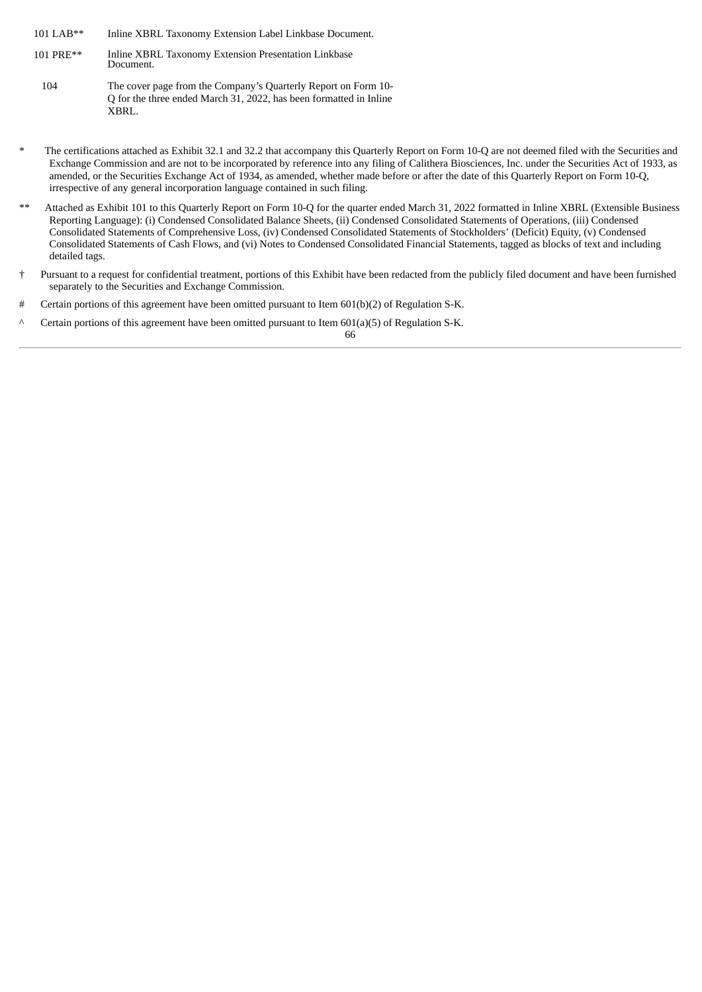101 LAB\*\* Inline XBRL Taxonomy Extension Label Linkbase Document.

- 101 PRE\*\* Inline XBRL Taxonomy Extension Presentation Linkbase Document.
- 104 The cover page from the Company's Quarterly Report on Form 10- Q for the three ended March 31, 2022, has been formatted in Inline XBRL.
- The certifications attached as Exhibit 32.1 and 32.2 that accompany this Quarterly Report on Form 10-Q are not deemed filed with the Securities and Exchange Commission and are not to be incorporated by reference into any filing of Calithera Biosciences, Inc. under the Securities Act of 1933, as amended, or the Securities Exchange Act of 1934, as amended, whether made before or after the date of this Quarterly Report on Form 10-Q, irrespective of any general incorporation language contained in such filing.
- Attached as Exhibit 101 to this Quarterly Report on Form 10-Q for the quarter ended March 31, 2022 formatted in Inline XBRL (Extensible Business Reporting Language): (i) Condensed Consolidated Balance Sheets, (ii) Condensed Consolidated Statements of Operations, (iii) Condensed Consolidated Statements of Comprehensive Loss, (iv) Condensed Consolidated Statements of Stockholders' (Deficit) Equity, (v) Condensed Consolidated Statements of Cash Flows, and (vi) Notes to Condensed Consolidated Financial Statements, tagged as blocks of text and including detailed tags.
- † Pursuant to a request for confidential treatment, portions of this Exhibit have been redacted from the publicly filed document and have been furnished separately to the Securities and Exchange Commission.
- # Certain portions of this agreement have been omitted pursuant to Item 601(b)(2) of Regulation S-K.
- $\wedge$  Certain portions of this agreement have been omitted pursuant to Item 601(a)(5) of Regulation S-K.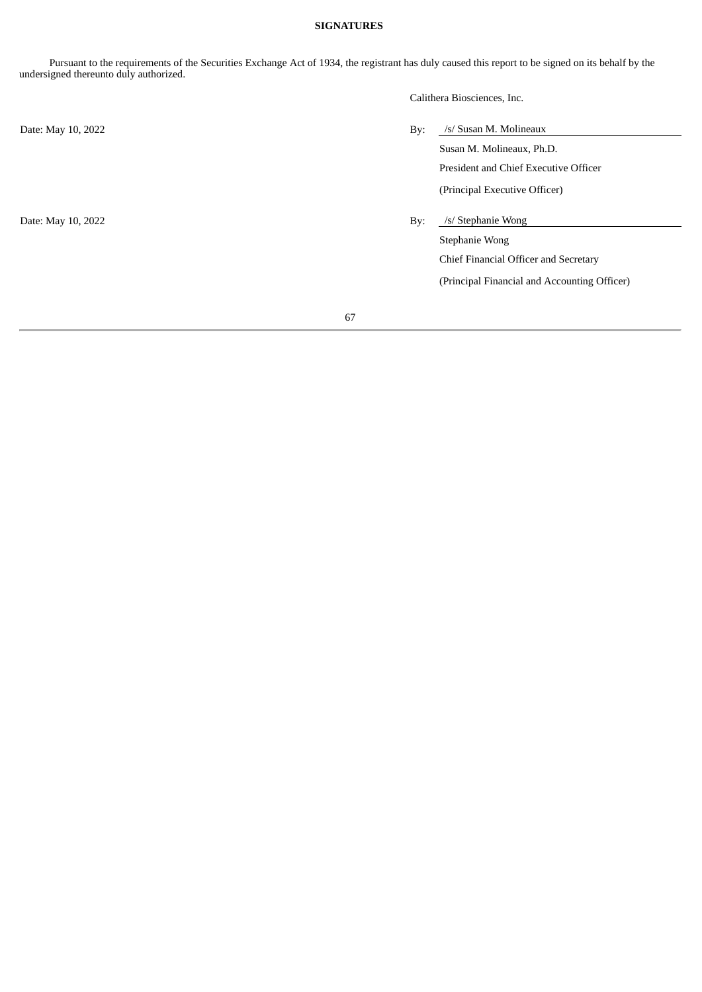## **SIGNATURES**

Pursuant to the requirements of the Securities Exchange Act of 1934, the registrant has duly caused this report to be signed on its behalf by the undersigned thereunto duly authorized.

Calithera Biosciences, Inc.

| By: | /s/ Susan M. Molineaux                |  |
|-----|---------------------------------------|--|
|     | Susan M. Molineaux, Ph.D.             |  |
|     | President and Chief Executive Officer |  |
|     | (Principal Executive Officer)         |  |
| By: | /s/ Stephanie Wong                    |  |
|     | Stephanie Wong                        |  |

Chief Financial Officer and Secretary

(Principal Financial and Accounting Officer)

67

Date: May 10, 2022

Date: May 10, 2022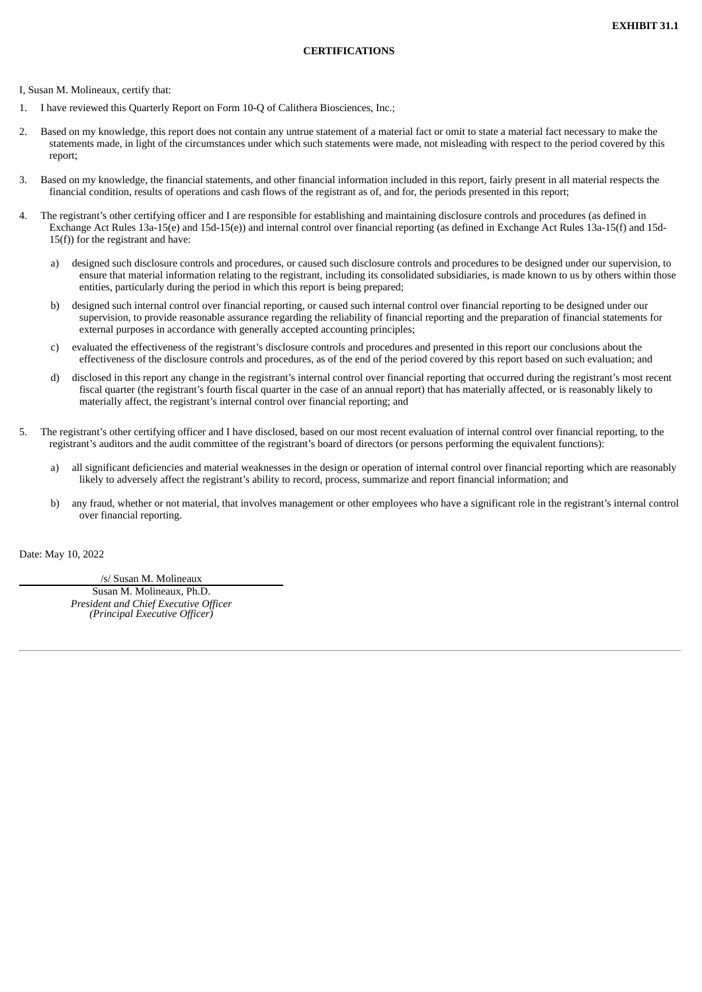<span id="page-67-0"></span>I, Susan M. Molineaux, certify that:

- 1. I have reviewed this Quarterly Report on Form 10-Q of Calithera Biosciences, Inc.;
- 2. Based on my knowledge, this report does not contain any untrue statement of a material fact or omit to state a material fact necessary to make the statements made, in light of the circumstances under which such statements were made, not misleading with respect to the period covered by this report;
- 3. Based on my knowledge, the financial statements, and other financial information included in this report, fairly present in all material respects the financial condition, results of operations and cash flows of the registrant as of, and for, the periods presented in this report;
- 4. The registrant's other certifying officer and I are responsible for establishing and maintaining disclosure controls and procedures (as defined in Exchange Act Rules 13a-15(e) and 15d-15(e)) and internal control over financial reporting (as defined in Exchange Act Rules 13a-15(f) and 15d-15(f)) for the registrant and have:
	- a) designed such disclosure controls and procedures, or caused such disclosure controls and procedures to be designed under our supervision, to ensure that material information relating to the registrant, including its consolidated subsidiaries, is made known to us by others within those entities, particularly during the period in which this report is being prepared;
	- b) designed such internal control over financial reporting, or caused such internal control over financial reporting to be designed under our supervision, to provide reasonable assurance regarding the reliability of financial reporting and the preparation of financial statements for external purposes in accordance with generally accepted accounting principles;
	- c) evaluated the effectiveness of the registrant's disclosure controls and procedures and presented in this report our conclusions about the effectiveness of the disclosure controls and procedures, as of the end of the period covered by this report based on such evaluation; and
	- d) disclosed in this report any change in the registrant's internal control over financial reporting that occurred during the registrant's most recent fiscal quarter (the registrant's fourth fiscal quarter in the case of an annual report) that has materially affected, or is reasonably likely to materially affect, the registrant's internal control over financial reporting; and
- 5. The registrant's other certifying officer and I have disclosed, based on our most recent evaluation of internal control over financial reporting, to the registrant's auditors and the audit committee of the registrant's board of directors (or persons performing the equivalent functions):
	- a) all significant deficiencies and material weaknesses in the design or operation of internal control over financial reporting which are reasonably likely to adversely affect the registrant's ability to record, process, summarize and report financial information; and
	- b) any fraud, whether or not material, that involves management or other employees who have a significant role in the registrant's internal control over financial reporting.

Date: May 10, 2022

/s/ Susan M. Molineaux

Susan M. Molineaux, Ph.D. *President and Chief Executive Officer (Principal Executive Officer)*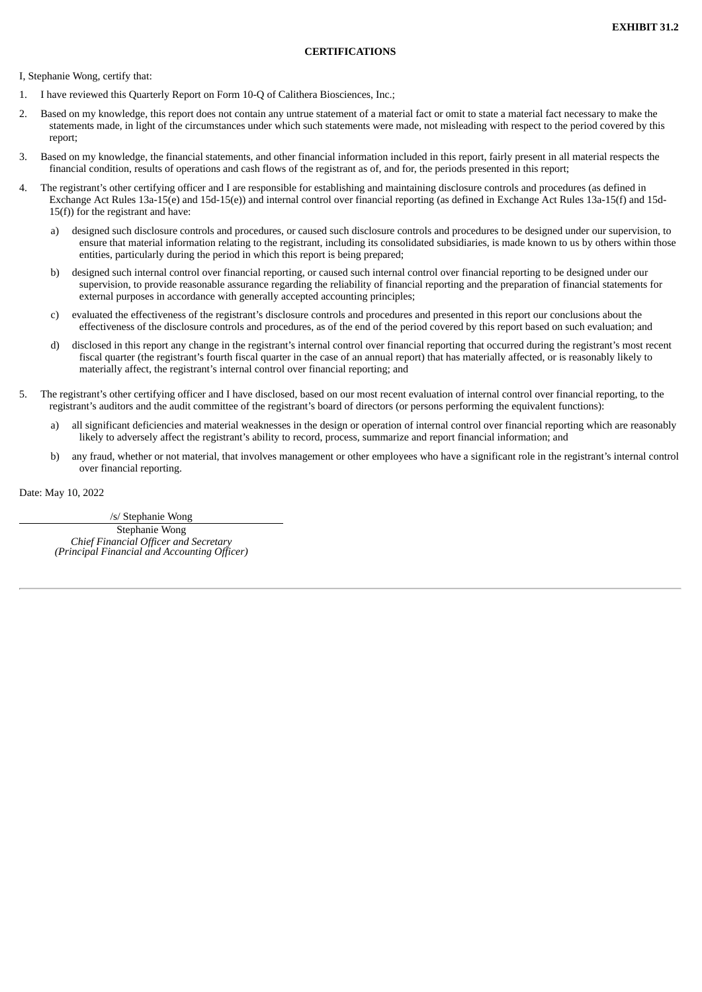## **CERTIFICATIONS**

<span id="page-68-0"></span>I, Stephanie Wong, certify that:

- 1. I have reviewed this Quarterly Report on Form 10-Q of Calithera Biosciences, Inc.;
- 2. Based on my knowledge, this report does not contain any untrue statement of a material fact or omit to state a material fact necessary to make the statements made, in light of the circumstances under which such statements were made, not misleading with respect to the period covered by this report;
- 3. Based on my knowledge, the financial statements, and other financial information included in this report, fairly present in all material respects the financial condition, results of operations and cash flows of the registrant as of, and for, the periods presented in this report;
- 4. The registrant's other certifying officer and I are responsible for establishing and maintaining disclosure controls and procedures (as defined in Exchange Act Rules 13a-15(e) and 15d-15(e)) and internal control over financial reporting (as defined in Exchange Act Rules 13a-15(f) and 15d- $15(f)$ ) for the registrant and have:
	- a) designed such disclosure controls and procedures, or caused such disclosure controls and procedures to be designed under our supervision, to ensure that material information relating to the registrant, including its consolidated subsidiaries, is made known to us by others within those entities, particularly during the period in which this report is being prepared;
	- b) designed such internal control over financial reporting, or caused such internal control over financial reporting to be designed under our supervision, to provide reasonable assurance regarding the reliability of financial reporting and the preparation of financial statements for external purposes in accordance with generally accepted accounting principles;
	- c) evaluated the effectiveness of the registrant's disclosure controls and procedures and presented in this report our conclusions about the effectiveness of the disclosure controls and procedures, as of the end of the period covered by this report based on such evaluation; and
	- d) disclosed in this report any change in the registrant's internal control over financial reporting that occurred during the registrant's most recent fiscal quarter (the registrant's fourth fiscal quarter in the case of an annual report) that has materially affected, or is reasonably likely to materially affect, the registrant's internal control over financial reporting; and
- 5. The registrant's other certifying officer and I have disclosed, based on our most recent evaluation of internal control over financial reporting, to the registrant's auditors and the audit committee of the registrant's board of directors (or persons performing the equivalent functions):
	- all significant deficiencies and material weaknesses in the design or operation of internal control over financial reporting which are reasonably likely to adversely affect the registrant's ability to record, process, summarize and report financial information; and
	- b) any fraud, whether or not material, that involves management or other employees who have a significant role in the registrant's internal control over financial reporting.

Date: May 10, 2022

/s/ Stephanie Wong

Stephanie Wong *Chief Financial Officer and Secretary (Principal Financial and Accounting Officer)*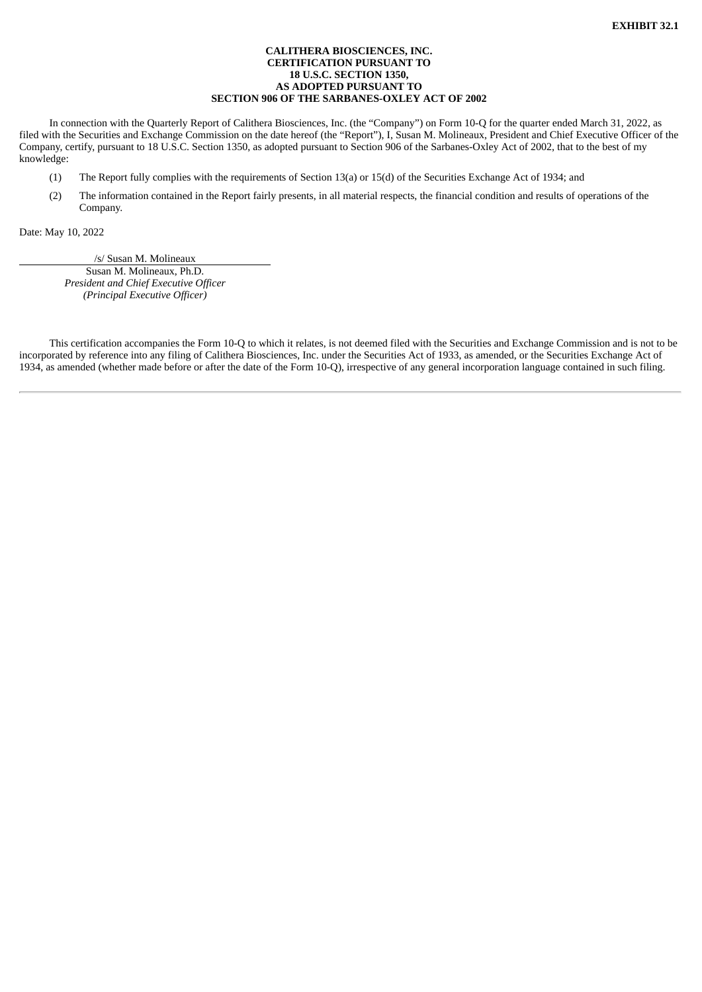## **CALITHERA BIOSCIENCES, INC. CERTIFICATION PURSUANT TO 18 U.S.C. SECTION 1350, AS ADOPTED PURSUANT TO SECTION 906 OF THE SARBANES-OXLEY ACT OF 2002**

<span id="page-69-0"></span>In connection with the Quarterly Report of Calithera Biosciences, Inc. (the "Company") on Form 10-Q for the quarter ended March 31, 2022, as filed with the Securities and Exchange Commission on the date hereof (the "Report"), I, Susan M. Molineaux, President and Chief Executive Officer of the Company, certify, pursuant to 18 U.S.C. Section 1350, as adopted pursuant to Section 906 of the Sarbanes-Oxley Act of 2002, that to the best of my knowledge:

- (1) The Report fully complies with the requirements of Section 13(a) or 15(d) of the Securities Exchange Act of 1934; and
- (2) The information contained in the Report fairly presents, in all material respects, the financial condition and results of operations of the Company.

Date: May 10, 2022

/s/ Susan M. Molineaux Susan M. Molineaux, Ph.D. *President and Chief Executive Officer (Principal Executive Officer)*

This certification accompanies the Form 10-Q to which it relates, is not deemed filed with the Securities and Exchange Commission and is not to be incorporated by reference into any filing of Calithera Biosciences, Inc. under the Securities Act of 1933, as amended, or the Securities Exchange Act of 1934, as amended (whether made before or after the date of the Form 10-Q), irrespective of any general incorporation language contained in such filing.